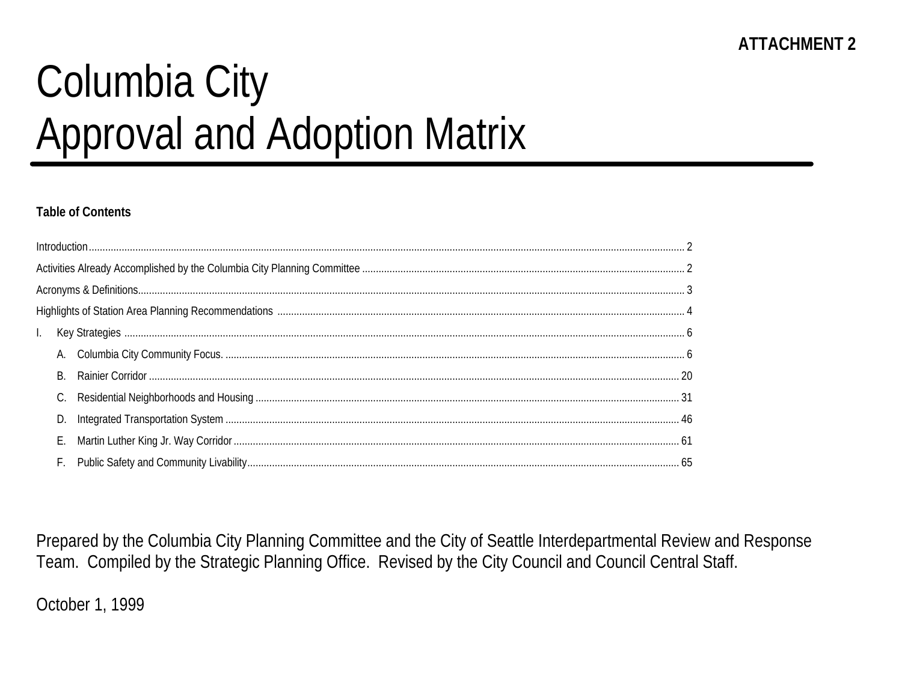# Columbia City **Approval and Adoption Matrix**

#### **Table of Contents**

| B. |  |
|----|--|
|    |  |
|    |  |
|    |  |
|    |  |

Prepared by the Columbia City Planning Committee and the City of Seattle Interdepartmental Review and Response Team. Compiled by the Strategic Planning Office. Revised by the City Council and Council Central Staff.

October 1, 1999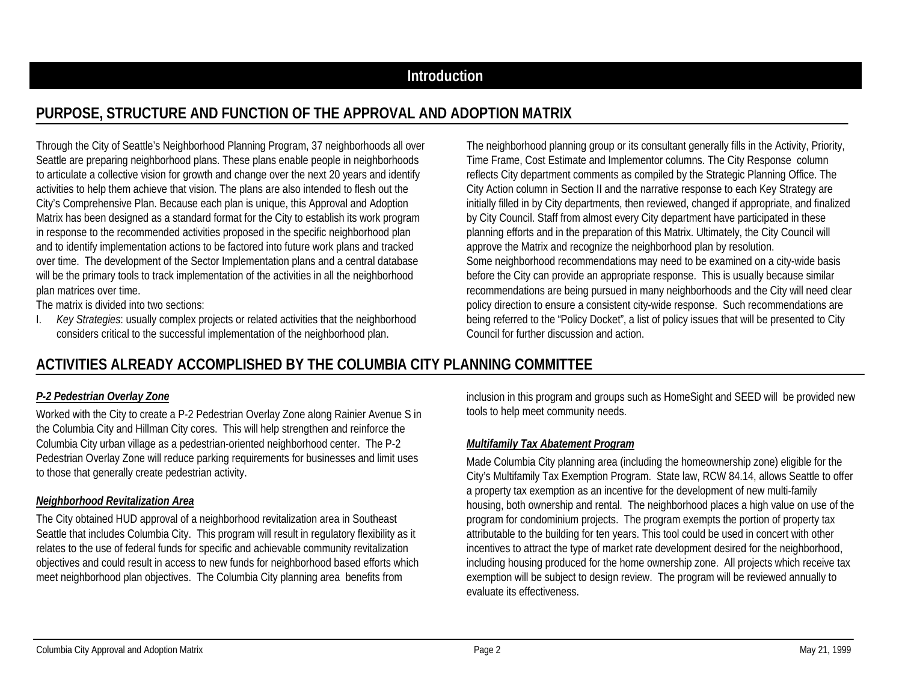## **Introduction**

# **PURPOSE, STRUCTURE AND FUNCTION OF THE APPROVAL AND ADOPTION MATRIX**

Through the City of Seattle's Neighborhood Planning Program, 37 neighborhoods all over Seattle are preparing neighborhood plans. These plans enable people in neighborhoods to articulate a collective vision for growth and change over the next 20 years and identify activities to help them achieve that vision. The plans are also intended to flesh out the City's Comprehensive Plan. Because each plan is unique, this Approval and Adoption Matrix has been designed as a standard format for the City to establish its work program in response to the recommended activities proposed in the specific neighborhood plan and to identify implementation actions to be factored into future work plans and tracked over time. The development of the Sector Implementation plans and a central database will be the primary tools to track implementation of the activities in all the neighborhood plan matrices over time.

The matrix is divided into two sections:

I. *Key Strategies*: usually complex projects or related activities that the neighborhood considers critical to the successful implementation of the neighborhood plan.

The neighborhood planning group or its consultant generally fills in the Activity, Priority, Time Frame, Cost Estimate and Implementor columns. The City Response column reflects City department comments as compiled by the Strategic Planning Office. The City Action column in Section II and the narrative response to each Key Strategy are initially filled in by City departments, then reviewed, changed if appropriate, and finalized by City Council. Staff from almost every City department have participated in these planning efforts and in the preparation of this Matrix. Ultimately, the City Council will approve the Matrix and recognize the neighborhood plan by resolution. Some neighborhood recommendations may need to be examined on a city-wide basis before the City can provide an appropriate response. This is usually because similar recommendations are being pursued in many neighborhoods and the City will need clear policy direction to ensure a consistent city-wide response. Such recommendations are being referred to the "Policy Docket", a list of policy issues that will be presented to City Council for further discussion and action.

# **ACTIVITIES ALREADY ACCOMPLISHED BY THE COLUMBIA CITY PLANNING COMMITTEE**

#### *P-2 Pedestrian Overlay Zone*

Worked with the City to create a P-2 Pedestrian Overlay Zone along Rainier Avenue S in the Columbia City and Hillman City cores. This will help strengthen and reinforce the Columbia City urban village as a pedestrian-oriented neighborhood center. The P-2 Pedestrian Overlay Zone will reduce parking requirements for businesses and limit uses to those that generally create pedestrian activity.

#### *Neighborhood Revitalization Area*

The City obtained HUD approval of a neighborhood revitalization area in Southeast Seattle that includes Columbia City. This program will result in regulatory flexibility as it relates to the use of federal funds for specific and achievable community revitalization objectives and could result in access to new funds for neighborhood based efforts which meet neighborhood plan objectives. The Columbia City planning area benefits from

inclusion in this program and groups such as HomeSight and SEED will be provided new tools to help meet community needs.

#### *Multifamily Tax Abatement Program*

Made Columbia City planning area (including the homeownership zone) eligible for the City's Multifamily Tax Exemption Program. State law, RCW 84.14, allows Seattle to offer a property tax exemption as an incentive for the development of new multi-family housing, both ownership and rental. The neighborhood places a high value on use of the program for condominium projects. The program exempts the portion of property tax attributable to the building for ten years. This tool could be used in concert with other incentives to attract the type of market rate development desired for the neighborhood, including housing produced for the home ownership zone. All projects which receive tax exemption will be subject to design review. The program will be reviewed annually to evaluate its effectiveness.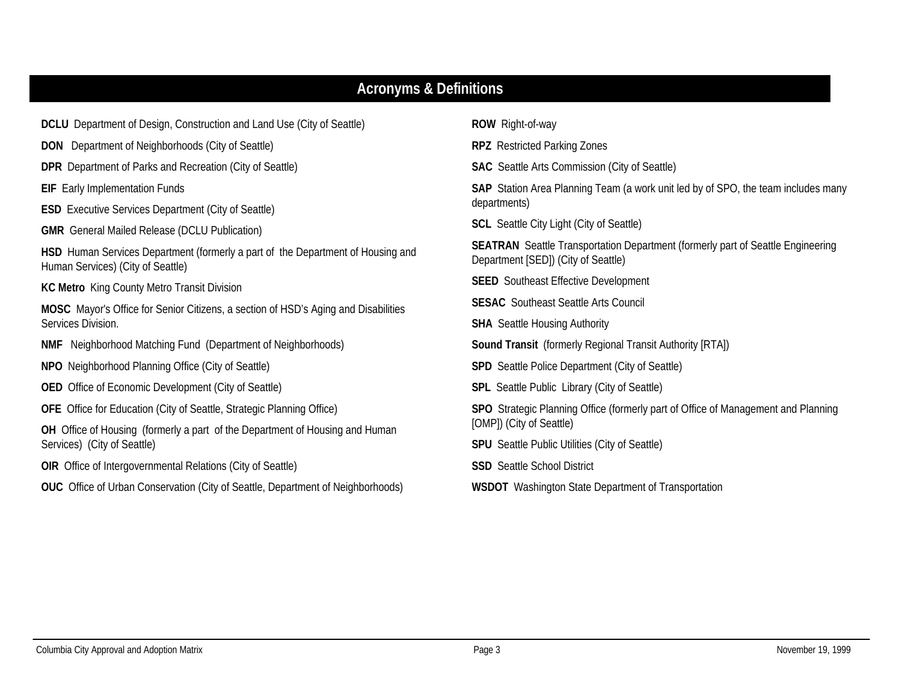# **Acronyms & Definitions**

| <b>DCLU</b> Department of Design, Construction and Land Use (City of Seattle)                                               | <b>ROW</b> Right-of-way                                                                                                       |  |  |  |  |  |
|-----------------------------------------------------------------------------------------------------------------------------|-------------------------------------------------------------------------------------------------------------------------------|--|--|--|--|--|
| <b>DON</b> Department of Neighborhoods (City of Seattle)                                                                    | <b>RPZ</b> Restricted Parking Zones                                                                                           |  |  |  |  |  |
| <b>DPR</b> Department of Parks and Recreation (City of Seattle)                                                             | <b>SAC</b> Seattle Arts Commission (City of Seattle)                                                                          |  |  |  |  |  |
| <b>EIF</b> Early Implementation Funds                                                                                       | <b>SAP</b> Station Area Planning Team (a work unit led by of SPO, the team includes many                                      |  |  |  |  |  |
| <b>ESD</b> Executive Services Department (City of Seattle)                                                                  | departments)                                                                                                                  |  |  |  |  |  |
| <b>GMR</b> General Mailed Release (DCLU Publication)                                                                        | <b>SCL</b> Seattle City Light (City of Seattle)                                                                               |  |  |  |  |  |
| <b>HSD</b> Human Services Department (formerly a part of the Department of Housing and<br>Human Services) (City of Seattle) | <b>SEATRAN</b> Seattle Transportation Department (formerly part of Seattle Engineering<br>Department [SED]) (City of Seattle) |  |  |  |  |  |
| <b>KC Metro</b> King County Metro Transit Division                                                                          | <b>SEED</b> Southeast Effective Development                                                                                   |  |  |  |  |  |
| <b>MOSC</b> Mayor's Office for Senior Citizens, a section of HSD's Aging and Disabilities                                   | <b>SESAC</b> Southeast Seattle Arts Council                                                                                   |  |  |  |  |  |
| Services Division.                                                                                                          | <b>SHA</b> Seattle Housing Authority                                                                                          |  |  |  |  |  |
| <b>NMF</b> Neighborhood Matching Fund (Department of Neighborhoods)                                                         | <b>Sound Transit</b> (formerly Regional Transit Authority [RTA])                                                              |  |  |  |  |  |
| NPO Neighborhood Planning Office (City of Seattle)                                                                          | <b>SPD</b> Seattle Police Department (City of Seattle)                                                                        |  |  |  |  |  |
| OED Office of Economic Development (City of Seattle)                                                                        | SPL Seattle Public Library (City of Seattle)                                                                                  |  |  |  |  |  |
| <b>OFE</b> Office for Education (City of Seattle, Strategic Planning Office)                                                | SPO Strategic Planning Office (formerly part of Office of Management and Planning                                             |  |  |  |  |  |
| OH Office of Housing (formerly a part of the Department of Housing and Human                                                | [OMP]) (City of Seattle)                                                                                                      |  |  |  |  |  |
| Services) (City of Seattle)                                                                                                 | <b>SPU</b> Seattle Public Utilities (City of Seattle)                                                                         |  |  |  |  |  |
| <b>OIR</b> Office of Intergovernmental Relations (City of Seattle)                                                          | <b>SSD</b> Seattle School District                                                                                            |  |  |  |  |  |
| <b>OUC</b> Office of Urban Conservation (City of Seattle, Department of Neighborhoods)                                      | <b>WSDOT</b> Washington State Department of Transportation                                                                    |  |  |  |  |  |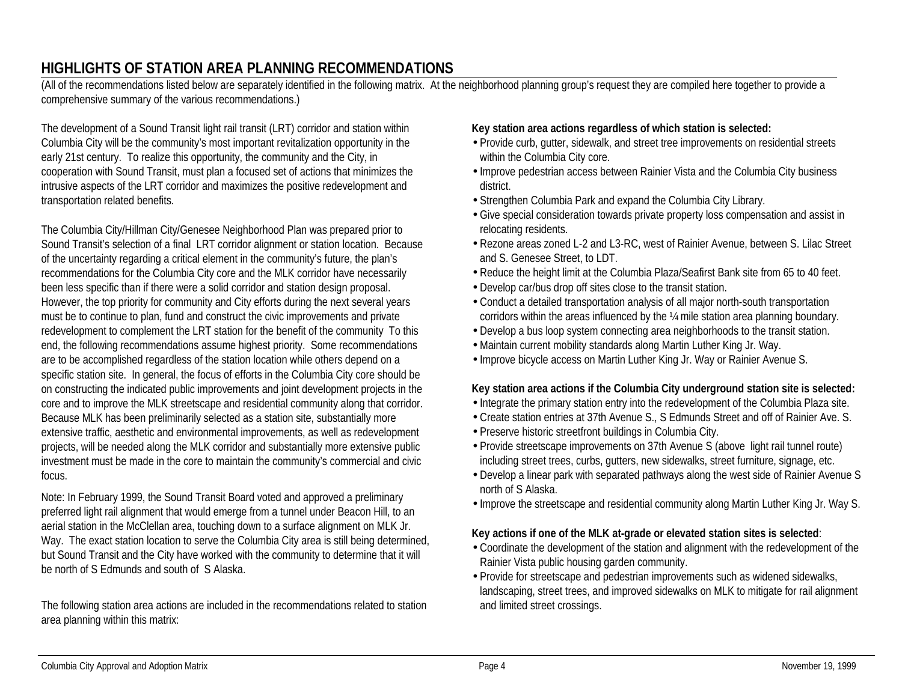# **HIGHLIGHTS OF STATION AREA PLANNING RECOMMENDATIONS**

(All of the recommendations listed below are separately identified in the following matrix. At the neighborhood planning group's request they are compiled here together to provide a comprehensive summary of the various recommendations.)

The development of a Sound Transit light rail transit (LRT) corridor and station within Columbia City will be the community's most important revitalization opportunity in the early 21st century. To realize this opportunity, the community and the City, in cooperation with Sound Transit, must plan a focused set of actions that minimizes the intrusive aspects of the LRT corridor and maximizes the positive redevelopment and transportation related benefits.

The Columbia City/Hillman City/Genesee Neighborhood Plan was prepared prior to Sound Transit's selection of a final LRT corridor alignment or station location. Because of the uncertainty regarding a critical element in the community's future, the plan's recommendations for the Columbia City core and the MLK corridor have necessarily been less specific than if there were a solid corridor and station design proposal. However, the top priority for community and City efforts during the next several years must be to continue to plan, fund and construct the civic improvements and private redevelopment to complement the LRT station for the benefit of the community To this end, the following recommendations assume highest priority. Some recommendations are to be accomplished regardless of the station location while others depend on a specific station site. In general, the focus of efforts in the Columbia City core should be on constructing the indicated public improvements and joint development projects in the core and to improve the MLK streetscape and residential community along that corridor. Because MLK has been preliminarily selected as a station site, substantially more extensive traffic, aesthetic and environmental improvements, as well as redevelopment projects, will be needed along the MLK corridor and substantially more extensive public investment must be made in the core to maintain the community's commercial and civic focus.

Note: In February 1999, the Sound Transit Board voted and approved a preliminary preferred light rail alignment that would emerge from a tunnel under Beacon Hill, to an aerial station in the McClellan area, touching down to a surface alignment on MLK Jr. Way. The exact station location to serve the Columbia City area is still being determined, but Sound Transit and the City have worked with the community to determine that it will be north of S Edmunds and south of S Alaska.

The following station area actions are included in the recommendations related to station area planning within this matrix:

#### **Key station area actions regardless of which station is selected:**

- •Provide curb, gutter, sidewalk, and street tree improvements on residential streets within the Columbia City core.
- •Improve pedestrian access between Rainier Vista and the Columbia City business district.
- •Strengthen Columbia Park and expand the Columbia City Library.
- •Give special consideration towards private property loss compensation and assist in relocating residents.
- •Rezone areas zoned L-2 and L3-RC, west of Rainier Avenue, between S. Lilac Street and S. Genesee Street, to LDT.
- •Reduce the height limit at the Columbia Plaza/Seafirst Bank site from 65 to 40 feet.
- •Develop car/bus drop off sites close to the transit station.
- •Conduct a detailed transportation analysis of all major north-south transportation corridors within the areas influenced by the ¼ mile station area planning boundary.
- •Develop a bus loop system connecting area neighborhoods to the transit station.
- Maintain current mobility standards along Martin Luther King Jr. Way.
- •Improve bicycle access on Martin Luther King Jr. Way or Rainier Avenue S.

#### **Key station area actions if the Columbia City underground station site is selected:**

- •Integrate the primary station entry into the redevelopment of the Columbia Plaza site.
- •Create station entries at 37th Avenue S., S Edmunds Street and off of Rainier Ave. S.
- •Preserve historic streetfront buildings in Columbia City.
- •Provide streetscape improvements on 37th Avenue S (above light rail tunnel route) including street trees, curbs, gutters, new sidewalks, street furniture, signage, etc.
- •Develop a linear park with separated pathways along the west side of Rainier Avenue S north of S Alaska.
- •Improve the streetscape and residential community along Martin Luther King Jr. Way S.

#### **Key actions if one of the MLK at-grade or elevated station sites is selected**:

- •Coordinate the development of the station and alignment with the redevelopment of the Rainier Vista public housing garden community.
- Provide for streetscape and pedestrian improvements such as widened sidewalks, landscaping, street trees, and improved sidewalks on MLK to mitigate for rail alignment and limited street crossings.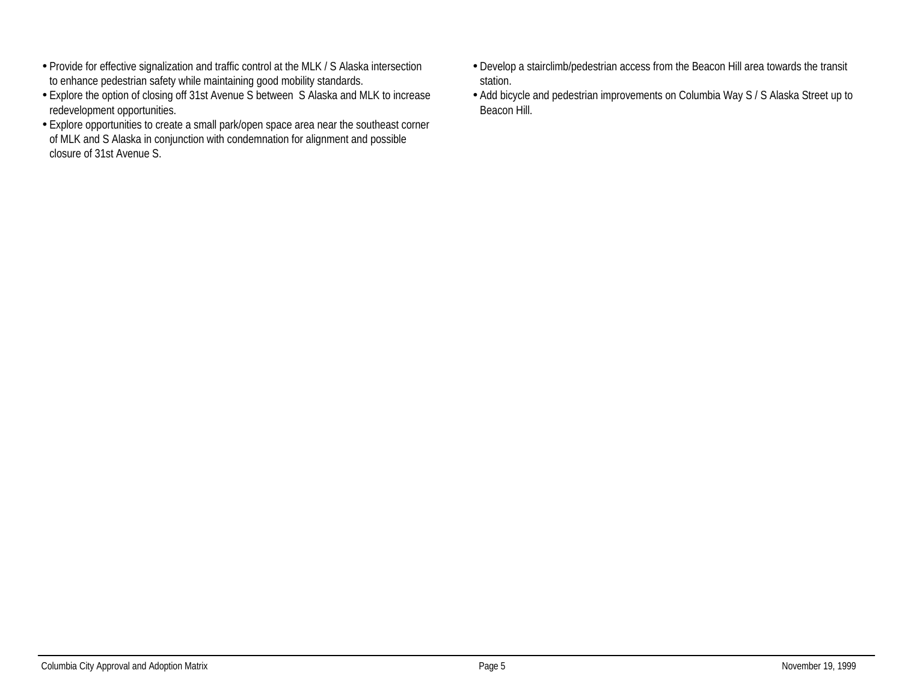- •Provide for effective signalization and traffic control at the MLK / S Alaska intersection to enhance pedestrian safety while maintaining good mobility standards.
- •Explore the option of closing off 31st Avenue S between S Alaska and MLK to increase redevelopment opportunities.
- •Explore opportunities to create a small park/open space area near the southeast corner of MLK and S Alaska in conjunction with condemnation for alignment and possible closure of 31st Avenue S.
- •Develop a stairclimb/pedestrian access from the Beacon Hill area towards the transit station.
- •Add bicycle and pedestrian improvements on Columbia Way S / S Alaska Street up to Beacon Hill.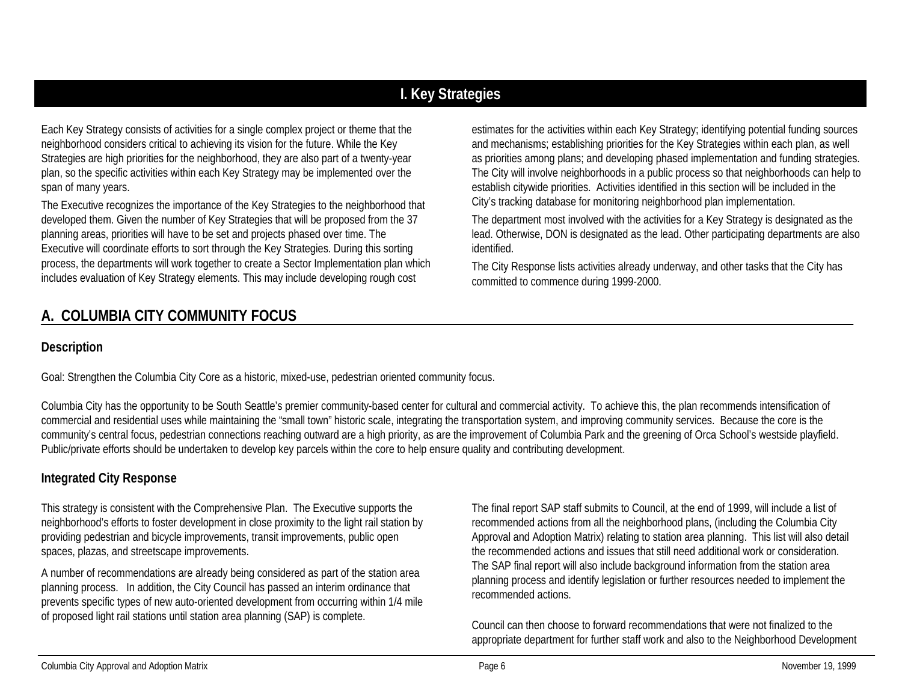# **I. Key Strategies**

Each Key Strategy consists of activities for a single complex project or theme that the neighborhood considers critical to achieving its vision for the future. While the Key Strategies are high priorities for the neighborhood, they are also part of a twenty-year plan, so the specific activities within each Key Strategy may be implemented over the span of many years.

The Executive recognizes the importance of the Key Strategies to the neighborhood that developed them. Given the number of Key Strategies that will be proposed from the 37 planning areas, priorities will have to be set and projects phased over time. The Executive will coordinate efforts to sort through the Key Strategies. During this sorting process, the departments will work together to create a Sector Implementation plan which includes evaluation of Key Strategy elements. This may include developing rough cost

estimates for the activities within each Key Strategy; identifying potential funding sources and mechanisms; establishing priorities for the Key Strategies within each plan, as well as priorities among plans; and developing phased implementation and funding strategies. The City will involve neighborhoods in a public process so that neighborhoods can help to establish citywide priorities. Activities identified in this section will be included in the City's tracking database for monitoring neighborhood plan implementation.

The department most involved with the activities for a Key Strategy is designated as the lead. Otherwise, DON is designated as the lead. Other participating departments are also identified.

The City Response lists activities already underway, and other tasks that the City has committed to commence during 1999-2000.

# **A. COLUMBIA CITY COMMUNITY FOCUS**

### **Description**

Goal: Strengthen the Columbia City Core as a historic, mixed-use, pedestrian oriented community focus.

Columbia City has the opportunity to be South Seattle's premier community-based center for cultural and commercial activity. To achieve this, the plan recommends intensification of commercial and residential uses while maintaining the "small town" historic scale, integrating the transportation system, and improving community services. Because the core is the community's central focus, pedestrian connections reaching outward are a high priority, as are the improvement of Columbia Park and the greening of Orca School's westside playfield. Public/private efforts should be undertaken to develop key parcels within the core to help ensure quality and contributing development.

## **Integrated City Response**

This strategy is consistent with the Comprehensive Plan. The Executive supports the neighborhood's efforts to foster development in close proximity to the light rail station by providing pedestrian and bicycle improvements, transit improvements, public open spaces, plazas, and streetscape improvements.

A number of recommendations are already being considered as part of the station area planning process. In addition, the City Council has passed an interim ordinance that prevents specific types of new auto-oriented development from occurring within 1/4 mile of proposed light rail stations until station area planning (SAP) is complete.

The final report SAP staff submits to Council, at the end of 1999, will include a list of recommended actions from all the neighborhood plans, (including the Columbia City Approval and Adoption Matrix) relating to station area planning. This list will also detail the recommended actions and issues that still need additional work or consideration. The SAP final report will also include background information from the station area planning process and identify legislation or further resources needed to implement the recommended actions.

Council can then choose to forward recommendations that were not finalized to the appropriate department for further staff work and also to the Neighborhood Development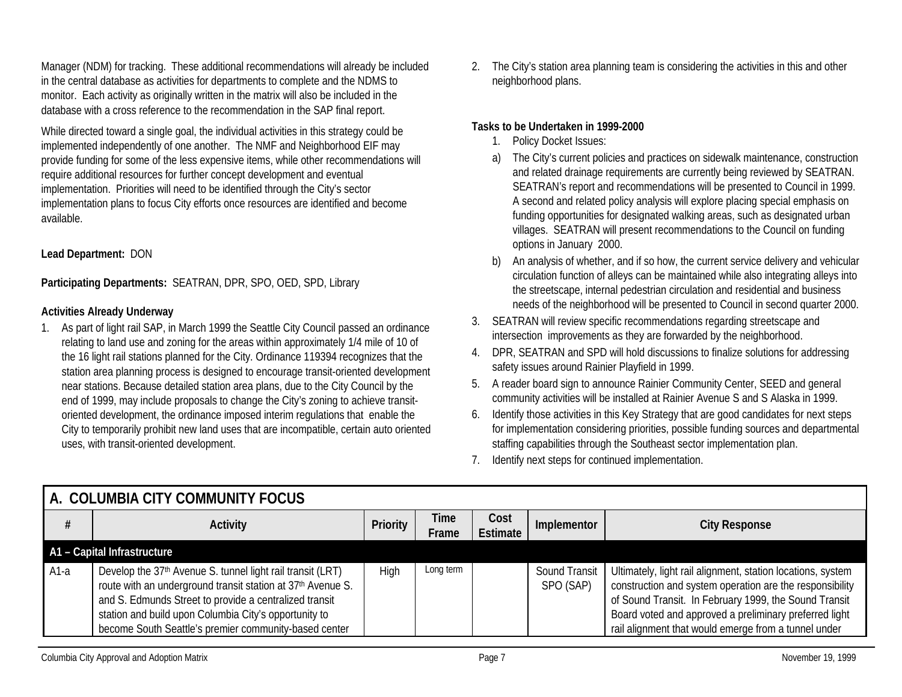Manager (NDM) for tracking. These additional recommendations will already be included in the central database as activities for departments to complete and the NDMS to monitor. Each activity as originally written in the matrix will also be included in the database with a cross reference to the recommendation in the SAP final report.

While directed toward a single goal, the individual activities in this strategy could be implemented independently of one another. The NMF and Neighborhood EIF may provide funding for some of the less expensive items, while other recommendations will require additional resources for further concept development and eventual implementation. Priorities will need to be identified through the City's sector implementation plans to focus City efforts once resources are identified and become available.

#### **Lead Department:** DON

**Participating Departments:** SEATRAN, DPR, SPO, OED, SPD, Library

#### **Activities Already Underway**

1. As part of light rail SAP, in March 1999 the Seattle City Council passed an ordinance relating to land use and zoning for the areas within approximately 1/4 mile of 10 of the 16 light rail stations planned for the City. Ordinance 119394 recognizes that the station area planning process is designed to encourage transit-oriented development near stations. Because detailed station area plans, due to the City Council by the end of 1999, may include proposals to change the City's zoning to achieve transitoriented development, the ordinance imposed interim regulations that enable the City to temporarily prohibit new land uses that are incompatible, certain auto oriented uses, with transit-oriented development.

2. The City's station area planning team is considering the activities in this and other neighborhood plans.

#### **Tasks to be Undertaken in 1999-2000**

- 1. Policy Docket Issues:
- a) The City's current policies and practices on sidewalk maintenance, construction and related drainage requirements are currently being reviewed by SEATRAN. SEATRAN's report and recommendations will be presented to Council in 1999. A second and related policy analysis will explore placing special emphasis on funding opportunities for designated walking areas, such as designated urban villages. SEATRAN will present recommendations to the Council on funding options in January 2000.
- b) An analysis of whether, and if so how, the current service delivery and vehicular circulation function of alleys can be maintained while also integrating alleys into the streetscape, internal pedestrian circulation and residential and business needs of the neighborhood will be presented to Council in second quarter 2000.
- 3. SEATRAN will review specific recommendations regarding streetscape and intersection improvements as they are forwarded by the neighborhood.
- 4. DPR, SEATRAN and SPD will hold discussions to finalize solutions for addressing safety issues around Rainier Playfield in 1999.
- 5. A reader board sign to announce Rainier Community Center, SEED and general community activities will be installed at Rainier Avenue S and S Alaska in 1999.
- 6. Identify those activities in this Key Strategy that are good candidates for next steps for implementation considering priorities, possible funding sources and departmental staffing capabilities through the Southeast sector implementation plan.
- 7. Identify next steps for continued implementation.

|        | I A. COLUMBIA CITY COMMUNITY FOCUS.                                                                                                                                                                                                                                                                   |          |               |                  |                            |                                                                                                                                                                                                                                                                                                    |
|--------|-------------------------------------------------------------------------------------------------------------------------------------------------------------------------------------------------------------------------------------------------------------------------------------------------------|----------|---------------|------------------|----------------------------|----------------------------------------------------------------------------------------------------------------------------------------------------------------------------------------------------------------------------------------------------------------------------------------------------|
|        | <b>Activity</b>                                                                                                                                                                                                                                                                                       | Priority | Time<br>Frame | Cost<br>Estimate | Implementor                | <b>City Response</b>                                                                                                                                                                                                                                                                               |
|        | A1 - Capital Infrastructure                                                                                                                                                                                                                                                                           |          |               |                  |                            |                                                                                                                                                                                                                                                                                                    |
| $A1-a$ | Develop the 37th Avenue S. tunnel light rail transit (LRT)<br>route with an underground transit station at 37th Avenue S.<br>and S. Edmunds Street to provide a centralized transit<br>station and build upon Columbia City's opportunity to<br>become South Seattle's premier community-based center | High     | Long term     |                  | Sound Transit<br>SPO (SAP) | Ultimately, light rail alignment, station locations, system<br>construction and system operation are the responsibility<br>of Sound Transit. In February 1999, the Sound Transit<br>Board voted and approved a preliminary preferred light<br>rail alignment that would emerge from a tunnel under |

## **A. COLUMBIA CITY COMMUNITY FOCUS**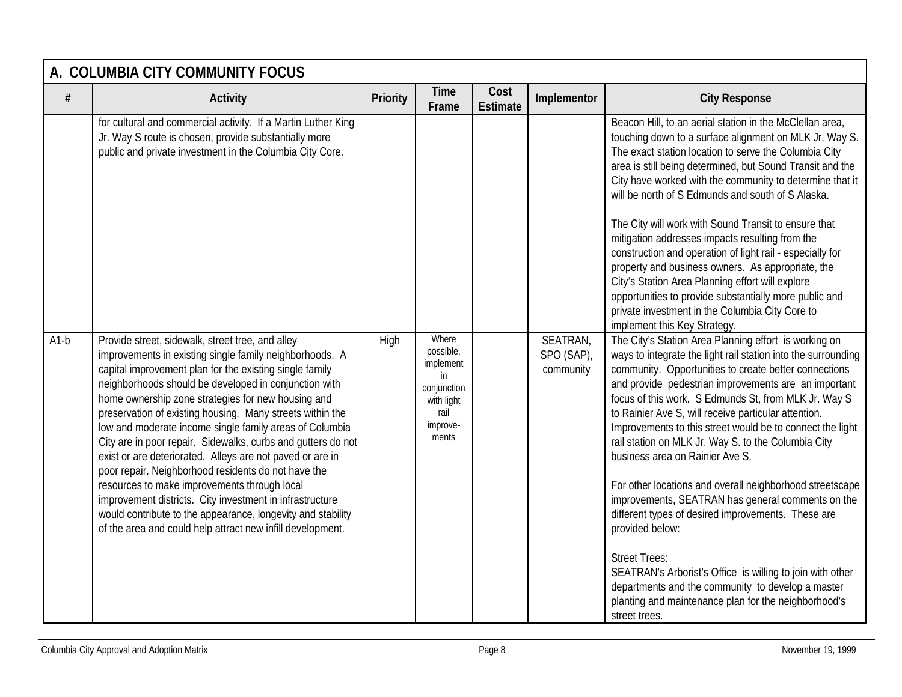|        | A. COLUMBIA CITY COMMUNITY FOCUS                                                                                                                                                                                                                                                                                                                                                                                                                                                                                                                                                                                                                                                                                                                                                                                                           |                 |                                                                                                 |                         |                                     |                                                                                                                                                                                                                                                                                                                                                                                                                                                                                                                                                                                                                                                                                                                                                                                                                                                                                                                             |
|--------|--------------------------------------------------------------------------------------------------------------------------------------------------------------------------------------------------------------------------------------------------------------------------------------------------------------------------------------------------------------------------------------------------------------------------------------------------------------------------------------------------------------------------------------------------------------------------------------------------------------------------------------------------------------------------------------------------------------------------------------------------------------------------------------------------------------------------------------------|-----------------|-------------------------------------------------------------------------------------------------|-------------------------|-------------------------------------|-----------------------------------------------------------------------------------------------------------------------------------------------------------------------------------------------------------------------------------------------------------------------------------------------------------------------------------------------------------------------------------------------------------------------------------------------------------------------------------------------------------------------------------------------------------------------------------------------------------------------------------------------------------------------------------------------------------------------------------------------------------------------------------------------------------------------------------------------------------------------------------------------------------------------------|
| $\#$   | Activity                                                                                                                                                                                                                                                                                                                                                                                                                                                                                                                                                                                                                                                                                                                                                                                                                                   | <b>Priority</b> | <b>Time</b><br>Frame                                                                            | Cost<br><b>Estimate</b> | Implementor                         | <b>City Response</b>                                                                                                                                                                                                                                                                                                                                                                                                                                                                                                                                                                                                                                                                                                                                                                                                                                                                                                        |
|        | for cultural and commercial activity. If a Martin Luther King<br>Jr. Way S route is chosen, provide substantially more<br>public and private investment in the Columbia City Core.                                                                                                                                                                                                                                                                                                                                                                                                                                                                                                                                                                                                                                                         |                 |                                                                                                 |                         |                                     | Beacon Hill, to an aerial station in the McClellan area,<br>touching down to a surface alignment on MLK Jr. Way S.<br>The exact station location to serve the Columbia City<br>area is still being determined, but Sound Transit and the<br>City have worked with the community to determine that it<br>will be north of S Edmunds and south of S Alaska.<br>The City will work with Sound Transit to ensure that<br>mitigation addresses impacts resulting from the<br>construction and operation of light rail - especially for<br>property and business owners. As appropriate, the<br>City's Station Area Planning effort will explore<br>opportunities to provide substantially more public and<br>private investment in the Columbia City Core to<br>implement this Key Strategy.                                                                                                                                     |
| $A1-b$ | Provide street, sidewalk, street tree, and alley<br>improvements in existing single family neighborhoods. A<br>capital improvement plan for the existing single family<br>neighborhoods should be developed in conjunction with<br>home ownership zone strategies for new housing and<br>preservation of existing housing. Many streets within the<br>low and moderate income single family areas of Columbia<br>City are in poor repair. Sidewalks, curbs and gutters do not<br>exist or are deteriorated. Alleys are not paved or are in<br>poor repair. Neighborhood residents do not have the<br>resources to make improvements through local<br>improvement districts. City investment in infrastructure<br>would contribute to the appearance, longevity and stability<br>of the area and could help attract new infill development. | High            | Where<br>possible,<br>implement<br>in<br>conjunction<br>with light<br>rail<br>improve-<br>ments |                         | SEATRAN,<br>SPO (SAP),<br>community | The City's Station Area Planning effort is working on<br>ways to integrate the light rail station into the surrounding<br>community. Opportunities to create better connections<br>and provide pedestrian improvements are an important<br>focus of this work. S Edmunds St, from MLK Jr. Way S<br>to Rainier Ave S, will receive particular attention.<br>Improvements to this street would be to connect the light<br>rail station on MLK Jr. Way S. to the Columbia City<br>business area on Rainier Ave S.<br>For other locations and overall neighborhood streetscape<br>improvements, SEATRAN has general comments on the<br>different types of desired improvements. These are<br>provided below:<br><b>Street Trees:</b><br>SEATRAN's Arborist's Office is willing to join with other<br>departments and the community to develop a master<br>planting and maintenance plan for the neighborhood's<br>street trees. |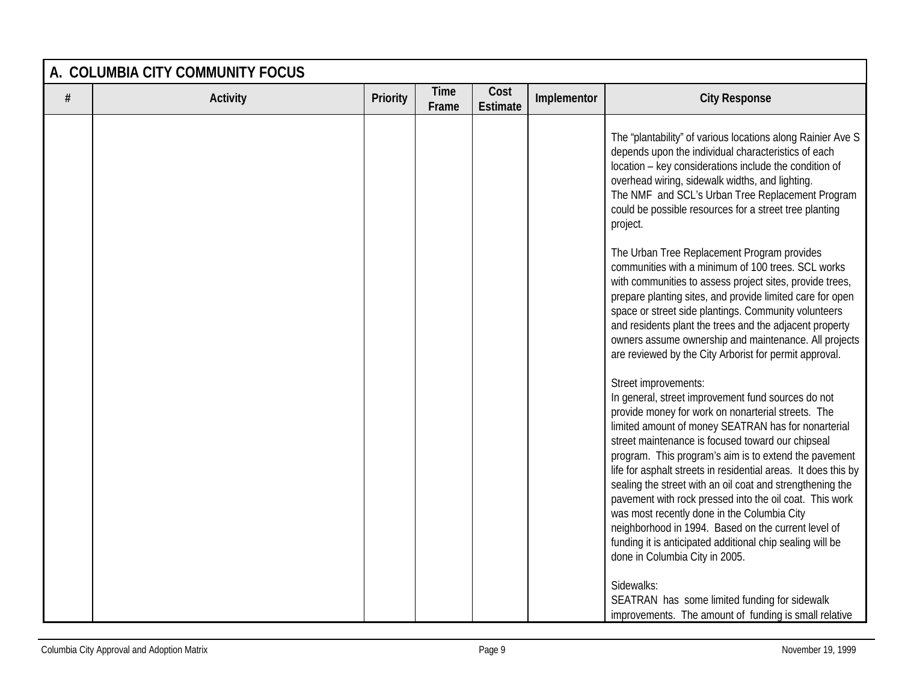|      | A. COLUMBIA CITY COMMUNITY FOCUS |          |                      |                         |             |                                                                                                                                                                                                                                                                                                                                                                                                                                                                                                                                                                                                                                                                                                      |  |  |  |
|------|----------------------------------|----------|----------------------|-------------------------|-------------|------------------------------------------------------------------------------------------------------------------------------------------------------------------------------------------------------------------------------------------------------------------------------------------------------------------------------------------------------------------------------------------------------------------------------------------------------------------------------------------------------------------------------------------------------------------------------------------------------------------------------------------------------------------------------------------------------|--|--|--|
| $\#$ | <b>Activity</b>                  | Priority | <b>Time</b><br>Frame | Cost<br><b>Estimate</b> | Implementor | <b>City Response</b>                                                                                                                                                                                                                                                                                                                                                                                                                                                                                                                                                                                                                                                                                 |  |  |  |
|      |                                  |          |                      |                         |             | The "plantability" of various locations along Rainier Ave S<br>depends upon the individual characteristics of each<br>location - key considerations include the condition of<br>overhead wiring, sidewalk widths, and lighting.<br>The NMF and SCL's Urban Tree Replacement Program<br>could be possible resources for a street tree planting<br>project.                                                                                                                                                                                                                                                                                                                                            |  |  |  |
|      |                                  |          |                      |                         |             | The Urban Tree Replacement Program provides<br>communities with a minimum of 100 trees. SCL works<br>with communities to assess project sites, provide trees,<br>prepare planting sites, and provide limited care for open<br>space or street side plantings. Community volunteers<br>and residents plant the trees and the adjacent property<br>owners assume ownership and maintenance. All projects<br>are reviewed by the City Arborist for permit approval.                                                                                                                                                                                                                                     |  |  |  |
|      |                                  |          |                      |                         |             | Street improvements:<br>In general, street improvement fund sources do not<br>provide money for work on nonarterial streets. The<br>limited amount of money SEATRAN has for nonarterial<br>street maintenance is focused toward our chipseal<br>program. This program's aim is to extend the pavement<br>life for asphalt streets in residential areas. It does this by<br>sealing the street with an oil coat and strengthening the<br>pavement with rock pressed into the oil coat. This work<br>was most recently done in the Columbia City<br>neighborhood in 1994. Based on the current level of<br>funding it is anticipated additional chip sealing will be<br>done in Columbia City in 2005. |  |  |  |
|      |                                  |          |                      |                         |             | Sidewalks:<br>SEATRAN has some limited funding for sidewalk<br>improvements. The amount of funding is small relative                                                                                                                                                                                                                                                                                                                                                                                                                                                                                                                                                                                 |  |  |  |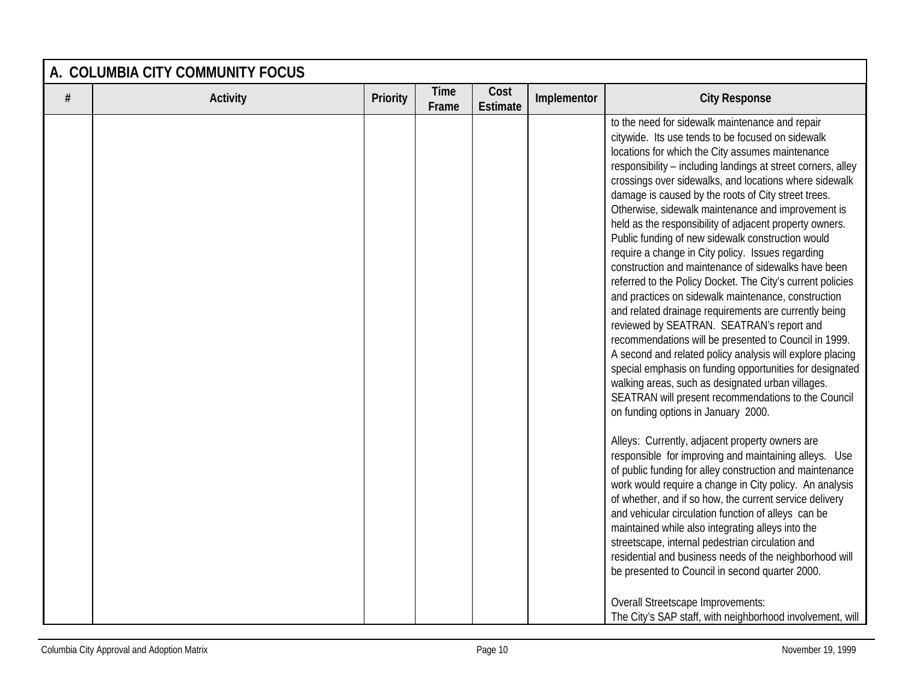| A. COLUMBIA CITY COMMUNITY FOCUS |                 |          |                      |                         |             |                                                                                                                                                                                                                                                                                                                                                                                                                                                                                                                                                                                                                                                                                                                                                                                                                                                                                                                                                                                                                                                                                                                                                                                                                                                                                                                                                                                                                                                                                                                                                                                                                                                                                                                                                                                                                                                                           |  |  |
|----------------------------------|-----------------|----------|----------------------|-------------------------|-------------|---------------------------------------------------------------------------------------------------------------------------------------------------------------------------------------------------------------------------------------------------------------------------------------------------------------------------------------------------------------------------------------------------------------------------------------------------------------------------------------------------------------------------------------------------------------------------------------------------------------------------------------------------------------------------------------------------------------------------------------------------------------------------------------------------------------------------------------------------------------------------------------------------------------------------------------------------------------------------------------------------------------------------------------------------------------------------------------------------------------------------------------------------------------------------------------------------------------------------------------------------------------------------------------------------------------------------------------------------------------------------------------------------------------------------------------------------------------------------------------------------------------------------------------------------------------------------------------------------------------------------------------------------------------------------------------------------------------------------------------------------------------------------------------------------------------------------------------------------------------------------|--|--|
| $\#$                             | <b>Activity</b> | Priority | <b>Time</b><br>Frame | Cost<br><b>Estimate</b> | Implementor | <b>City Response</b>                                                                                                                                                                                                                                                                                                                                                                                                                                                                                                                                                                                                                                                                                                                                                                                                                                                                                                                                                                                                                                                                                                                                                                                                                                                                                                                                                                                                                                                                                                                                                                                                                                                                                                                                                                                                                                                      |  |  |
|                                  |                 |          |                      |                         |             | to the need for sidewalk maintenance and repair<br>citywide. Its use tends to be focused on sidewalk<br>locations for which the City assumes maintenance<br>responsibility - including landings at street corners, alley<br>crossings over sidewalks, and locations where sidewalk<br>damage is caused by the roots of City street trees.<br>Otherwise, sidewalk maintenance and improvement is<br>held as the responsibility of adjacent property owners.<br>Public funding of new sidewalk construction would<br>require a change in City policy. Issues regarding<br>construction and maintenance of sidewalks have been<br>referred to the Policy Docket. The City's current policies<br>and practices on sidewalk maintenance, construction<br>and related drainage requirements are currently being<br>reviewed by SEATRAN. SEATRAN's report and<br>recommendations will be presented to Council in 1999.<br>A second and related policy analysis will explore placing<br>special emphasis on funding opportunities for designated<br>walking areas, such as designated urban villages.<br>SEATRAN will present recommendations to the Council<br>on funding options in January 2000.<br>Alleys: Currently, adjacent property owners are<br>responsible for improving and maintaining alleys. Use<br>of public funding for alley construction and maintenance<br>work would require a change in City policy. An analysis<br>of whether, and if so how, the current service delivery<br>and vehicular circulation function of alleys can be<br>maintained while also integrating alleys into the<br>streetscape, internal pedestrian circulation and<br>residential and business needs of the neighborhood will<br>be presented to Council in second quarter 2000.<br>Overall Streetscape Improvements:<br>The City's SAP staff, with neighborhood involvement, will |  |  |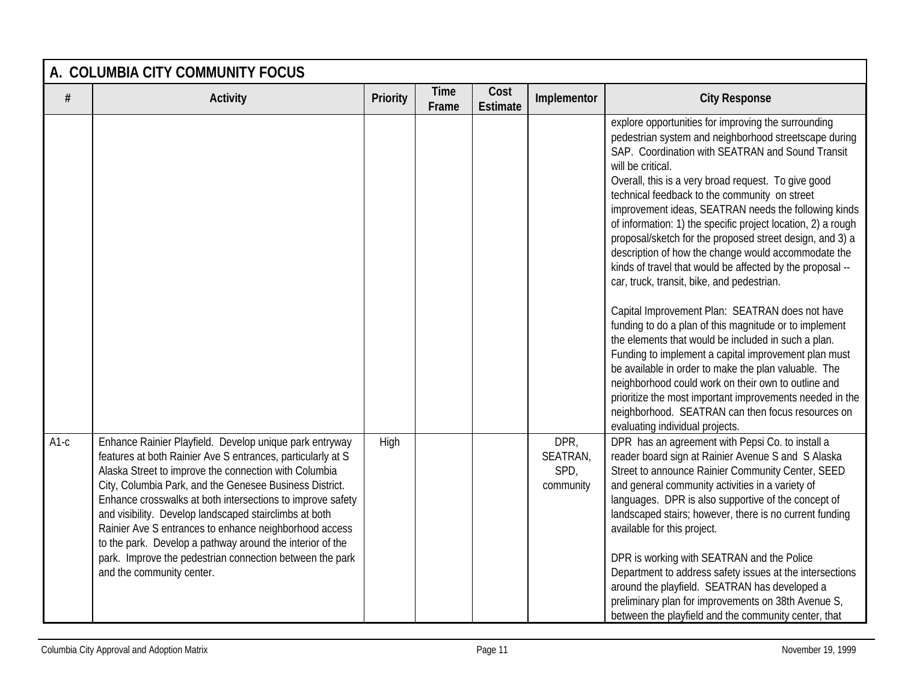|        | A. COLUMBIA CITY COMMUNITY FOCUS                                                                                                                                                                                                                                                                                                                                                                                                                                                                                                                                                   |                 |                      |                         |                                       |                                                                                                                                                                                                                                                                                                                                                                                                                                                                                                                                                                                                                                                                                                                                                                                                                                                                                                                                                                                                                                                                                                                                                    |  |  |  |
|--------|------------------------------------------------------------------------------------------------------------------------------------------------------------------------------------------------------------------------------------------------------------------------------------------------------------------------------------------------------------------------------------------------------------------------------------------------------------------------------------------------------------------------------------------------------------------------------------|-----------------|----------------------|-------------------------|---------------------------------------|----------------------------------------------------------------------------------------------------------------------------------------------------------------------------------------------------------------------------------------------------------------------------------------------------------------------------------------------------------------------------------------------------------------------------------------------------------------------------------------------------------------------------------------------------------------------------------------------------------------------------------------------------------------------------------------------------------------------------------------------------------------------------------------------------------------------------------------------------------------------------------------------------------------------------------------------------------------------------------------------------------------------------------------------------------------------------------------------------------------------------------------------------|--|--|--|
| $\#$   | <b>Activity</b>                                                                                                                                                                                                                                                                                                                                                                                                                                                                                                                                                                    | <b>Priority</b> | <b>Time</b><br>Frame | Cost<br><b>Estimate</b> | Implementor                           | <b>City Response</b>                                                                                                                                                                                                                                                                                                                                                                                                                                                                                                                                                                                                                                                                                                                                                                                                                                                                                                                                                                                                                                                                                                                               |  |  |  |
|        |                                                                                                                                                                                                                                                                                                                                                                                                                                                                                                                                                                                    |                 |                      |                         |                                       | explore opportunities for improving the surrounding<br>pedestrian system and neighborhood streetscape during<br>SAP. Coordination with SEATRAN and Sound Transit<br>will be critical.<br>Overall, this is a very broad request. To give good<br>technical feedback to the community on street<br>improvement ideas, SEATRAN needs the following kinds<br>of information: 1) the specific project location, 2) a rough<br>proposal/sketch for the proposed street design, and 3) a<br>description of how the change would accommodate the<br>kinds of travel that would be affected by the proposal --<br>car, truck, transit, bike, and pedestrian.<br>Capital Improvement Plan: SEATRAN does not have<br>funding to do a plan of this magnitude or to implement<br>the elements that would be included in such a plan.<br>Funding to implement a capital improvement plan must<br>be available in order to make the plan valuable. The<br>neighborhood could work on their own to outline and<br>prioritize the most important improvements needed in the<br>neighborhood. SEATRAN can then focus resources on<br>evaluating individual projects. |  |  |  |
| $A1-c$ | Enhance Rainier Playfield. Develop unique park entryway<br>features at both Rainier Ave S entrances, particularly at S<br>Alaska Street to improve the connection with Columbia<br>City, Columbia Park, and the Genesee Business District.<br>Enhance crosswalks at both intersections to improve safety<br>and visibility. Develop landscaped stairclimbs at both<br>Rainier Ave S entrances to enhance neighborhood access<br>to the park. Develop a pathway around the interior of the<br>park. Improve the pedestrian connection between the park<br>and the community center. | High            |                      |                         | DPR,<br>SEATRAN,<br>SPD,<br>community | DPR has an agreement with Pepsi Co. to install a<br>reader board sign at Rainier Avenue S and S Alaska<br>Street to announce Rainier Community Center, SEED<br>and general community activities in a variety of<br>languages. DPR is also supportive of the concept of<br>landscaped stairs; however, there is no current funding<br>available for this project.<br>DPR is working with SEATRAN and the Police<br>Department to address safety issues at the intersections<br>around the playfield. SEATRAN has developed a<br>preliminary plan for improvements on 38th Avenue S,<br>between the playfield and the community center, that                                                                                                                                                                                                                                                                                                                                                                                                                                                                                                         |  |  |  |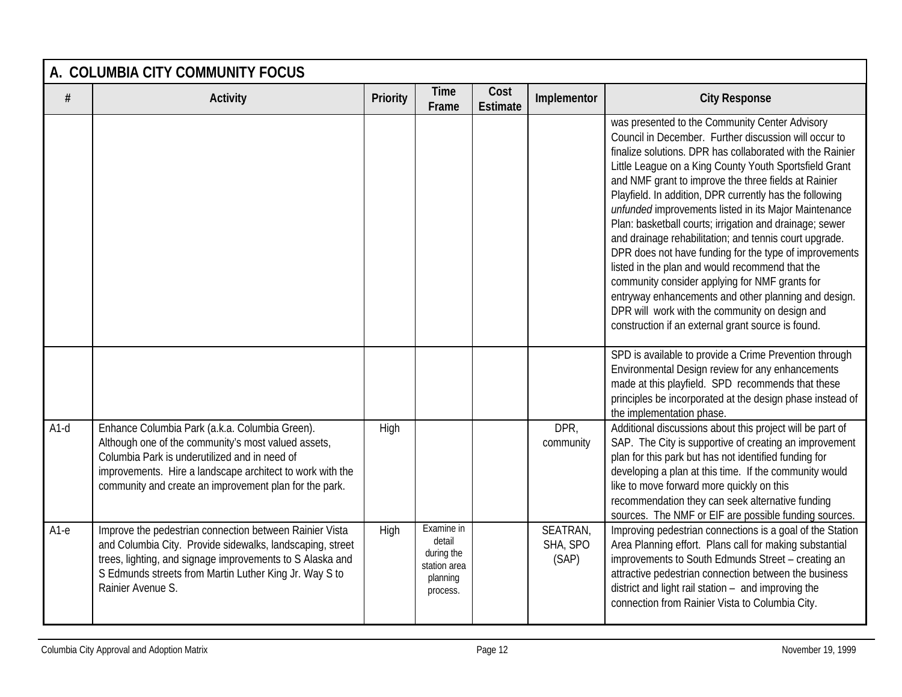|        | A. COLUMBIA CITY COMMUNITY FOCUS                                                                                                                                                                                                                                              |          |                                                                            |                         |                               |                                                                                                                                                                                                                                                                                                                                                                                                                                                                                                                                                                                                                                                                                                                                                                                                                                                                |  |  |  |
|--------|-------------------------------------------------------------------------------------------------------------------------------------------------------------------------------------------------------------------------------------------------------------------------------|----------|----------------------------------------------------------------------------|-------------------------|-------------------------------|----------------------------------------------------------------------------------------------------------------------------------------------------------------------------------------------------------------------------------------------------------------------------------------------------------------------------------------------------------------------------------------------------------------------------------------------------------------------------------------------------------------------------------------------------------------------------------------------------------------------------------------------------------------------------------------------------------------------------------------------------------------------------------------------------------------------------------------------------------------|--|--|--|
| $\#$   | <b>Activity</b>                                                                                                                                                                                                                                                               | Priority | <b>Time</b><br>Frame                                                       | Cost<br><b>Estimate</b> | Implementor                   | <b>City Response</b>                                                                                                                                                                                                                                                                                                                                                                                                                                                                                                                                                                                                                                                                                                                                                                                                                                           |  |  |  |
|        |                                                                                                                                                                                                                                                                               |          |                                                                            |                         |                               | was presented to the Community Center Advisory<br>Council in December. Further discussion will occur to<br>finalize solutions. DPR has collaborated with the Rainier<br>Little League on a King County Youth Sportsfield Grant<br>and NMF grant to improve the three fields at Rainier<br>Playfield. In addition, DPR currently has the following<br>unfunded improvements listed in its Major Maintenance<br>Plan: basketball courts; irrigation and drainage; sewer<br>and drainage rehabilitation; and tennis court upgrade.<br>DPR does not have funding for the type of improvements<br>listed in the plan and would recommend that the<br>community consider applying for NMF grants for<br>entryway enhancements and other planning and design.<br>DPR will work with the community on design and<br>construction if an external grant source is found. |  |  |  |
|        |                                                                                                                                                                                                                                                                               |          |                                                                            |                         |                               | SPD is available to provide a Crime Prevention through<br>Environmental Design review for any enhancements<br>made at this playfield. SPD recommends that these<br>principles be incorporated at the design phase instead of<br>the implementation phase.                                                                                                                                                                                                                                                                                                                                                                                                                                                                                                                                                                                                      |  |  |  |
| $A1-d$ | Enhance Columbia Park (a.k.a. Columbia Green).<br>Although one of the community's most valued assets,<br>Columbia Park is underutilized and in need of<br>improvements. Hire a landscape architect to work with the<br>community and create an improvement plan for the park. | High     |                                                                            |                         | DPR,<br>community             | Additional discussions about this project will be part of<br>SAP. The City is supportive of creating an improvement<br>plan for this park but has not identified funding for<br>developing a plan at this time. If the community would<br>like to move forward more quickly on this<br>recommendation they can seek alternative funding<br>sources. The NMF or EIF are possible funding sources.                                                                                                                                                                                                                                                                                                                                                                                                                                                               |  |  |  |
| $A1-e$ | Improve the pedestrian connection between Rainier Vista<br>and Columbia City. Provide sidewalks, landscaping, street<br>trees, lighting, and signage improvements to S Alaska and<br>S Edmunds streets from Martin Luther King Jr. Way S to<br>Rainier Avenue S.              | High     | Examine in<br>detail<br>during the<br>station area<br>planning<br>process. |                         | SEATRAN,<br>SHA, SPO<br>(SAP) | Improving pedestrian connections is a goal of the Station<br>Area Planning effort. Plans call for making substantial<br>improvements to South Edmunds Street - creating an<br>attractive pedestrian connection between the business<br>district and light rail station - and improving the<br>connection from Rainier Vista to Columbia City.                                                                                                                                                                                                                                                                                                                                                                                                                                                                                                                  |  |  |  |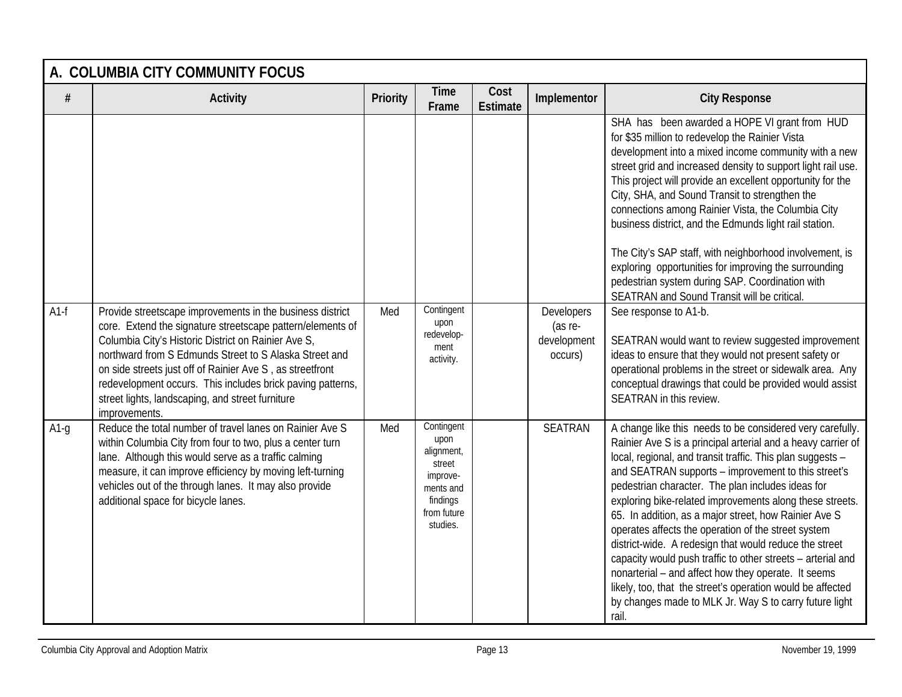|        | A. COLUMBIA CITY COMMUNITY FOCUS                                                                                                                                                                                                                                                                                                                                                                                                         |                 |                                                                                                            |                         |                                                 |                                                                                                                                                                                                                                                                                                                                                                                                                                                                                                                                                                                                                                                                                                                                                                                                  |  |  |  |
|--------|------------------------------------------------------------------------------------------------------------------------------------------------------------------------------------------------------------------------------------------------------------------------------------------------------------------------------------------------------------------------------------------------------------------------------------------|-----------------|------------------------------------------------------------------------------------------------------------|-------------------------|-------------------------------------------------|--------------------------------------------------------------------------------------------------------------------------------------------------------------------------------------------------------------------------------------------------------------------------------------------------------------------------------------------------------------------------------------------------------------------------------------------------------------------------------------------------------------------------------------------------------------------------------------------------------------------------------------------------------------------------------------------------------------------------------------------------------------------------------------------------|--|--|--|
| #      | <b>Activity</b>                                                                                                                                                                                                                                                                                                                                                                                                                          | <b>Priority</b> | <b>Time</b><br>Frame                                                                                       | Cost<br><b>Estimate</b> | Implementor                                     | <b>City Response</b>                                                                                                                                                                                                                                                                                                                                                                                                                                                                                                                                                                                                                                                                                                                                                                             |  |  |  |
|        |                                                                                                                                                                                                                                                                                                                                                                                                                                          |                 |                                                                                                            |                         |                                                 | SHA has been awarded a HOPE VI grant from HUD<br>for \$35 million to redevelop the Rainier Vista<br>development into a mixed income community with a new<br>street grid and increased density to support light rail use.<br>This project will provide an excellent opportunity for the<br>City, SHA, and Sound Transit to strengthen the<br>connections among Rainier Vista, the Columbia City<br>business district, and the Edmunds light rail station.<br>The City's SAP staff, with neighborhood involvement, is<br>exploring opportunities for improving the surrounding<br>pedestrian system during SAP. Coordination with<br>SEATRAN and Sound Transit will be critical                                                                                                                    |  |  |  |
| $A1-f$ | Provide streetscape improvements in the business district<br>core. Extend the signature streetscape pattern/elements of<br>Columbia City's Historic District on Rainier Ave S,<br>northward from S Edmunds Street to S Alaska Street and<br>on side streets just off of Rainier Ave S, as streetfront<br>redevelopment occurs. This includes brick paving patterns,<br>street lights, landscaping, and street furniture<br>improvements. | Med             | Contingent<br>upon<br>redevelop-<br>ment<br>activity.                                                      |                         | Developers<br>(as re-<br>development<br>occurs) | See response to A1-b.<br>SEATRAN would want to review suggested improvement<br>ideas to ensure that they would not present safety or<br>operational problems in the street or sidewalk area. Any<br>conceptual drawings that could be provided would assist<br>SEATRAN in this review.                                                                                                                                                                                                                                                                                                                                                                                                                                                                                                           |  |  |  |
| $A1-g$ | Reduce the total number of travel lanes on Rainier Ave S<br>within Columbia City from four to two, plus a center turn<br>lane. Although this would serve as a traffic calming<br>measure, it can improve efficiency by moving left-turning<br>vehicles out of the through lanes. It may also provide<br>additional space for bicycle lanes.                                                                                              | Med             | Contingent<br>upon<br>alignment,<br>street<br>improve-<br>ments and<br>findings<br>from future<br>studies. |                         | SEATRAN                                         | A change like this needs to be considered very carefully.<br>Rainier Ave S is a principal arterial and a heavy carrier of<br>local, regional, and transit traffic. This plan suggests -<br>and SEATRAN supports - improvement to this street's<br>pedestrian character. The plan includes ideas for<br>exploring bike-related improvements along these streets.<br>65. In addition, as a major street, how Rainier Ave S<br>operates affects the operation of the street system<br>district-wide. A redesign that would reduce the street<br>capacity would push traffic to other streets - arterial and<br>nonarterial - and affect how they operate. It seems<br>likely, too, that the street's operation would be affected<br>by changes made to MLK Jr. Way S to carry future light<br>rail. |  |  |  |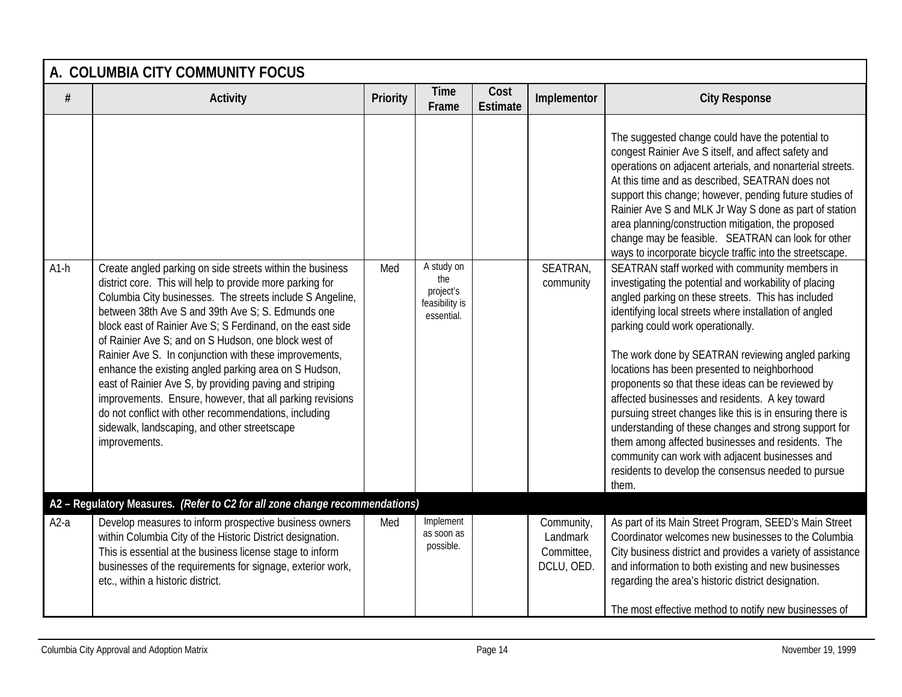|        | A. COLUMBIA CITY COMMUNITY FOCUS                                                                                                                                                                                                                                                                                                                                                                                                                                                                                                                                                                                                                                                                                                    |                 |                                                                |                         |                                                    |                                                                                                                                                                                                                                                                                                                                                                                                                                                                                                                                                                                                                                                                                                                                                                          |  |  |  |  |
|--------|-------------------------------------------------------------------------------------------------------------------------------------------------------------------------------------------------------------------------------------------------------------------------------------------------------------------------------------------------------------------------------------------------------------------------------------------------------------------------------------------------------------------------------------------------------------------------------------------------------------------------------------------------------------------------------------------------------------------------------------|-----------------|----------------------------------------------------------------|-------------------------|----------------------------------------------------|--------------------------------------------------------------------------------------------------------------------------------------------------------------------------------------------------------------------------------------------------------------------------------------------------------------------------------------------------------------------------------------------------------------------------------------------------------------------------------------------------------------------------------------------------------------------------------------------------------------------------------------------------------------------------------------------------------------------------------------------------------------------------|--|--|--|--|
| $\#$   | Activity                                                                                                                                                                                                                                                                                                                                                                                                                                                                                                                                                                                                                                                                                                                            | <b>Priority</b> | <b>Time</b><br>Frame                                           | Cost<br><b>Estimate</b> | Implementor                                        | <b>City Response</b>                                                                                                                                                                                                                                                                                                                                                                                                                                                                                                                                                                                                                                                                                                                                                     |  |  |  |  |
|        |                                                                                                                                                                                                                                                                                                                                                                                                                                                                                                                                                                                                                                                                                                                                     |                 |                                                                |                         |                                                    | The suggested change could have the potential to<br>congest Rainier Ave S itself, and affect safety and<br>operations on adjacent arterials, and nonarterial streets.<br>At this time and as described, SEATRAN does not<br>support this change; however, pending future studies of<br>Rainier Ave S and MLK Jr Way S done as part of station<br>area planning/construction mitigation, the proposed<br>change may be feasible. SEATRAN can look for other<br>ways to incorporate bicycle traffic into the streetscape.                                                                                                                                                                                                                                                  |  |  |  |  |
| $A1-h$ | Create angled parking on side streets within the business<br>district core. This will help to provide more parking for<br>Columbia City businesses. The streets include S Angeline,<br>between 38th Ave S and 39th Ave S; S. Edmunds one<br>block east of Rainier Ave S; S Ferdinand, on the east side<br>of Rainier Ave S; and on S Hudson, one block west of<br>Rainier Ave S. In conjunction with these improvements,<br>enhance the existing angled parking area on S Hudson,<br>east of Rainier Ave S, by providing paving and striping<br>improvements. Ensure, however, that all parking revisions<br>do not conflict with other recommendations, including<br>sidewalk, landscaping, and other streetscape<br>improvements. | Med             | A study on<br>the<br>project's<br>feasibility is<br>essential. |                         | SEATRAN,<br>community                              | SEATRAN staff worked with community members in<br>investigating the potential and workability of placing<br>angled parking on these streets. This has included<br>identifying local streets where installation of angled<br>parking could work operationally.<br>The work done by SEATRAN reviewing angled parking<br>locations has been presented to neighborhood<br>proponents so that these ideas can be reviewed by<br>affected businesses and residents. A key toward<br>pursuing street changes like this is in ensuring there is<br>understanding of these changes and strong support for<br>them among affected businesses and residents. The<br>community can work with adjacent businesses and<br>residents to develop the consensus needed to pursue<br>them. |  |  |  |  |
|        | A2 - Regulatory Measures. (Refer to C2 for all zone change recommendations)                                                                                                                                                                                                                                                                                                                                                                                                                                                                                                                                                                                                                                                         |                 |                                                                |                         |                                                    |                                                                                                                                                                                                                                                                                                                                                                                                                                                                                                                                                                                                                                                                                                                                                                          |  |  |  |  |
| $A2-a$ | Develop measures to inform prospective business owners<br>within Columbia City of the Historic District designation.<br>This is essential at the business license stage to inform<br>businesses of the requirements for signage, exterior work,<br>etc., within a historic district.                                                                                                                                                                                                                                                                                                                                                                                                                                                | Med             | Implement<br>as soon as<br>possible.                           |                         | Community,<br>Landmark<br>Committee,<br>DCLU, OED. | As part of its Main Street Program, SEED's Main Street<br>Coordinator welcomes new businesses to the Columbia<br>City business district and provides a variety of assistance<br>and information to both existing and new businesses<br>regarding the area's historic district designation.<br>The most effective method to notify new businesses of                                                                                                                                                                                                                                                                                                                                                                                                                      |  |  |  |  |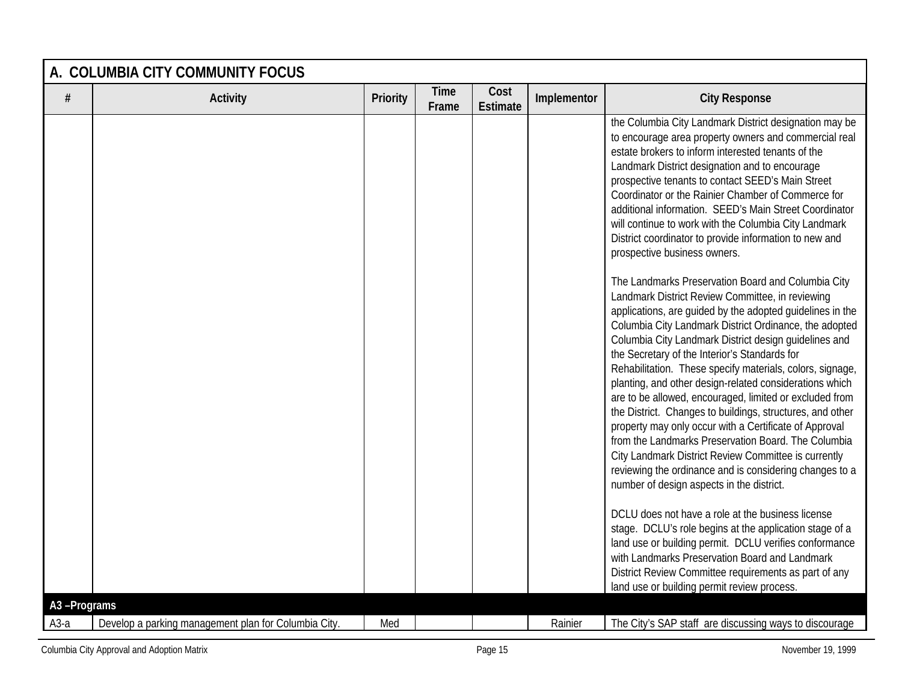|             | A. COLUMBIA CITY COMMUNITY FOCUS                     |          |                      |                         |             |                                                                                                                                                                                                                                                                                                                                                                                                                                                                                                                                                                                                                                                                                                                                                                                                                                                                                                                                                                                                                                                                                                                                                                                                                                                                                                                                                                                                                                                                                                                                                                                                                                                                                                                                                                 |  |  |
|-------------|------------------------------------------------------|----------|----------------------|-------------------------|-------------|-----------------------------------------------------------------------------------------------------------------------------------------------------------------------------------------------------------------------------------------------------------------------------------------------------------------------------------------------------------------------------------------------------------------------------------------------------------------------------------------------------------------------------------------------------------------------------------------------------------------------------------------------------------------------------------------------------------------------------------------------------------------------------------------------------------------------------------------------------------------------------------------------------------------------------------------------------------------------------------------------------------------------------------------------------------------------------------------------------------------------------------------------------------------------------------------------------------------------------------------------------------------------------------------------------------------------------------------------------------------------------------------------------------------------------------------------------------------------------------------------------------------------------------------------------------------------------------------------------------------------------------------------------------------------------------------------------------------------------------------------------------------|--|--|
| #           | <b>Activity</b>                                      | Priority | <b>Time</b><br>Frame | Cost<br><b>Estimate</b> | Implementor | <b>City Response</b>                                                                                                                                                                                                                                                                                                                                                                                                                                                                                                                                                                                                                                                                                                                                                                                                                                                                                                                                                                                                                                                                                                                                                                                                                                                                                                                                                                                                                                                                                                                                                                                                                                                                                                                                            |  |  |
|             |                                                      |          |                      |                         |             | the Columbia City Landmark District designation may be<br>to encourage area property owners and commercial real<br>estate brokers to inform interested tenants of the<br>Landmark District designation and to encourage<br>prospective tenants to contact SEED's Main Street<br>Coordinator or the Rainier Chamber of Commerce for<br>additional information. SEED's Main Street Coordinator<br>will continue to work with the Columbia City Landmark<br>District coordinator to provide information to new and<br>prospective business owners.<br>The Landmarks Preservation Board and Columbia City<br>Landmark District Review Committee, in reviewing<br>applications, are guided by the adopted guidelines in the<br>Columbia City Landmark District Ordinance, the adopted<br>Columbia City Landmark District design guidelines and<br>the Secretary of the Interior's Standards for<br>Rehabilitation. These specify materials, colors, signage,<br>planting, and other design-related considerations which<br>are to be allowed, encouraged, limited or excluded from<br>the District. Changes to buildings, structures, and other<br>property may only occur with a Certificate of Approval<br>from the Landmarks Preservation Board. The Columbia<br>City Landmark District Review Committee is currently<br>reviewing the ordinance and is considering changes to a<br>number of design aspects in the district.<br>DCLU does not have a role at the business license<br>stage. DCLU's role begins at the application stage of a<br>land use or building permit. DCLU verifies conformance<br>with Landmarks Preservation Board and Landmark<br>District Review Committee requirements as part of any<br>land use or building permit review process. |  |  |
| A3-Programs |                                                      |          |                      |                         |             |                                                                                                                                                                                                                                                                                                                                                                                                                                                                                                                                                                                                                                                                                                                                                                                                                                                                                                                                                                                                                                                                                                                                                                                                                                                                                                                                                                                                                                                                                                                                                                                                                                                                                                                                                                 |  |  |
| $A3-a$      | Develop a parking management plan for Columbia City. | Med      |                      |                         | Rainier     | The City's SAP staff are discussing ways to discourage                                                                                                                                                                                                                                                                                                                                                                                                                                                                                                                                                                                                                                                                                                                                                                                                                                                                                                                                                                                                                                                                                                                                                                                                                                                                                                                                                                                                                                                                                                                                                                                                                                                                                                          |  |  |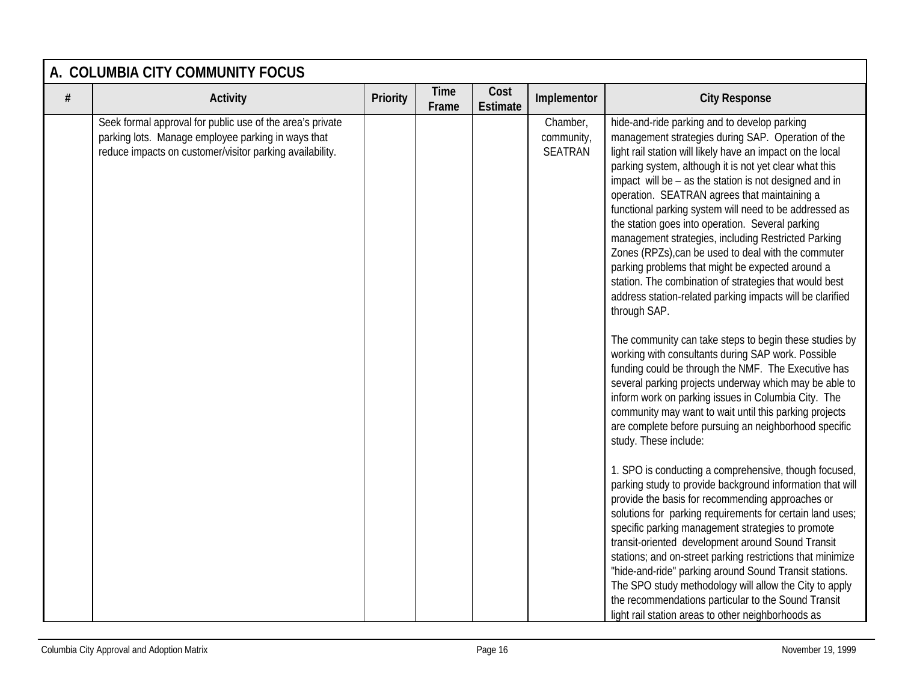|      | A. COLUMBIA CITY COMMUNITY FOCUS                                                                                                                                            |          |                      |                         |                                   |                                                                                                                                                                                                                                                                                                                                                                                                                                                                                                                                                                                                                                                                                                                                                                                                                                                                                                                                                                                                                                                                                                                                                                                                                                                                                                                                                                                                                                                                                                                                                                                                                |  |  |  |  |
|------|-----------------------------------------------------------------------------------------------------------------------------------------------------------------------------|----------|----------------------|-------------------------|-----------------------------------|----------------------------------------------------------------------------------------------------------------------------------------------------------------------------------------------------------------------------------------------------------------------------------------------------------------------------------------------------------------------------------------------------------------------------------------------------------------------------------------------------------------------------------------------------------------------------------------------------------------------------------------------------------------------------------------------------------------------------------------------------------------------------------------------------------------------------------------------------------------------------------------------------------------------------------------------------------------------------------------------------------------------------------------------------------------------------------------------------------------------------------------------------------------------------------------------------------------------------------------------------------------------------------------------------------------------------------------------------------------------------------------------------------------------------------------------------------------------------------------------------------------------------------------------------------------------------------------------------------------|--|--|--|--|
| $\#$ | <b>Activity</b>                                                                                                                                                             | Priority | <b>Time</b><br>Frame | Cost<br><b>Estimate</b> | Implementor                       | <b>City Response</b>                                                                                                                                                                                                                                                                                                                                                                                                                                                                                                                                                                                                                                                                                                                                                                                                                                                                                                                                                                                                                                                                                                                                                                                                                                                                                                                                                                                                                                                                                                                                                                                           |  |  |  |  |
|      | Seek formal approval for public use of the area's private<br>parking lots. Manage employee parking in ways that<br>reduce impacts on customer/visitor parking availability. |          |                      |                         | Chamber,<br>community,<br>SEATRAN | hide-and-ride parking and to develop parking<br>management strategies during SAP. Operation of the<br>light rail station will likely have an impact on the local<br>parking system, although it is not yet clear what this<br>impact will be - as the station is not designed and in<br>operation. SEATRAN agrees that maintaining a<br>functional parking system will need to be addressed as<br>the station goes into operation. Several parking<br>management strategies, including Restricted Parking<br>Zones (RPZs), can be used to deal with the commuter<br>parking problems that might be expected around a<br>station. The combination of strategies that would best<br>address station-related parking impacts will be clarified<br>through SAP.<br>The community can take steps to begin these studies by<br>working with consultants during SAP work. Possible<br>funding could be through the NMF. The Executive has<br>several parking projects underway which may be able to<br>inform work on parking issues in Columbia City. The<br>community may want to wait until this parking projects<br>are complete before pursuing an neighborhood specific<br>study. These include:<br>1. SPO is conducting a comprehensive, though focused,<br>parking study to provide background information that will<br>provide the basis for recommending approaches or<br>solutions for parking requirements for certain land uses;<br>specific parking management strategies to promote<br>transit-oriented development around Sound Transit<br>stations; and on-street parking restrictions that minimize |  |  |  |  |
|      |                                                                                                                                                                             |          |                      |                         |                                   | "hide-and-ride" parking around Sound Transit stations.<br>The SPO study methodology will allow the City to apply<br>the recommendations particular to the Sound Transit<br>light rail station areas to other neighborhoods as                                                                                                                                                                                                                                                                                                                                                                                                                                                                                                                                                                                                                                                                                                                                                                                                                                                                                                                                                                                                                                                                                                                                                                                                                                                                                                                                                                                  |  |  |  |  |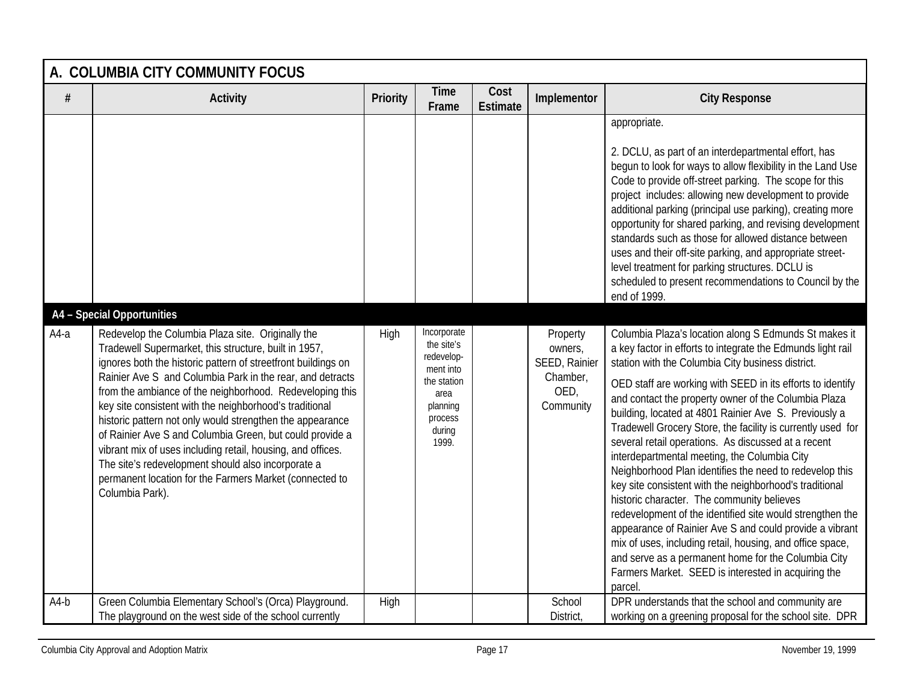|        | A. COLUMBIA CITY COMMUNITY FOCUS                                                                                                                                                                                                                                                                                                                                                                                                                                                                                                                                                                                                                                                                                          |          |                                                                                                                       |                         |                                                                       |                                                                                                                                                                                                                                                                                                                                                                                                                                                                                                                                                                                                                                                                                                                                                                                                                                                                                                                                                                                                                                                                                                                                                                                                                                                                                                                                                                                                                                                                                                                                                                                                                                                      |  |  |  |  |
|--------|---------------------------------------------------------------------------------------------------------------------------------------------------------------------------------------------------------------------------------------------------------------------------------------------------------------------------------------------------------------------------------------------------------------------------------------------------------------------------------------------------------------------------------------------------------------------------------------------------------------------------------------------------------------------------------------------------------------------------|----------|-----------------------------------------------------------------------------------------------------------------------|-------------------------|-----------------------------------------------------------------------|------------------------------------------------------------------------------------------------------------------------------------------------------------------------------------------------------------------------------------------------------------------------------------------------------------------------------------------------------------------------------------------------------------------------------------------------------------------------------------------------------------------------------------------------------------------------------------------------------------------------------------------------------------------------------------------------------------------------------------------------------------------------------------------------------------------------------------------------------------------------------------------------------------------------------------------------------------------------------------------------------------------------------------------------------------------------------------------------------------------------------------------------------------------------------------------------------------------------------------------------------------------------------------------------------------------------------------------------------------------------------------------------------------------------------------------------------------------------------------------------------------------------------------------------------------------------------------------------------------------------------------------------------|--|--|--|--|
| $\#$   | <b>Activity</b>                                                                                                                                                                                                                                                                                                                                                                                                                                                                                                                                                                                                                                                                                                           | Priority | <b>Time</b><br>Frame                                                                                                  | Cost<br><b>Estimate</b> | Implementor                                                           | <b>City Response</b>                                                                                                                                                                                                                                                                                                                                                                                                                                                                                                                                                                                                                                                                                                                                                                                                                                                                                                                                                                                                                                                                                                                                                                                                                                                                                                                                                                                                                                                                                                                                                                                                                                 |  |  |  |  |
| $A4-a$ | A4 - Special Opportunities<br>Redevelop the Columbia Plaza site. Originally the<br>Tradewell Supermarket, this structure, built in 1957,<br>ignores both the historic pattern of streetfront buildings on<br>Rainier Ave S and Columbia Park in the rear, and detracts<br>from the ambiance of the neighborhood. Redeveloping this<br>key site consistent with the neighborhood's traditional<br>historic pattern not only would strengthen the appearance<br>of Rainier Ave S and Columbia Green, but could provide a<br>vibrant mix of uses including retail, housing, and offices.<br>The site's redevelopment should also incorporate a<br>permanent location for the Farmers Market (connected to<br>Columbia Park). | High     | Incorporate<br>the site's<br>redevelop-<br>ment into<br>the station<br>area<br>planning<br>process<br>during<br>1999. |                         | Property<br>owners,<br>SEED, Rainier<br>Chamber,<br>OED,<br>Community | appropriate.<br>2. DCLU, as part of an interdepartmental effort, has<br>begun to look for ways to allow flexibility in the Land Use<br>Code to provide off-street parking. The scope for this<br>project includes: allowing new development to provide<br>additional parking (principal use parking), creating more<br>opportunity for shared parking, and revising development<br>standards such as those for allowed distance between<br>uses and their off-site parking, and appropriate street-<br>level treatment for parking structures. DCLU is<br>scheduled to present recommendations to Council by the<br>end of 1999.<br>Columbia Plaza's location along S Edmunds St makes it<br>a key factor in efforts to integrate the Edmunds light rail<br>station with the Columbia City business district.<br>OED staff are working with SEED in its efforts to identify<br>and contact the property owner of the Columbia Plaza<br>building, located at 4801 Rainier Ave S. Previously a<br>Tradewell Grocery Store, the facility is currently used for<br>several retail operations. As discussed at a recent<br>interdepartmental meeting, the Columbia City<br>Neighborhood Plan identifies the need to redevelop this<br>key site consistent with the neighborhood's traditional<br>historic character. The community believes<br>redevelopment of the identified site would strengthen the<br>appearance of Rainier Ave S and could provide a vibrant<br>mix of uses, including retail, housing, and office space,<br>and serve as a permanent home for the Columbia City<br>Farmers Market. SEED is interested in acquiring the<br>parcel. |  |  |  |  |
| $A4-b$ | Green Columbia Elementary School's (Orca) Playground.<br>The playground on the west side of the school currently                                                                                                                                                                                                                                                                                                                                                                                                                                                                                                                                                                                                          | High     |                                                                                                                       |                         | School<br><b>District</b>                                             | DPR understands that the school and community are<br>working on a greening proposal for the school site. DPR                                                                                                                                                                                                                                                                                                                                                                                                                                                                                                                                                                                                                                                                                                                                                                                                                                                                                                                                                                                                                                                                                                                                                                                                                                                                                                                                                                                                                                                                                                                                         |  |  |  |  |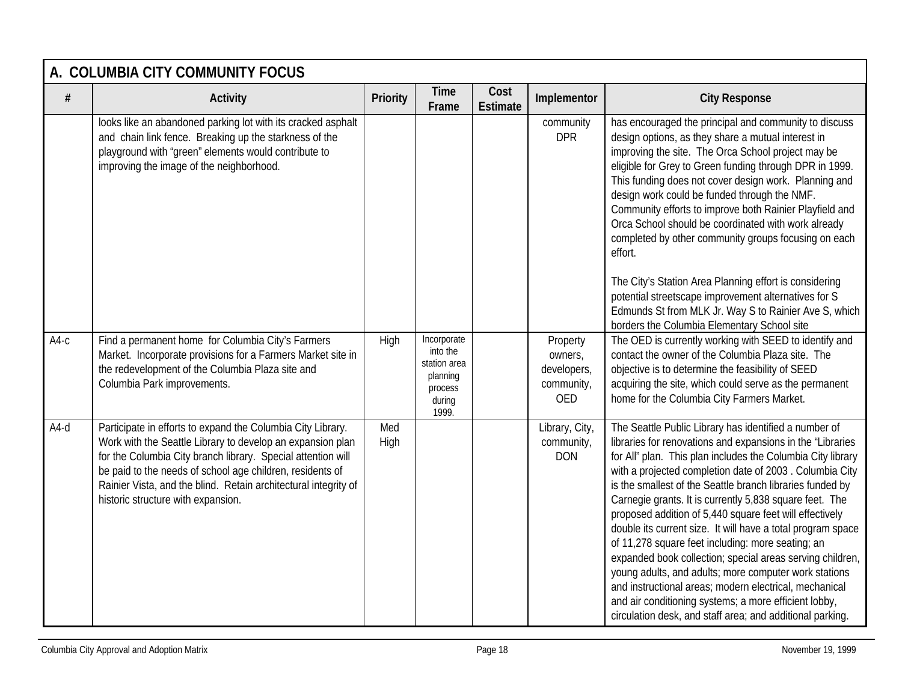|        | A. COLUMBIA CITY COMMUNITY FOCUS                                                                                                                                                                                                                                                                                                                                |             |                                                                                   |                         |                                                         |                                                                                                                                                                                                                                                                                                                                                                                                                                                                                                                                                                                                                                                                                                                                                                                                                                                            |  |  |  |  |  |
|--------|-----------------------------------------------------------------------------------------------------------------------------------------------------------------------------------------------------------------------------------------------------------------------------------------------------------------------------------------------------------------|-------------|-----------------------------------------------------------------------------------|-------------------------|---------------------------------------------------------|------------------------------------------------------------------------------------------------------------------------------------------------------------------------------------------------------------------------------------------------------------------------------------------------------------------------------------------------------------------------------------------------------------------------------------------------------------------------------------------------------------------------------------------------------------------------------------------------------------------------------------------------------------------------------------------------------------------------------------------------------------------------------------------------------------------------------------------------------------|--|--|--|--|--|
| $\#$   | <b>Activity</b>                                                                                                                                                                                                                                                                                                                                                 | Priority    | <b>Time</b><br>Frame                                                              | Cost<br><b>Estimate</b> | Implementor                                             | <b>City Response</b>                                                                                                                                                                                                                                                                                                                                                                                                                                                                                                                                                                                                                                                                                                                                                                                                                                       |  |  |  |  |  |
|        | looks like an abandoned parking lot with its cracked asphalt<br>and chain link fence. Breaking up the starkness of the<br>playground with "green" elements would contribute to<br>improving the image of the neighborhood.                                                                                                                                      |             |                                                                                   |                         | community<br><b>DPR</b>                                 | has encouraged the principal and community to discuss<br>design options, as they share a mutual interest in<br>improving the site. The Orca School project may be<br>eligible for Grey to Green funding through DPR in 1999.<br>This funding does not cover design work. Planning and<br>design work could be funded through the NMF.<br>Community efforts to improve both Rainier Playfield and<br>Orca School should be coordinated with work already<br>completed by other community groups focusing on each<br>effort.<br>The City's Station Area Planning effort is considering                                                                                                                                                                                                                                                                       |  |  |  |  |  |
|        |                                                                                                                                                                                                                                                                                                                                                                 |             |                                                                                   |                         |                                                         | potential streetscape improvement alternatives for S<br>Edmunds St from MLK Jr. Way S to Rainier Ave S, which<br>borders the Columbia Elementary School site                                                                                                                                                                                                                                                                                                                                                                                                                                                                                                                                                                                                                                                                                               |  |  |  |  |  |
| $A4-c$ | Find a permanent home for Columbia City's Farmers<br>Market. Incorporate provisions for a Farmers Market site in<br>the redevelopment of the Columbia Plaza site and<br>Columbia Park improvements.                                                                                                                                                             | High        | Incorporate<br>into the<br>station area<br>planning<br>process<br>during<br>1999. |                         | Property<br>owners,<br>developers,<br>community,<br>OED | The OED is currently working with SEED to identify and<br>contact the owner of the Columbia Plaza site. The<br>objective is to determine the feasibility of SEED<br>acquiring the site, which could serve as the permanent<br>home for the Columbia City Farmers Market.                                                                                                                                                                                                                                                                                                                                                                                                                                                                                                                                                                                   |  |  |  |  |  |
| $A4-d$ | Participate in efforts to expand the Columbia City Library.<br>Work with the Seattle Library to develop an expansion plan<br>for the Columbia City branch library. Special attention will<br>be paid to the needs of school age children, residents of<br>Rainier Vista, and the blind. Retain architectural integrity of<br>historic structure with expansion. | Med<br>High |                                                                                   |                         | Library, City,<br>community,<br><b>DON</b>              | The Seattle Public Library has identified a number of<br>libraries for renovations and expansions in the "Libraries<br>for All" plan. This plan includes the Columbia City library<br>with a projected completion date of 2003. Columbia City<br>is the smallest of the Seattle branch libraries funded by<br>Carnegie grants. It is currently 5,838 square feet. The<br>proposed addition of 5,440 square feet will effectively<br>double its current size. It will have a total program space<br>of 11,278 square feet including: more seating; an<br>expanded book collection; special areas serving children,<br>young adults, and adults; more computer work stations<br>and instructional areas; modern electrical, mechanical<br>and air conditioning systems; a more efficient lobby,<br>circulation desk, and staff area; and additional parking. |  |  |  |  |  |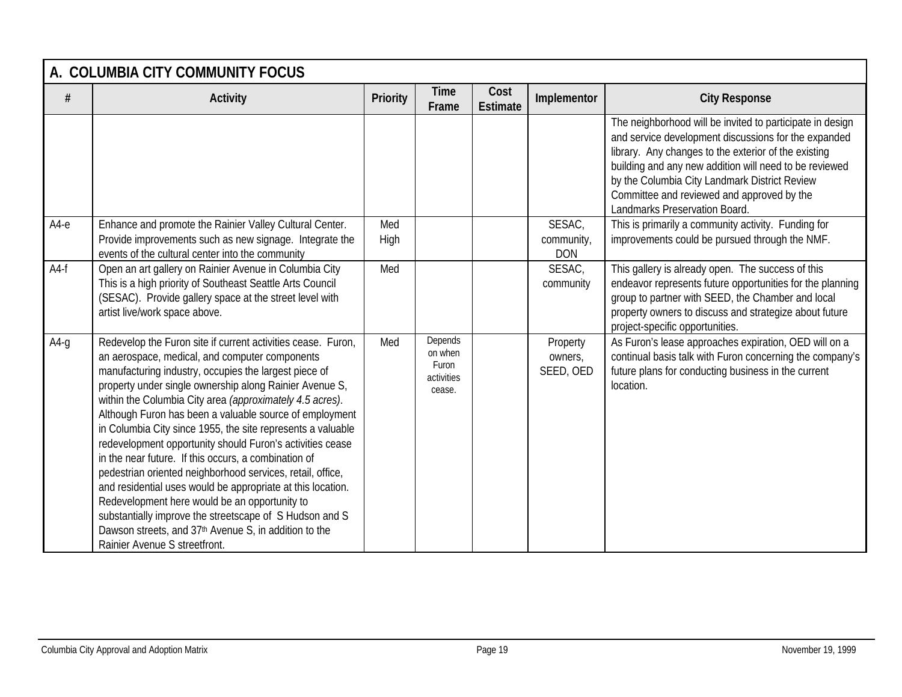|        | A. COLUMBIA CITY COMMUNITY FOCUS                                                                                                                                                                                                                                                                                                                                                                                                                                                                                                                                                                                                                                                                                                                                                                                                                                                 |             |                                                     |                         |                                    |                                                                                                                                                                                                                                                                                                                                                                     |  |  |  |  |
|--------|----------------------------------------------------------------------------------------------------------------------------------------------------------------------------------------------------------------------------------------------------------------------------------------------------------------------------------------------------------------------------------------------------------------------------------------------------------------------------------------------------------------------------------------------------------------------------------------------------------------------------------------------------------------------------------------------------------------------------------------------------------------------------------------------------------------------------------------------------------------------------------|-------------|-----------------------------------------------------|-------------------------|------------------------------------|---------------------------------------------------------------------------------------------------------------------------------------------------------------------------------------------------------------------------------------------------------------------------------------------------------------------------------------------------------------------|--|--|--|--|
|        | <b>Activity</b>                                                                                                                                                                                                                                                                                                                                                                                                                                                                                                                                                                                                                                                                                                                                                                                                                                                                  | Priority    | <b>Time</b><br>Frame                                | Cost<br><b>Estimate</b> | Implementor                        | <b>City Response</b>                                                                                                                                                                                                                                                                                                                                                |  |  |  |  |
|        |                                                                                                                                                                                                                                                                                                                                                                                                                                                                                                                                                                                                                                                                                                                                                                                                                                                                                  |             |                                                     |                         |                                    | The neighborhood will be invited to participate in design<br>and service development discussions for the expanded<br>library. Any changes to the exterior of the existing<br>building and any new addition will need to be reviewed<br>by the Columbia City Landmark District Review<br>Committee and reviewed and approved by the<br>Landmarks Preservation Board. |  |  |  |  |
| $A4-e$ | Enhance and promote the Rainier Valley Cultural Center.<br>Provide improvements such as new signage. Integrate the<br>events of the cultural center into the community                                                                                                                                                                                                                                                                                                                                                                                                                                                                                                                                                                                                                                                                                                           | Med<br>High |                                                     |                         | SESAC,<br>community,<br><b>DON</b> | This is primarily a community activity. Funding for<br>improvements could be pursued through the NMF.                                                                                                                                                                                                                                                               |  |  |  |  |
| $A4-f$ | Open an art gallery on Rainier Avenue in Columbia City<br>This is a high priority of Southeast Seattle Arts Council<br>(SESAC). Provide gallery space at the street level with<br>artist live/work space above.                                                                                                                                                                                                                                                                                                                                                                                                                                                                                                                                                                                                                                                                  | Med         |                                                     |                         | SESAC,<br>community                | This gallery is already open. The success of this<br>endeavor represents future opportunities for the planning<br>group to partner with SEED, the Chamber and local<br>property owners to discuss and strategize about future<br>project-specific opportunities.                                                                                                    |  |  |  |  |
| $A4-q$ | Redevelop the Furon site if current activities cease. Furon,<br>an aerospace, medical, and computer components<br>manufacturing industry, occupies the largest piece of<br>property under single ownership along Rainier Avenue S,<br>within the Columbia City area (approximately 4.5 acres).<br>Although Furon has been a valuable source of employment<br>in Columbia City since 1955, the site represents a valuable<br>redevelopment opportunity should Furon's activities cease<br>in the near future. If this occurs, a combination of<br>pedestrian oriented neighborhood services, retail, office,<br>and residential uses would be appropriate at this location.<br>Redevelopment here would be an opportunity to<br>substantially improve the streetscape of S Hudson and S<br>Dawson streets, and 37th Avenue S, in addition to the<br>Rainier Avenue S streetfront. | Med         | Depends<br>on when<br>Furon<br>activities<br>cease. |                         | Property<br>owners,<br>SEED, OED   | As Furon's lease approaches expiration, OED will on a<br>continual basis talk with Furon concerning the company's<br>future plans for conducting business in the current<br>location.                                                                                                                                                                               |  |  |  |  |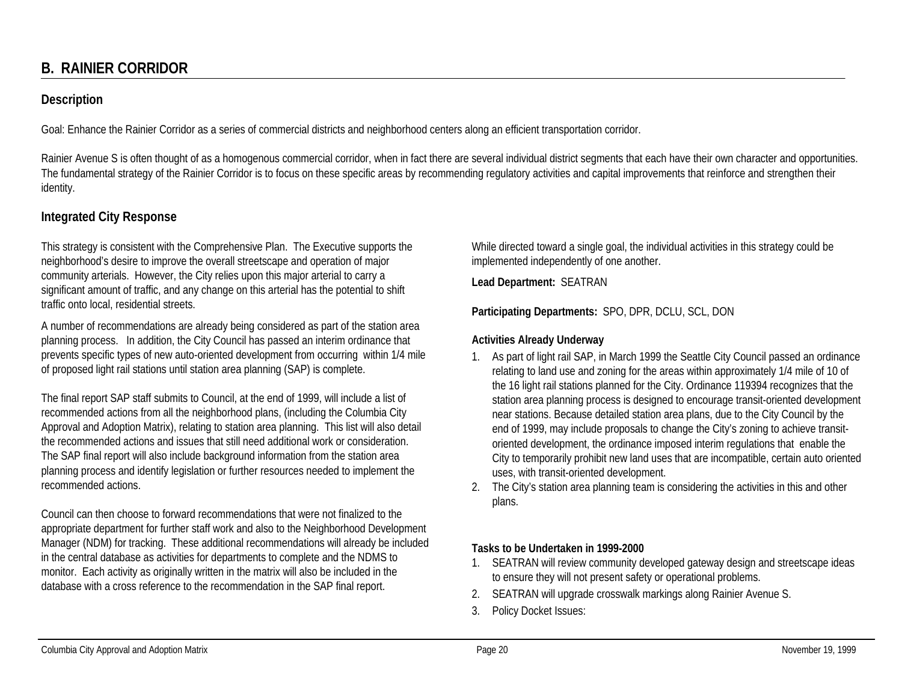# **B. RAINIER CORRIDOR**

## **Description**

Goal: Enhance the Rainier Corridor as a series of commercial districts and neighborhood centers along an efficient transportation corridor.

Rainier Avenue S is often thought of as a homogenous commercial corridor, when in fact there are several individual district segments that each have their own character and opportunities. The fundamental strategy of the Rainier Corridor is to focus on these specific areas by recommending regulatory activities and capital improvements that reinforce and strengthen their identity.

## **Integrated City Response**

This strategy is consistent with the Comprehensive Plan. The Executive supports the neighborhood's desire to improve the overall streetscape and operation of major community arterials. However, the City relies upon this major arterial to carry a significant amount of traffic, and any change on this arterial has the potential to shift traffic onto local, residential streets.

A number of recommendations are already being considered as part of the station area planning process. In addition, the City Council has passed an interim ordinance that prevents specific types of new auto-oriented development from occurring within 1/4 mile of proposed light rail stations until station area planning (SAP) is complete.

The final report SAP staff submits to Council, at the end of 1999, will include a list of recommended actions from all the neighborhood plans, (including the Columbia City Approval and Adoption Matrix), relating to station area planning. This list will also detail the recommended actions and issues that still need additional work or consideration. The SAP final report will also include background information from the station area planning process and identify legislation or further resources needed to implement the recommended actions.

Council can then choose to forward recommendations that were not finalized to the appropriate department for further staff work and also to the Neighborhood Development Manager (NDM) for tracking. These additional recommendations will already be included in the central database as activities for departments to complete and the NDMS to monitor. Each activity as originally written in the matrix will also be included in the database with a cross reference to the recommendation in the SAP final report.

While directed toward a single goal, the individual activities in this strategy could be implemented independently of one another.

**Lead Department:** SEATRAN

**Participating Departments:** SPO, DPR, DCLU, SCL, DON

#### **Activities Already Underway**

- 1. As part of light rail SAP, in March 1999 the Seattle City Council passed an ordinance relating to land use and zoning for the areas within approximately 1/4 mile of 10 of the 16 light rail stations planned for the City. Ordinance 119394 recognizes that the station area planning process is designed to encourage transit-oriented development near stations. Because detailed station area plans, due to the City Council by the end of 1999, may include proposals to change the City's zoning to achieve transitoriented development, the ordinance imposed interim regulations that enable the City to temporarily prohibit new land uses that are incompatible, certain auto oriented uses, with transit-oriented development.
- 2. The City's station area planning team is considering the activities in this and other plans.

#### **Tasks to be Undertaken in 1999-2000**

- 1. SEATRAN will review community developed gateway design and streetscape ideas to ensure they will not present safety or operational problems.
- 2. SEATRAN will upgrade crosswalk markings along Rainier Avenue S.
- 3. Policy Docket Issues: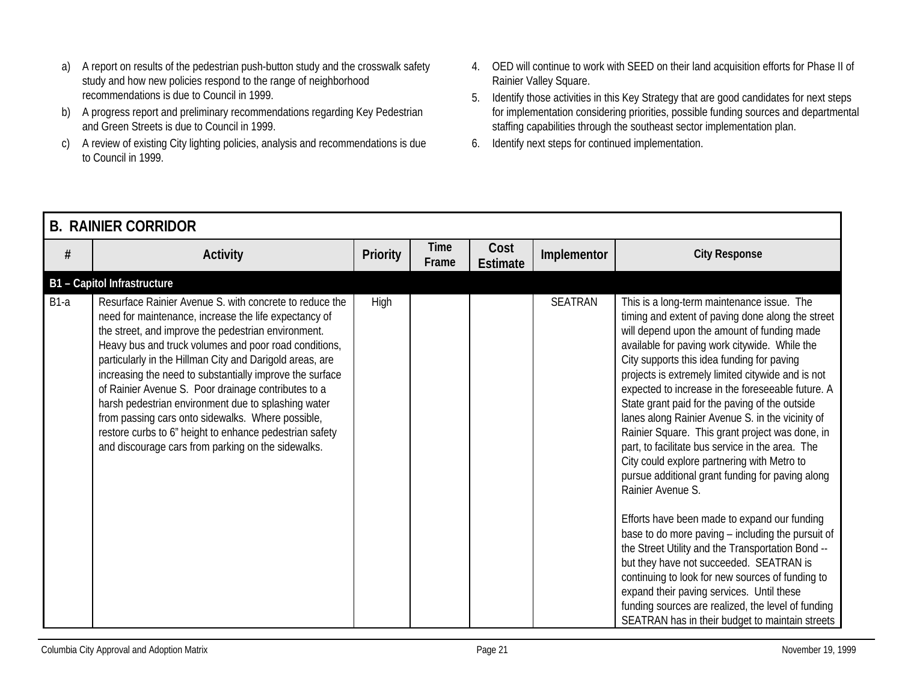- a) A report on results of the pedestrian push-button study and the crosswalk safety study and how new policies respond to the range of neighborhood recommendations is due to Council in 1999.
- b) A progress report and preliminary recommendations regarding Key Pedestrian and Green Streets is due to Council in 1999.
- c) A review of existing City lighting policies, analysis and recommendations is due to Council in 1999.
- 4. OED will continue to work with SEED on their land acquisition efforts for Phase II of Rainier Valley Square.
- 5. Identify those activities in this Key Strategy that are good candidates for next steps for implementation considering priorities, possible funding sources and departmental staffing capabilities through the southeast sector implementation plan.
- 6. Identify next steps for continued implementation.

|        | <b>B. RAINIER CORRIDOR</b>                                                                                                                                                                                                                                                                                                                                                                                                                                                                                                                                                                                                                   |                 |                      |                  |             |                                                                                                                                                                                                                                                                                                                                                                                                                                                                                                                                                                                                                                                                                                                                                                                                                                                                                                                                                                                                                                                                                                             |  |  |  |  |  |
|--------|----------------------------------------------------------------------------------------------------------------------------------------------------------------------------------------------------------------------------------------------------------------------------------------------------------------------------------------------------------------------------------------------------------------------------------------------------------------------------------------------------------------------------------------------------------------------------------------------------------------------------------------------|-----------------|----------------------|------------------|-------------|-------------------------------------------------------------------------------------------------------------------------------------------------------------------------------------------------------------------------------------------------------------------------------------------------------------------------------------------------------------------------------------------------------------------------------------------------------------------------------------------------------------------------------------------------------------------------------------------------------------------------------------------------------------------------------------------------------------------------------------------------------------------------------------------------------------------------------------------------------------------------------------------------------------------------------------------------------------------------------------------------------------------------------------------------------------------------------------------------------------|--|--|--|--|--|
| #      | <b>Activity</b>                                                                                                                                                                                                                                                                                                                                                                                                                                                                                                                                                                                                                              | <b>Priority</b> | <b>Time</b><br>Frame | Cost<br>Estimate | Implementor | <b>City Response</b>                                                                                                                                                                                                                                                                                                                                                                                                                                                                                                                                                                                                                                                                                                                                                                                                                                                                                                                                                                                                                                                                                        |  |  |  |  |  |
|        | <b>B1</b> - Capitol Infrastructure                                                                                                                                                                                                                                                                                                                                                                                                                                                                                                                                                                                                           |                 |                      |                  |             |                                                                                                                                                                                                                                                                                                                                                                                                                                                                                                                                                                                                                                                                                                                                                                                                                                                                                                                                                                                                                                                                                                             |  |  |  |  |  |
| $B1-a$ | Resurface Rainier Avenue S. with concrete to reduce the<br>need for maintenance, increase the life expectancy of<br>the street, and improve the pedestrian environment.<br>Heavy bus and truck volumes and poor road conditions,<br>particularly in the Hillman City and Darigold areas, are<br>increasing the need to substantially improve the surface<br>of Rainier Avenue S. Poor drainage contributes to a<br>harsh pedestrian environment due to splashing water<br>from passing cars onto sidewalks. Where possible,<br>restore curbs to 6" height to enhance pedestrian safety<br>and discourage cars from parking on the sidewalks. | High            |                      |                  | SEATRAN     | This is a long-term maintenance issue. The<br>timing and extent of paving done along the street<br>will depend upon the amount of funding made<br>available for paving work citywide. While the<br>City supports this idea funding for paving<br>projects is extremely limited citywide and is not<br>expected to increase in the foreseeable future. A<br>State grant paid for the paving of the outside<br>lanes along Rainier Avenue S. in the vicinity of<br>Rainier Square. This grant project was done, in<br>part, to facilitate bus service in the area. The<br>City could explore partnering with Metro to<br>pursue additional grant funding for paving along<br>Rainier Avenue S.<br>Efforts have been made to expand our funding<br>base to do more paving - including the pursuit of<br>the Street Utility and the Transportation Bond --<br>but they have not succeeded. SEATRAN is<br>continuing to look for new sources of funding to<br>expand their paving services. Until these<br>funding sources are realized, the level of funding<br>SEATRAN has in their budget to maintain streets |  |  |  |  |  |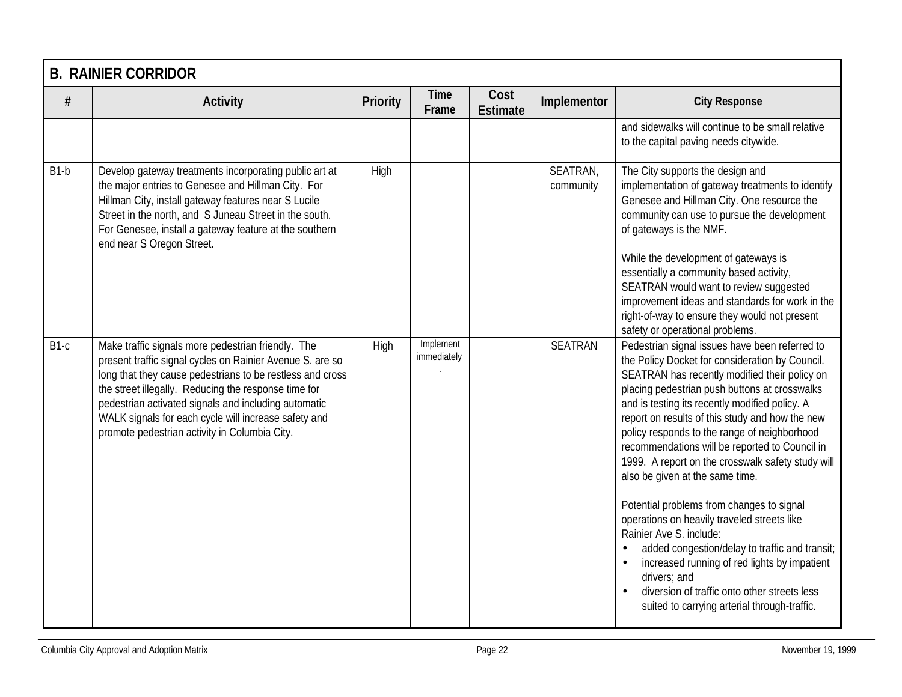|        | <b>B. RAINIER CORRIDOR</b>                                                                                                                                                                                                                                                                                                                                                                            |          |                          |                         |                       |                                                                                                                                                                                                                                                                                                                                                                                                                                                                                                                                                                                                                                                                                                                                                                                                                                                          |  |  |  |  |
|--------|-------------------------------------------------------------------------------------------------------------------------------------------------------------------------------------------------------------------------------------------------------------------------------------------------------------------------------------------------------------------------------------------------------|----------|--------------------------|-------------------------|-----------------------|----------------------------------------------------------------------------------------------------------------------------------------------------------------------------------------------------------------------------------------------------------------------------------------------------------------------------------------------------------------------------------------------------------------------------------------------------------------------------------------------------------------------------------------------------------------------------------------------------------------------------------------------------------------------------------------------------------------------------------------------------------------------------------------------------------------------------------------------------------|--|--|--|--|
| #      | <b>Activity</b>                                                                                                                                                                                                                                                                                                                                                                                       | Priority | <b>Time</b><br>Frame     | Cost<br><b>Estimate</b> | Implementor           | <b>City Response</b>                                                                                                                                                                                                                                                                                                                                                                                                                                                                                                                                                                                                                                                                                                                                                                                                                                     |  |  |  |  |
|        |                                                                                                                                                                                                                                                                                                                                                                                                       |          |                          |                         |                       | and sidewalks will continue to be small relative<br>to the capital paving needs citywide.                                                                                                                                                                                                                                                                                                                                                                                                                                                                                                                                                                                                                                                                                                                                                                |  |  |  |  |
| $B1-b$ | Develop gateway treatments incorporating public art at<br>the major entries to Genesee and Hillman City. For<br>Hillman City, install gateway features near S Lucile<br>Street in the north, and S Juneau Street in the south.<br>For Genesee, install a gateway feature at the southern<br>end near S Oregon Street.                                                                                 | High     |                          |                         | SEATRAN,<br>community | The City supports the design and<br>implementation of gateway treatments to identify<br>Genesee and Hillman City. One resource the<br>community can use to pursue the development<br>of gateways is the NMF.<br>While the development of gateways is<br>essentially a community based activity,<br>SEATRAN would want to review suggested<br>improvement ideas and standards for work in the<br>right-of-way to ensure they would not present<br>safety or operational problems.                                                                                                                                                                                                                                                                                                                                                                         |  |  |  |  |
| B1-c   | Make traffic signals more pedestrian friendly. The<br>present traffic signal cycles on Rainier Avenue S. are so<br>long that they cause pedestrians to be restless and cross<br>the street illegally. Reducing the response time for<br>pedestrian activated signals and including automatic<br>WALK signals for each cycle will increase safety and<br>promote pedestrian activity in Columbia City. | High     | Implement<br>immediately |                         | <b>SEATRAN</b>        | Pedestrian signal issues have been referred to<br>the Policy Docket for consideration by Council.<br>SEATRAN has recently modified their policy on<br>placing pedestrian push buttons at crosswalks<br>and is testing its recently modified policy. A<br>report on results of this study and how the new<br>policy responds to the range of neighborhood<br>recommendations will be reported to Council in<br>1999. A report on the crosswalk safety study will<br>also be given at the same time.<br>Potential problems from changes to signal<br>operations on heavily traveled streets like<br>Rainier Ave S. include:<br>added congestion/delay to traffic and transit;<br>increased running of red lights by impatient<br>$\bullet$<br>drivers; and<br>diversion of traffic onto other streets less<br>suited to carrying arterial through-traffic. |  |  |  |  |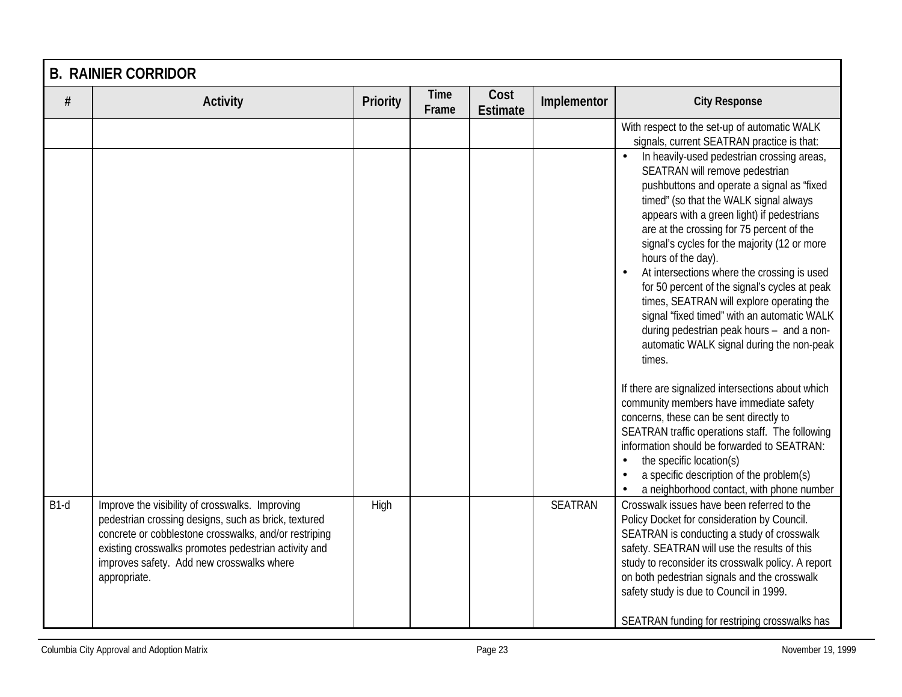|        | <b>B. RAINIER CORRIDOR</b>                                                                                                                                                                                                                                                            |          |                      |                         |                |                                                                                                                                                                                                                                                                                                                                                                                                                                                                                                                                                                                                                                       |  |  |  |
|--------|---------------------------------------------------------------------------------------------------------------------------------------------------------------------------------------------------------------------------------------------------------------------------------------|----------|----------------------|-------------------------|----------------|---------------------------------------------------------------------------------------------------------------------------------------------------------------------------------------------------------------------------------------------------------------------------------------------------------------------------------------------------------------------------------------------------------------------------------------------------------------------------------------------------------------------------------------------------------------------------------------------------------------------------------------|--|--|--|
| $\#$   | <b>Activity</b>                                                                                                                                                                                                                                                                       | Priority | <b>Time</b><br>Frame | Cost<br><b>Estimate</b> | Implementor    | <b>City Response</b>                                                                                                                                                                                                                                                                                                                                                                                                                                                                                                                                                                                                                  |  |  |  |
|        |                                                                                                                                                                                                                                                                                       |          |                      |                         |                | With respect to the set-up of automatic WALK<br>signals, current SEATRAN practice is that:                                                                                                                                                                                                                                                                                                                                                                                                                                                                                                                                            |  |  |  |
|        |                                                                                                                                                                                                                                                                                       |          |                      |                         |                | In heavily-used pedestrian crossing areas,<br>SEATRAN will remove pedestrian<br>pushbuttons and operate a signal as 'fixed<br>timed" (so that the WALK signal always<br>appears with a green light) if pedestrians<br>are at the crossing for 75 percent of the<br>signal's cycles for the majority (12 or more<br>hours of the day).<br>At intersections where the crossing is used<br>for 50 percent of the signal's cycles at peak<br>times, SEATRAN will explore operating the<br>signal 'fixed timed" with an automatic WALK<br>during pedestrian peak hours - and a non-<br>automatic WALK signal during the non-peak<br>times. |  |  |  |
|        |                                                                                                                                                                                                                                                                                       |          |                      |                         |                | If there are signalized intersections about which<br>community members have immediate safety<br>concerns, these can be sent directly to<br>SEATRAN traffic operations staff. The following<br>information should be forwarded to SEATRAN:<br>the specific location(s)<br>$\bullet$<br>a specific description of the problem(s)<br>$\bullet$<br>a neighborhood contact, with phone number<br>$\bullet$                                                                                                                                                                                                                                 |  |  |  |
| $B1-d$ | Improve the visibility of crosswalks. Improving<br>pedestrian crossing designs, such as brick, textured<br>concrete or cobblestone crosswalks, and/or restriping<br>existing crosswalks promotes pedestrian activity and<br>improves safety. Add new crosswalks where<br>appropriate. | High     |                      |                         | <b>SEATRAN</b> | Crosswalk issues have been referred to the<br>Policy Docket for consideration by Council.<br>SEATRAN is conducting a study of crosswalk<br>safety. SEATRAN will use the results of this<br>study to reconsider its crosswalk policy. A report<br>on both pedestrian signals and the crosswalk<br>safety study is due to Council in 1999.<br>SEATRAN funding for restriping crosswalks has                                                                                                                                                                                                                                             |  |  |  |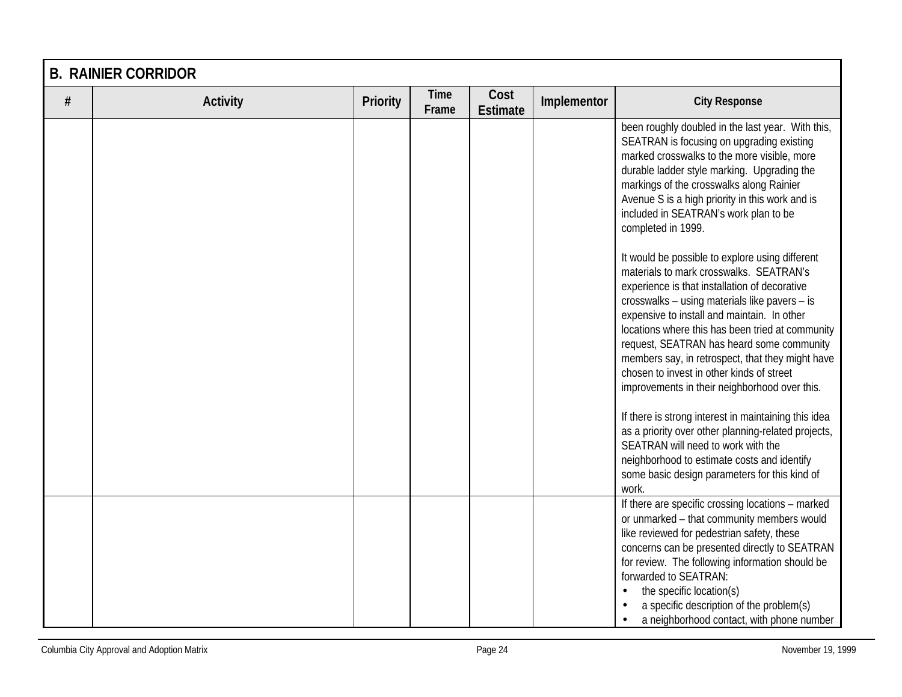|   | <b>B. RAINIER CORRIDOR</b> |          |                      |                         |             |                                                                                                                                                                                                                                                                                                                                                                                                                                                                                                                                                                                                                                                                                                                                                                                                                                                                                                                                                                                                                                                                                                                            |  |  |  |
|---|----------------------------|----------|----------------------|-------------------------|-------------|----------------------------------------------------------------------------------------------------------------------------------------------------------------------------------------------------------------------------------------------------------------------------------------------------------------------------------------------------------------------------------------------------------------------------------------------------------------------------------------------------------------------------------------------------------------------------------------------------------------------------------------------------------------------------------------------------------------------------------------------------------------------------------------------------------------------------------------------------------------------------------------------------------------------------------------------------------------------------------------------------------------------------------------------------------------------------------------------------------------------------|--|--|--|
| # | <b>Activity</b>            | Priority | <b>Time</b><br>Frame | Cost<br><b>Estimate</b> | Implementor | <b>City Response</b>                                                                                                                                                                                                                                                                                                                                                                                                                                                                                                                                                                                                                                                                                                                                                                                                                                                                                                                                                                                                                                                                                                       |  |  |  |
|   |                            |          |                      |                         |             | been roughly doubled in the last year. With this,<br>SEATRAN is focusing on upgrading existing<br>marked crosswalks to the more visible, more<br>durable ladder style marking. Upgrading the<br>markings of the crosswalks along Rainier<br>Avenue S is a high priority in this work and is<br>included in SEATRAN's work plan to be<br>completed in 1999.<br>It would be possible to explore using different<br>materials to mark crosswalks. SEATRAN's<br>experience is that installation of decorative<br>crosswalks - using materials like pavers - is<br>expensive to install and maintain. In other<br>locations where this has been tried at community<br>request, SEATRAN has heard some community<br>members say, in retrospect, that they might have<br>chosen to invest in other kinds of street<br>improvements in their neighborhood over this.<br>If there is strong interest in maintaining this idea<br>as a priority over other planning-related projects,<br>SEATRAN will need to work with the<br>neighborhood to estimate costs and identify<br>some basic design parameters for this kind of<br>work. |  |  |  |
|   |                            |          |                      |                         |             | If there are specific crossing locations - marked<br>or unmarked - that community members would<br>like reviewed for pedestrian safety, these<br>concerns can be presented directly to SEATRAN<br>for review. The following information should be<br>forwarded to SEATRAN:<br>the specific location(s)<br>$\bullet$<br>a specific description of the problem(s)<br>a neighborhood contact, with phone number<br>$\bullet$                                                                                                                                                                                                                                                                                                                                                                                                                                                                                                                                                                                                                                                                                                  |  |  |  |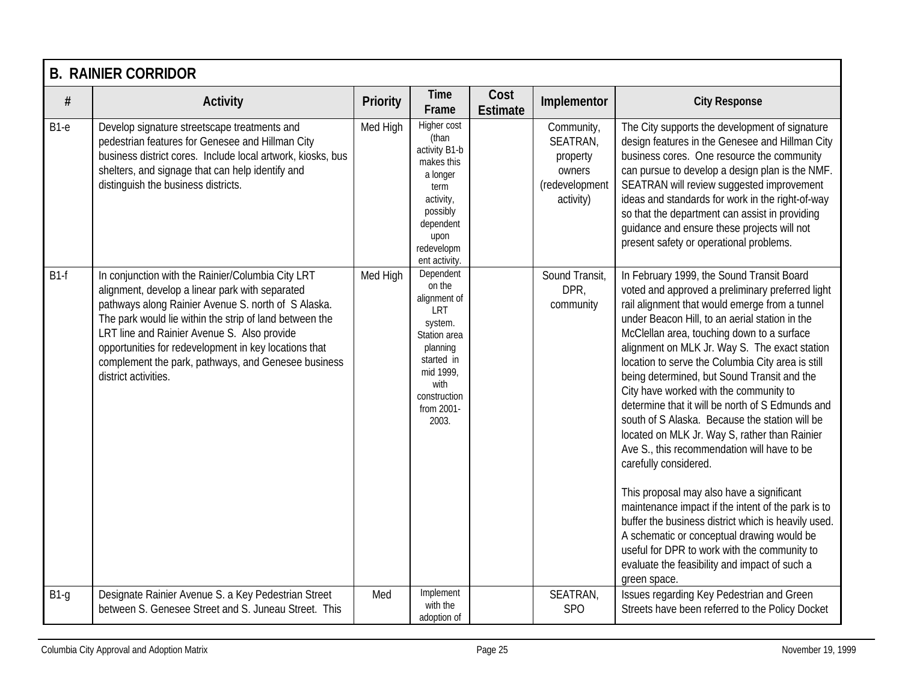|        | <b>B. RAINIER CORRIDOR</b>                                                                                                                                                                                                                                                                                                                                                                                    |          |                                                                                                                                                             |                         |                                                                             |                                                                                                                                                                                                                                                                                                                                                                                                                                                                                                                                                                                                                                                                                                                                                                                                                                                                                                                                                                                                        |  |  |  |  |
|--------|---------------------------------------------------------------------------------------------------------------------------------------------------------------------------------------------------------------------------------------------------------------------------------------------------------------------------------------------------------------------------------------------------------------|----------|-------------------------------------------------------------------------------------------------------------------------------------------------------------|-------------------------|-----------------------------------------------------------------------------|--------------------------------------------------------------------------------------------------------------------------------------------------------------------------------------------------------------------------------------------------------------------------------------------------------------------------------------------------------------------------------------------------------------------------------------------------------------------------------------------------------------------------------------------------------------------------------------------------------------------------------------------------------------------------------------------------------------------------------------------------------------------------------------------------------------------------------------------------------------------------------------------------------------------------------------------------------------------------------------------------------|--|--|--|--|
| $\#$   | <b>Activity</b>                                                                                                                                                                                                                                                                                                                                                                                               | Priority | <b>Time</b><br>Frame                                                                                                                                        | Cost<br><b>Estimate</b> | Implementor                                                                 | <b>City Response</b>                                                                                                                                                                                                                                                                                                                                                                                                                                                                                                                                                                                                                                                                                                                                                                                                                                                                                                                                                                                   |  |  |  |  |
| $B1-e$ | Develop signature streetscape treatments and<br>pedestrian features for Genesee and Hillman City<br>business district cores. Include local artwork, kiosks, bus<br>shelters, and signage that can help identify and<br>distinguish the business districts.                                                                                                                                                    | Med High | Higher cost<br>(than<br>activity B1-b<br>makes this<br>a longer<br>term<br>activity,<br>possibly<br>dependent<br>upon<br>redevelopm<br>ent activity.        |                         | Community,<br>SEATRAN,<br>property<br>owners<br>(redevelopment<br>activity) | The City supports the development of signature<br>design features in the Genesee and Hillman City<br>business cores. One resource the community<br>can pursue to develop a design plan is the NMF.<br>SEATRAN will review suggested improvement<br>ideas and standards for work in the right-of-way<br>so that the department can assist in providing<br>quidance and ensure these projects will not<br>present safety or operational problems.                                                                                                                                                                                                                                                                                                                                                                                                                                                                                                                                                        |  |  |  |  |
| $B1-f$ | In conjunction with the Rainier/Columbia City LRT<br>alignment, develop a linear park with separated<br>pathways along Rainier Avenue S. north of S Alaska.<br>The park would lie within the strip of land between the<br>LRT line and Rainier Avenue S. Also provide<br>opportunities for redevelopment in key locations that<br>complement the park, pathways, and Genesee business<br>district activities. | Med High | Dependent<br>on the<br>alignment of<br>LRT<br>system.<br>Station area<br>planning<br>started in<br>mid 1999,<br>with<br>construction<br>from 2001-<br>2003. |                         | Sound Transit,<br>DPR,<br>community                                         | In February 1999, the Sound Transit Board<br>voted and approved a preliminary preferred light<br>rail alignment that would emerge from a tunnel<br>under Beacon Hill, to an aerial station in the<br>McClellan area, touching down to a surface<br>alignment on MLK Jr. Way S. The exact station<br>location to serve the Columbia City area is still<br>being determined, but Sound Transit and the<br>City have worked with the community to<br>determine that it will be north of S Edmunds and<br>south of S Alaska. Because the station will be<br>located on MLK Jr. Way S, rather than Rainier<br>Ave S., this recommendation will have to be<br>carefully considered.<br>This proposal may also have a significant<br>maintenance impact if the intent of the park is to<br>buffer the business district which is heavily used.<br>A schematic or conceptual drawing would be<br>useful for DPR to work with the community to<br>evaluate the feasibility and impact of such a<br>green space. |  |  |  |  |
| $B1-g$ | Designate Rainier Avenue S. a Key Pedestrian Street<br>between S. Genesee Street and S. Juneau Street. This                                                                                                                                                                                                                                                                                                   | Med      | Implement<br>with the<br>adoption of                                                                                                                        |                         | SEATRAN,<br>SP <sub>O</sub>                                                 | Issues regarding Key Pedestrian and Green<br>Streets have been referred to the Policy Docket                                                                                                                                                                                                                                                                                                                                                                                                                                                                                                                                                                                                                                                                                                                                                                                                                                                                                                           |  |  |  |  |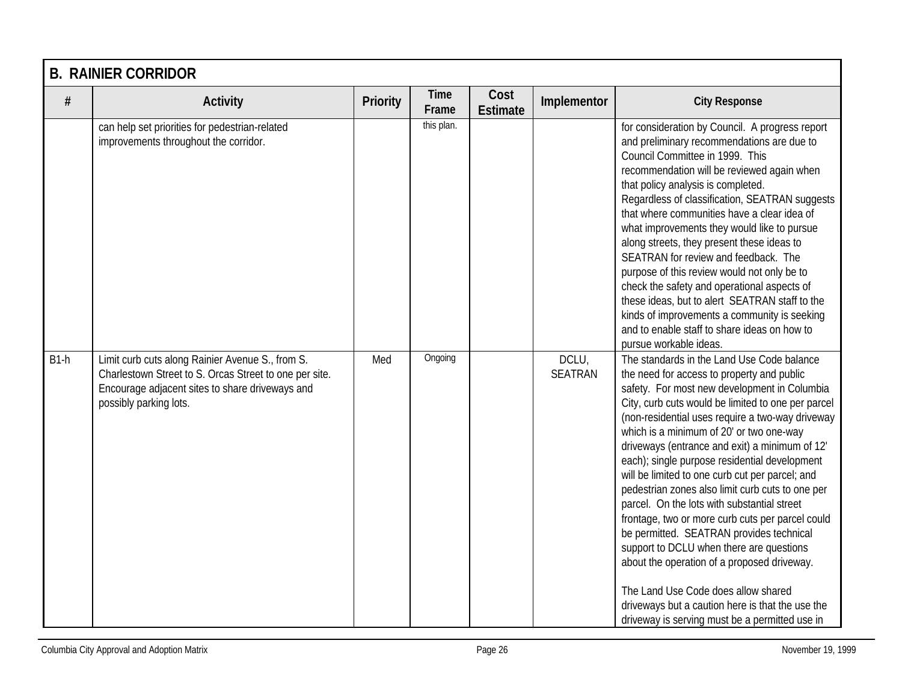|        | <b>B. RAINIER CORRIDOR</b>                                                                                                                                                              |                 |                      |                         |                         |                                                                                                                                                                                                                                                                                                                                                                                                                                                                                                                                                                                                                                                                                                                                                                                                                                                                                                 |  |  |  |  |
|--------|-----------------------------------------------------------------------------------------------------------------------------------------------------------------------------------------|-----------------|----------------------|-------------------------|-------------------------|-------------------------------------------------------------------------------------------------------------------------------------------------------------------------------------------------------------------------------------------------------------------------------------------------------------------------------------------------------------------------------------------------------------------------------------------------------------------------------------------------------------------------------------------------------------------------------------------------------------------------------------------------------------------------------------------------------------------------------------------------------------------------------------------------------------------------------------------------------------------------------------------------|--|--|--|--|
| $\#$   | <b>Activity</b>                                                                                                                                                                         | <b>Priority</b> | <b>Time</b><br>Frame | Cost<br><b>Estimate</b> | Implementor             | <b>City Response</b>                                                                                                                                                                                                                                                                                                                                                                                                                                                                                                                                                                                                                                                                                                                                                                                                                                                                            |  |  |  |  |
|        | can help set priorities for pedestrian-related<br>improvements throughout the corridor.                                                                                                 |                 | this plan.           |                         |                         | for consideration by Council. A progress report<br>and preliminary recommendations are due to<br>Council Committee in 1999. This<br>recommendation will be reviewed again when<br>that policy analysis is completed.<br>Regardless of classification, SEATRAN suggests<br>that where communities have a clear idea of<br>what improvements they would like to pursue<br>along streets, they present these ideas to<br>SEATRAN for review and feedback. The<br>purpose of this review would not only be to<br>check the safety and operational aspects of<br>these ideas, but to alert SEATRAN staff to the<br>kinds of improvements a community is seeking<br>and to enable staff to share ideas on how to<br>pursue workable ideas.                                                                                                                                                            |  |  |  |  |
| $B1-h$ | Limit curb cuts along Rainier Avenue S., from S.<br>Charlestown Street to S. Orcas Street to one per site.<br>Encourage adjacent sites to share driveways and<br>possibly parking lots. | Med             | Ongoing              |                         | DCLU,<br><b>SEATRAN</b> | The standards in the Land Use Code balance<br>the need for access to property and public<br>safety. For most new development in Columbia<br>City, curb cuts would be limited to one per parcel<br>(non-residential uses require a two-way driveway<br>which is a minimum of 20' or two one-way<br>driveways (entrance and exit) a minimum of 12'<br>each); single purpose residential development<br>will be limited to one curb cut per parcel; and<br>pedestrian zones also limit curb cuts to one per<br>parcel. On the lots with substantial street<br>frontage, two or more curb cuts per parcel could<br>be permitted. SEATRAN provides technical<br>support to DCLU when there are questions<br>about the operation of a proposed driveway.<br>The Land Use Code does allow shared<br>driveways but a caution here is that the use the<br>driveway is serving must be a permitted use in |  |  |  |  |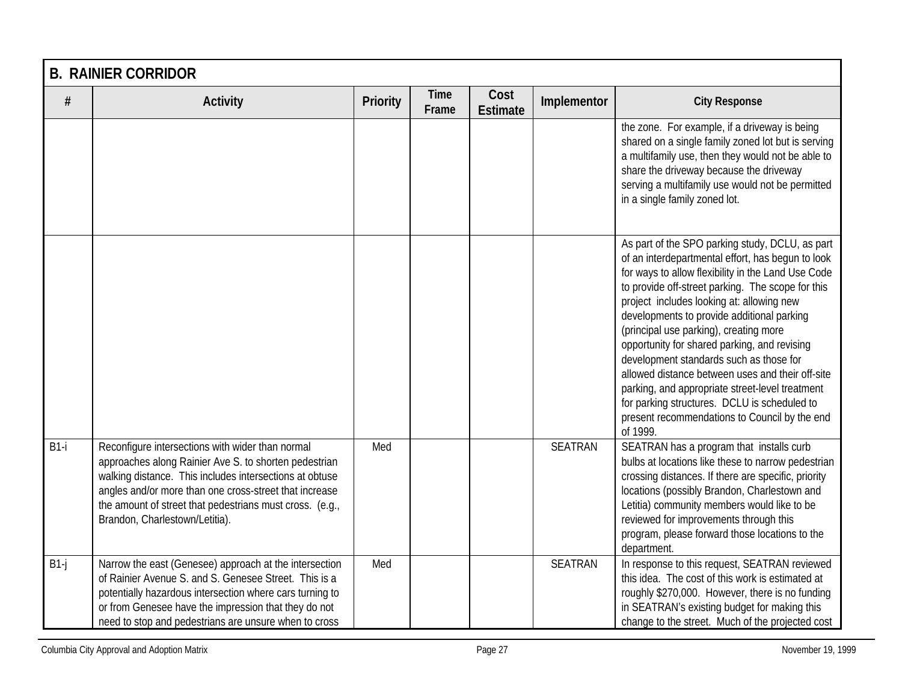|        | <b>B. RAINIER CORRIDOR</b>                                                                                                                                                                                                                                                                                                   |          |                      |                         |                |                                                                                                                                                                                                                                                                                                                                                                                                                                                                                                                                                                                                                                                                     |  |  |  |
|--------|------------------------------------------------------------------------------------------------------------------------------------------------------------------------------------------------------------------------------------------------------------------------------------------------------------------------------|----------|----------------------|-------------------------|----------------|---------------------------------------------------------------------------------------------------------------------------------------------------------------------------------------------------------------------------------------------------------------------------------------------------------------------------------------------------------------------------------------------------------------------------------------------------------------------------------------------------------------------------------------------------------------------------------------------------------------------------------------------------------------------|--|--|--|
| $\#$   | <b>Activity</b>                                                                                                                                                                                                                                                                                                              | Priority | <b>Time</b><br>Frame | Cost<br><b>Estimate</b> | Implementor    | <b>City Response</b>                                                                                                                                                                                                                                                                                                                                                                                                                                                                                                                                                                                                                                                |  |  |  |
|        |                                                                                                                                                                                                                                                                                                                              |          |                      |                         |                | the zone. For example, if a driveway is being<br>shared on a single family zoned lot but is serving<br>a multifamily use, then they would not be able to<br>share the driveway because the driveway<br>serving a multifamily use would not be permitted<br>in a single family zoned lot.                                                                                                                                                                                                                                                                                                                                                                            |  |  |  |
|        |                                                                                                                                                                                                                                                                                                                              |          |                      |                         |                | As part of the SPO parking study, DCLU, as part<br>of an interdepartmental effort, has begun to look<br>for ways to allow flexibility in the Land Use Code<br>to provide off-street parking. The scope for this<br>project includes looking at: allowing new<br>developments to provide additional parking<br>(principal use parking), creating more<br>opportunity for shared parking, and revising<br>development standards such as those for<br>allowed distance between uses and their off-site<br>parking, and appropriate street-level treatment<br>for parking structures. DCLU is scheduled to<br>present recommendations to Council by the end<br>of 1999. |  |  |  |
| $B1-i$ | Reconfigure intersections with wider than normal<br>approaches along Rainier Ave S. to shorten pedestrian<br>walking distance. This includes intersections at obtuse<br>angles and/or more than one cross-street that increase<br>the amount of street that pedestrians must cross. (e.g.,<br>Brandon, Charlestown/Letitia). | Med      |                      |                         | <b>SEATRAN</b> | SEATRAN has a program that installs curb<br>bulbs at locations like these to narrow pedestrian<br>crossing distances. If there are specific, priority<br>locations (possibly Brandon, Charlestown and<br>Letitia) community members would like to be<br>reviewed for improvements through this<br>program, please forward those locations to the<br>department.                                                                                                                                                                                                                                                                                                     |  |  |  |
| $B1-j$ | Narrow the east (Genesee) approach at the intersection<br>of Rainier Avenue S. and S. Genesee Street. This is a<br>potentially hazardous intersection where cars turning to<br>or from Genesee have the impression that they do not<br>need to stop and pedestrians are unsure when to cross                                 | Med      |                      |                         | <b>SEATRAN</b> | In response to this request, SEATRAN reviewed<br>this idea. The cost of this work is estimated at<br>roughly \$270,000. However, there is no funding<br>in SEATRAN's existing budget for making this<br>change to the street. Much of the projected cost                                                                                                                                                                                                                                                                                                                                                                                                            |  |  |  |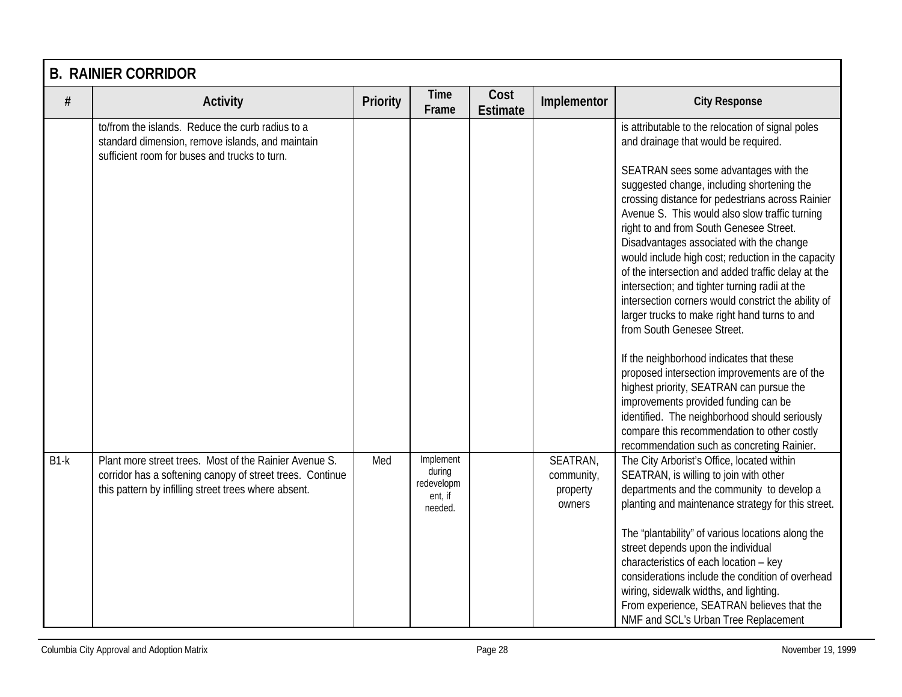|        | <b>B. RAINIER CORRIDOR</b>                                                                                                                                                  |          |                                                         |                         |                                              |                                                                                                                                                                                                                                                                                                                                                                                                                                                                                                                                                                                                                                                                                                                                                                                                                                                                                                                                                                    |  |  |  |
|--------|-----------------------------------------------------------------------------------------------------------------------------------------------------------------------------|----------|---------------------------------------------------------|-------------------------|----------------------------------------------|--------------------------------------------------------------------------------------------------------------------------------------------------------------------------------------------------------------------------------------------------------------------------------------------------------------------------------------------------------------------------------------------------------------------------------------------------------------------------------------------------------------------------------------------------------------------------------------------------------------------------------------------------------------------------------------------------------------------------------------------------------------------------------------------------------------------------------------------------------------------------------------------------------------------------------------------------------------------|--|--|--|
| $\#$   | <b>Activity</b>                                                                                                                                                             | Priority | <b>Time</b><br>Frame                                    | Cost<br><b>Estimate</b> | Implementor                                  | <b>City Response</b>                                                                                                                                                                                                                                                                                                                                                                                                                                                                                                                                                                                                                                                                                                                                                                                                                                                                                                                                               |  |  |  |
|        | to/from the islands. Reduce the curb radius to a<br>standard dimension, remove islands, and maintain<br>sufficient room for buses and trucks to turn.                       |          |                                                         |                         |                                              | is attributable to the relocation of signal poles<br>and drainage that would be required.<br>SEATRAN sees some advantages with the<br>suggested change, including shortening the<br>crossing distance for pedestrians across Rainier<br>Avenue S. This would also slow traffic turning<br>right to and from South Genesee Street.<br>Disadvantages associated with the change<br>would include high cost; reduction in the capacity<br>of the intersection and added traffic delay at the<br>intersection; and tighter turning radii at the<br>intersection corners would constrict the ability of<br>larger trucks to make right hand turns to and<br>from South Genesee Street.<br>If the neighborhood indicates that these<br>proposed intersection improvements are of the<br>highest priority, SEATRAN can pursue the<br>improvements provided funding can be<br>identified. The neighborhood should seriously<br>compare this recommendation to other costly |  |  |  |
| $B1-k$ | Plant more street trees. Most of the Rainier Avenue S.<br>corridor has a softening canopy of street trees. Continue<br>this pattern by infilling street trees where absent. | Med      | Implement<br>during<br>redevelopm<br>ent, if<br>needed. |                         | SEATRAN,<br>community,<br>property<br>owners | recommendation such as concreting Rainier.<br>The City Arborist's Office, located within<br>SEATRAN, is willing to join with other<br>departments and the community to develop a<br>planting and maintenance strategy for this street.<br>The "plantability" of various locations along the<br>street depends upon the individual<br>characteristics of each location - key<br>considerations include the condition of overhead<br>wiring, sidewalk widths, and lighting.<br>From experience, SEATRAN believes that the<br>NMF and SCL's Urban Tree Replacement                                                                                                                                                                                                                                                                                                                                                                                                    |  |  |  |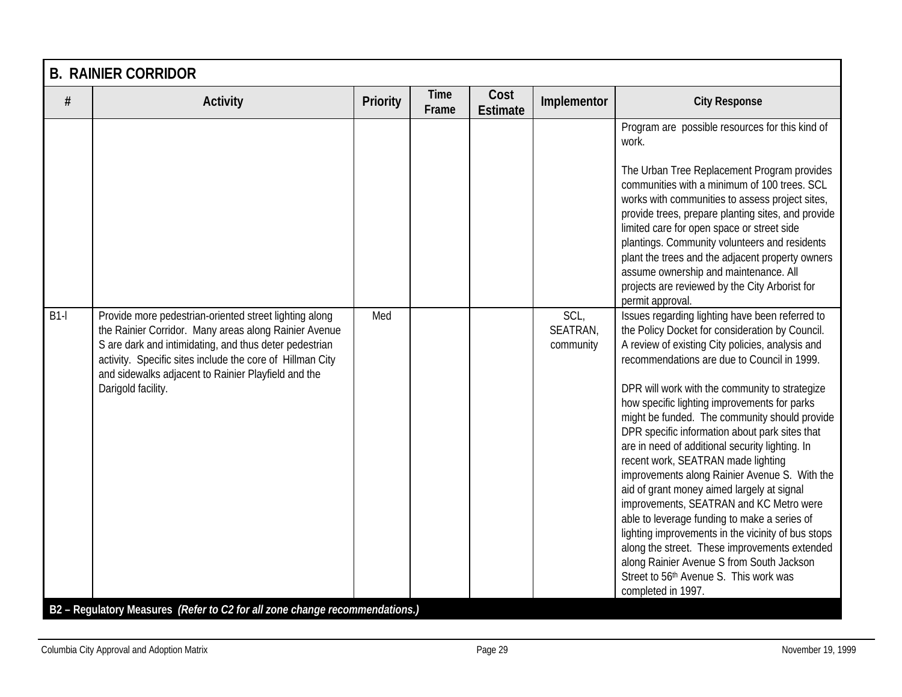|        | <b>B. RAINIER CORRIDOR</b>                                                                                                                                                                                                                                                                                                                                                                         |          |               |                         |                               |                                                                                                                                                                                                                                                                                                                                                                                                                                                                                                                                                                                                                                                                                                                                                                                                                                                                                                                               |  |  |  |
|--------|----------------------------------------------------------------------------------------------------------------------------------------------------------------------------------------------------------------------------------------------------------------------------------------------------------------------------------------------------------------------------------------------------|----------|---------------|-------------------------|-------------------------------|-------------------------------------------------------------------------------------------------------------------------------------------------------------------------------------------------------------------------------------------------------------------------------------------------------------------------------------------------------------------------------------------------------------------------------------------------------------------------------------------------------------------------------------------------------------------------------------------------------------------------------------------------------------------------------------------------------------------------------------------------------------------------------------------------------------------------------------------------------------------------------------------------------------------------------|--|--|--|
| #      | <b>Activity</b>                                                                                                                                                                                                                                                                                                                                                                                    | Priority | Time<br>Frame | Cost<br><b>Estimate</b> | Implementor                   | <b>City Response</b>                                                                                                                                                                                                                                                                                                                                                                                                                                                                                                                                                                                                                                                                                                                                                                                                                                                                                                          |  |  |  |
|        |                                                                                                                                                                                                                                                                                                                                                                                                    |          |               |                         |                               | Program are possible resources for this kind of<br>work.<br>The Urban Tree Replacement Program provides<br>communities with a minimum of 100 trees. SCL<br>works with communities to assess project sites,<br>provide trees, prepare planting sites, and provide<br>limited care for open space or street side<br>plantings. Community volunteers and residents<br>plant the trees and the adjacent property owners<br>assume ownership and maintenance. All<br>projects are reviewed by the City Arborist for<br>permit approval.                                                                                                                                                                                                                                                                                                                                                                                            |  |  |  |
| $B1-I$ | Provide more pedestrian-oriented street lighting along<br>the Rainier Corridor. Many areas along Rainier Avenue<br>S are dark and intimidating, and thus deter pedestrian<br>activity. Specific sites include the core of Hillman City<br>and sidewalks adjacent to Rainier Playfield and the<br>Darigold facility.<br>B2 - Regulatory Measures (Refer to C2 for all zone change recommendations.) | Med      |               |                         | SCL,<br>SEATRAN,<br>community | Issues regarding lighting have been referred to<br>the Policy Docket for consideration by Council.<br>A review of existing City policies, analysis and<br>recommendations are due to Council in 1999.<br>DPR will work with the community to strategize<br>how specific lighting improvements for parks<br>might be funded. The community should provide<br>DPR specific information about park sites that<br>are in need of additional security lighting. In<br>recent work, SEATRAN made lighting<br>improvements along Rainier Avenue S. With the<br>aid of grant money aimed largely at signal<br>improvements, SEATRAN and KC Metro were<br>able to leverage funding to make a series of<br>lighting improvements in the vicinity of bus stops<br>along the street. These improvements extended<br>along Rainier Avenue S from South Jackson<br>Street to 56 <sup>th</sup> Avenue S. This work was<br>completed in 1997. |  |  |  |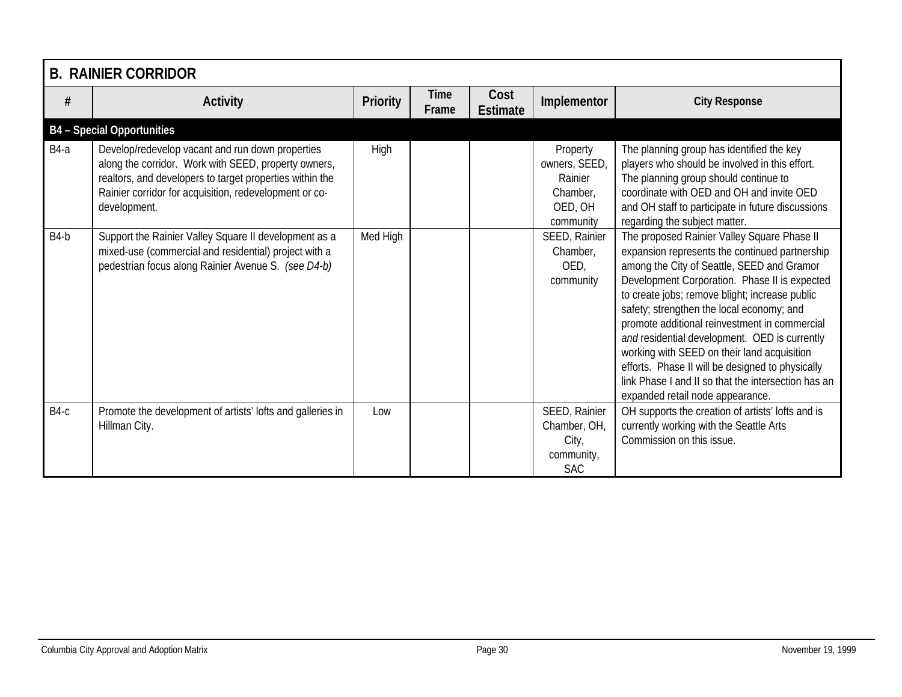|        | <b>B. RAINIER CORRIDOR</b>                                                                                                                                                                                                                     |                 |                      |                         |                                                                          |                                                                                                                                                                                                                                                                                                                                                                                                                                                                                                                                                                                             |  |  |  |
|--------|------------------------------------------------------------------------------------------------------------------------------------------------------------------------------------------------------------------------------------------------|-----------------|----------------------|-------------------------|--------------------------------------------------------------------------|---------------------------------------------------------------------------------------------------------------------------------------------------------------------------------------------------------------------------------------------------------------------------------------------------------------------------------------------------------------------------------------------------------------------------------------------------------------------------------------------------------------------------------------------------------------------------------------------|--|--|--|
| $\#$   | <b>Activity</b>                                                                                                                                                                                                                                | <b>Priority</b> | <b>Time</b><br>Frame | Cost<br><b>Estimate</b> | Implementor                                                              | <b>City Response</b>                                                                                                                                                                                                                                                                                                                                                                                                                                                                                                                                                                        |  |  |  |
|        | <b>B4</b> - Special Opportunities                                                                                                                                                                                                              |                 |                      |                         |                                                                          |                                                                                                                                                                                                                                                                                                                                                                                                                                                                                                                                                                                             |  |  |  |
| $B4-a$ | Develop/redevelop vacant and run down properties<br>along the corridor. Work with SEED, property owners,<br>realtors, and developers to target properties within the<br>Rainier corridor for acquisition, redevelopment or co-<br>development. | High            |                      |                         | Property<br>owners, SEED,<br>Rainier<br>Chamber,<br>OED, OH<br>community | The planning group has identified the key<br>players who should be involved in this effort.<br>The planning group should continue to<br>coordinate with OED and OH and invite OED<br>and OH staff to participate in future discussions<br>regarding the subject matter.                                                                                                                                                                                                                                                                                                                     |  |  |  |
| $B4-b$ | Support the Rainier Valley Square II development as a<br>mixed-use (commercial and residential) project with a<br>pedestrian focus along Rainier Avenue S. (see D4-b)                                                                          | Med High        |                      |                         | SEED, Rainier<br>Chamber,<br>OED,<br>community                           | The proposed Rainier Valley Square Phase II<br>expansion represents the continued partnership<br>among the City of Seattle, SEED and Gramor<br>Development Corporation. Phase II is expected<br>to create jobs; remove blight; increase public<br>safety; strengthen the local economy; and<br>promote additional reinvestment in commercial<br>and residential development. OED is currently<br>working with SEED on their land acquisition<br>efforts. Phase II will be designed to physically<br>link Phase I and II so that the intersection has an<br>expanded retail node appearance. |  |  |  |
| $B4-c$ | Promote the development of artists' lofts and galleries in<br>Hillman City.                                                                                                                                                                    | Low             |                      |                         | SEED, Rainier<br>Chamber, OH,<br>City,<br>community,<br><b>SAC</b>       | OH supports the creation of artists' lofts and is<br>currently working with the Seattle Arts<br>Commission on this issue.                                                                                                                                                                                                                                                                                                                                                                                                                                                                   |  |  |  |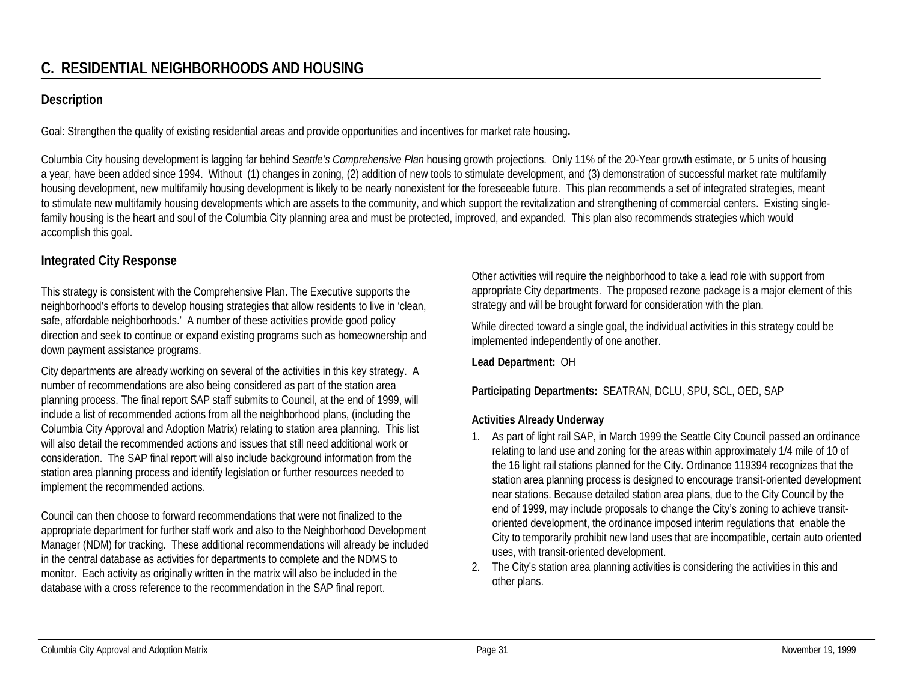## **Description**

Goal: Strengthen the quality of existing residential areas and provide opportunities and incentives for market rate housing**.**

Columbia City housing development is lagging far behind *Seattle's Comprehensive Plan* housing growth projections. Only 11% of the 20-Year growth estimate, or 5 units of housing a year, have been added since 1994. Without (1) changes in zoning, (2) addition of new tools to stimulate development, and (3) demonstration of successful market rate multifamily housing development, new multifamily housing development is likely to be nearly nonexistent for the foreseeable future. This plan recommends a set of integrated strategies, meant to stimulate new multifamily housing developments which are assets to the community, and which support the revitalization and strengthening of commercial centers. Existing singlefamily housing is the heart and soul of the Columbia City planning area and must be protected, improved, and expanded. This plan also recommends strategies which would accomplish this goal.

## **Integrated City Response**

This strategy is consistent with the Comprehensive Plan. The Executive supports the neighborhood's efforts to develop housing strategies that allow residents to live in 'clean, safe, affordable neighborhoods.' A number of these activities provide good policy direction and seek to continue or expand existing programs such as homeownership and down payment assistance programs.

City departments are already working on several of the activities in this key strategy. A number of recommendations are also being considered as part of the station area planning process. The final report SAP staff submits to Council, at the end of 1999, will include a list of recommended actions from all the neighborhood plans, (including the Columbia City Approval and Adoption Matrix) relating to station area planning. This list will also detail the recommended actions and issues that still need additional work or consideration. The SAP final report will also include background information from the station area planning process and identify legislation or further resources needed to implement the recommended actions.

Council can then choose to forward recommendations that were not finalized to the appropriate department for further staff work and also to the Neighborhood Development Manager (NDM) for tracking. These additional recommendations will already be included in the central database as activities for departments to complete and the NDMS to monitor. Each activity as originally written in the matrix will also be included in the database with a cross reference to the recommendation in the SAP final report.

Other activities will require the neighborhood to take a lead role with support from appropriate City departments. The proposed rezone package is a major element of this strategy and will be brought forward for consideration with the plan.

While directed toward a single goal, the individual activities in this strategy could be implemented independently of one another.

**Lead Department:** OH

#### **Participating Departments:** SEATRAN, DCLU, SPU, SCL, OED, SAP

## **Activities Already Underway**

- 1. As part of light rail SAP, in March 1999 the Seattle City Council passed an ordinance relating to land use and zoning for the areas within approximately 1/4 mile of 10 of the 16 light rail stations planned for the City. Ordinance 119394 recognizes that the station area planning process is designed to encourage transit-oriented development near stations. Because detailed station area plans, due to the City Council by the end of 1999, may include proposals to change the City's zoning to achieve transitoriented development, the ordinance imposed interim regulations that enable the City to temporarily prohibit new land uses that are incompatible, certain auto oriented uses, with transit-oriented development.
- 2. The City's station area planning activities is considering the activities in this and other plans.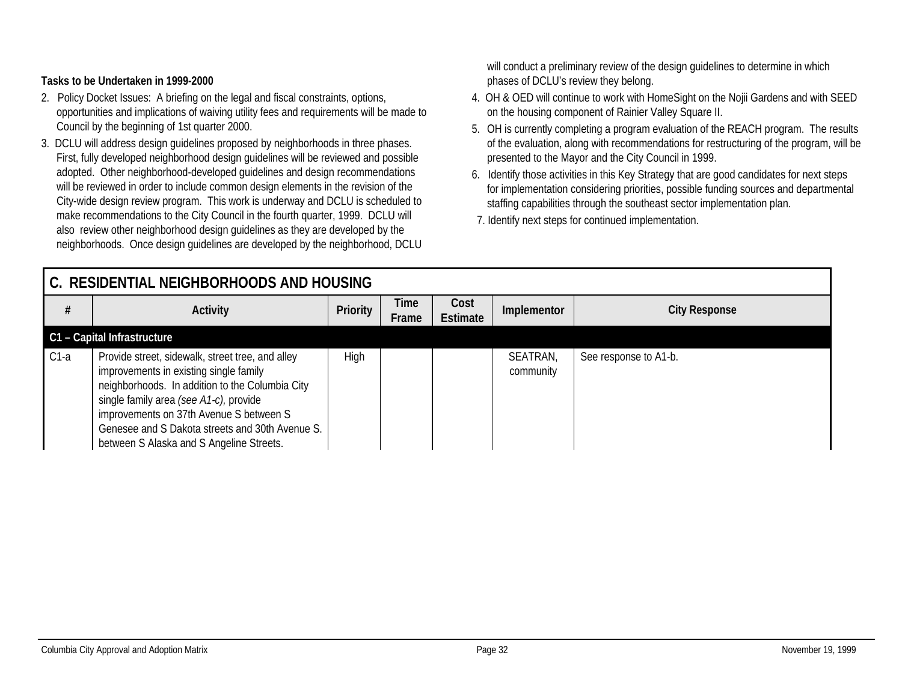#### **Tasks to be Undertaken in 1999-2000**

- 2. Policy Docket Issues: A briefing on the legal and fiscal constraints, options, opportunities and implications of waiving utility fees and requirements will be made to Council by the beginning of 1st quarter 2000.
- 3. DCLU will address design guidelines proposed by neighborhoods in three phases. First, fully developed neighborhood design guidelines will be reviewed and possible adopted. Other neighborhood-developed guidelines and design recommendations will be reviewed in order to include common design elements in the revision of the City-wide design review program. This work is underway and DCLU is scheduled to make recommendations to the City Council in the fourth quarter, 1999. DCLU will also review other neighborhood design guidelines as they are developed by the neighborhoods. Once design guidelines are developed by the neighborhood, DCLU

will conduct a preliminary review of the design guidelines to determine in which phases of DCLU's review they belong.

- 4. OH & OED will continue to work with HomeSight on the Nojii Gardens and with SEED on the housing component of Rainier Valley Square II.
- 5. OH is currently completing a program evaluation of the REACH program. The results of the evaluation, along with recommendations for restructuring of the program, will be presented to the Mayor and the City Council in 1999.
- 6. Identify those activities in this Key Strategy that are good candidates for next steps for implementation considering priorities, possible funding sources and departmental staffing capabilities through the southeast sector implementation plan.
- 7. Identify next steps for continued implementation.

| l C. RESIDENTIAL NEIGHBORHOODS AND HOUSING |                                                                                                                                                                                                                                                                                                                                   |                 |               |                         |                       |                       |  |
|--------------------------------------------|-----------------------------------------------------------------------------------------------------------------------------------------------------------------------------------------------------------------------------------------------------------------------------------------------------------------------------------|-----------------|---------------|-------------------------|-----------------------|-----------------------|--|
|                                            | <b>Activity</b>                                                                                                                                                                                                                                                                                                                   | <b>Priority</b> | Time<br>Frame | Cost<br><b>Estimate</b> | Implementor           | <b>City Response</b>  |  |
|                                            | C1 - Capital Infrastructure                                                                                                                                                                                                                                                                                                       |                 |               |                         |                       |                       |  |
| $C1-a$                                     | Provide street, sidewalk, street tree, and alley<br>improvements in existing single family<br>neighborhoods. In addition to the Columbia City<br>single family area (see A1-c), provide<br>improvements on 37th Avenue S between S<br>Genesee and S Dakota streets and 30th Avenue S.<br>between S Alaska and S Angeline Streets. | High            |               |                         | SEATRAN,<br>community | See response to A1-b. |  |

#### Columbia City Approval and Adoption Matrix Page 32 November 19, 1999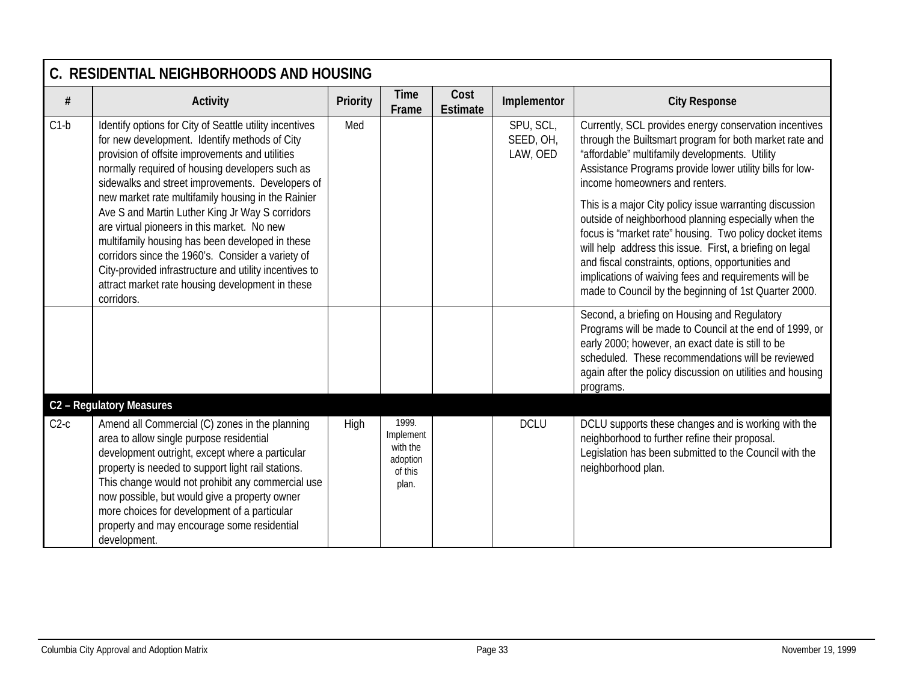|        | C. RESIDENTIAL NEIGHBORHOODS AND HOUSING                                                                                                                                                                                                                                                                                                                                                                                 |          |                                                                |                         |                                    |                                                                                                                                                                                                                                                                                                                                                                                                                |
|--------|--------------------------------------------------------------------------------------------------------------------------------------------------------------------------------------------------------------------------------------------------------------------------------------------------------------------------------------------------------------------------------------------------------------------------|----------|----------------------------------------------------------------|-------------------------|------------------------------------|----------------------------------------------------------------------------------------------------------------------------------------------------------------------------------------------------------------------------------------------------------------------------------------------------------------------------------------------------------------------------------------------------------------|
| #      | <b>Activity</b>                                                                                                                                                                                                                                                                                                                                                                                                          | Priority | <b>Time</b><br>Frame                                           | Cost<br><b>Estimate</b> | Implementor                        | <b>City Response</b>                                                                                                                                                                                                                                                                                                                                                                                           |
| $C1-b$ | Identify options for City of Seattle utility incentives<br>for new development. Identify methods of City<br>provision of offsite improvements and utilities<br>normally required of housing developers such as<br>sidewalks and street improvements. Developers of<br>new market rate multifamily housing in the Rainier                                                                                                 | Med      |                                                                |                         | SPU, SCL,<br>SEED, OH,<br>LAW, OED | Currently, SCL provides energy conservation incentives<br>through the Builtsmart program for both market rate and<br>"affordable" multifamily developments. Utility<br>Assistance Programs provide lower utility bills for low-<br>income homeowners and renters.                                                                                                                                              |
|        | Ave S and Martin Luther King Jr Way S corridors<br>are virtual pioneers in this market. No new<br>multifamily housing has been developed in these<br>corridors since the 1960's. Consider a variety of<br>City-provided infrastructure and utility incentives to<br>attract market rate housing development in these<br>corridors.                                                                                       |          |                                                                |                         |                                    | This is a major City policy issue warranting discussion<br>outside of neighborhood planning especially when the<br>focus is "market rate" housing. Two policy docket items<br>will help address this issue. First, a briefing on legal<br>and fiscal constraints, options, opportunities and<br>implications of waiving fees and requirements will be<br>made to Council by the beginning of 1st Quarter 2000. |
|        |                                                                                                                                                                                                                                                                                                                                                                                                                          |          |                                                                |                         |                                    | Second, a briefing on Housing and Regulatory<br>Programs will be made to Council at the end of 1999, or<br>early 2000; however, an exact date is still to be<br>scheduled. These recommendations will be reviewed<br>again after the policy discussion on utilities and housing<br>programs.                                                                                                                   |
|        | C2 - Regulatory Measures                                                                                                                                                                                                                                                                                                                                                                                                 |          |                                                                |                         |                                    |                                                                                                                                                                                                                                                                                                                                                                                                                |
| $C2-c$ | Amend all Commercial (C) zones in the planning<br>area to allow single purpose residential<br>development outright, except where a particular<br>property is needed to support light rail stations.<br>This change would not prohibit any commercial use<br>now possible, but would give a property owner<br>more choices for development of a particular<br>property and may encourage some residential<br>development. | High     | 1999.<br>Implement<br>with the<br>adoption<br>of this<br>plan. |                         | <b>DCLU</b>                        | DCLU supports these changes and is working with the<br>neighborhood to further refine their proposal.<br>Legislation has been submitted to the Council with the<br>neighborhood plan.                                                                                                                                                                                                                          |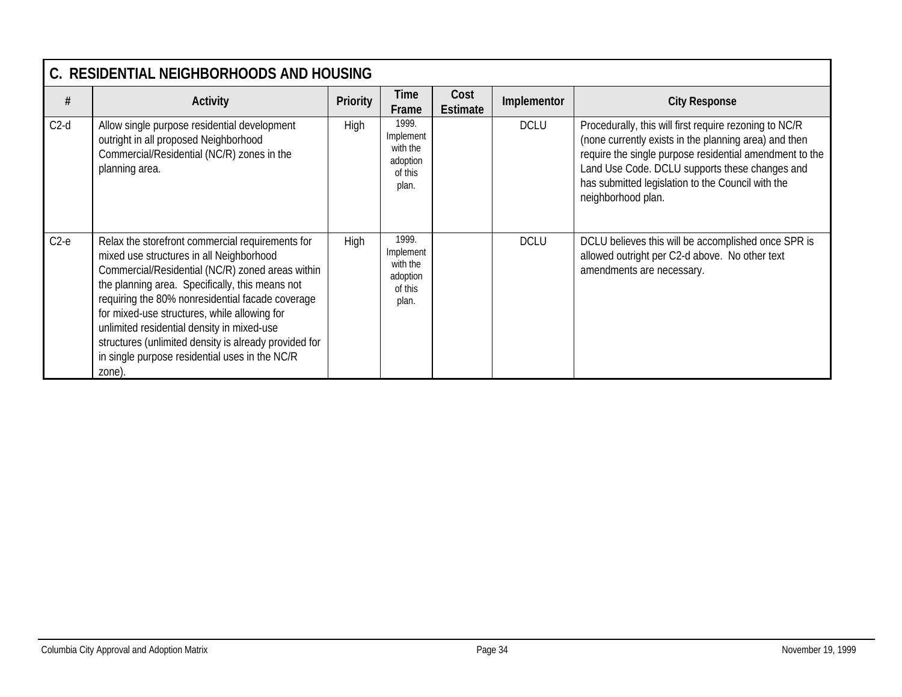|        | C. RESIDENTIAL NEIGHBORHOODS AND HOUSING                                                                                                                                                                                                                                                                                                                                                                                                                                   |                 |                                                                |                         |             |                                                                                                                                                                                                                                                                                                         |  |  |  |  |
|--------|----------------------------------------------------------------------------------------------------------------------------------------------------------------------------------------------------------------------------------------------------------------------------------------------------------------------------------------------------------------------------------------------------------------------------------------------------------------------------|-----------------|----------------------------------------------------------------|-------------------------|-------------|---------------------------------------------------------------------------------------------------------------------------------------------------------------------------------------------------------------------------------------------------------------------------------------------------------|--|--|--|--|
| #      | <b>Activity</b>                                                                                                                                                                                                                                                                                                                                                                                                                                                            | <b>Priority</b> | Time<br>Frame                                                  | Cost<br><b>Estimate</b> | Implementor | <b>City Response</b>                                                                                                                                                                                                                                                                                    |  |  |  |  |
| $C2-d$ | Allow single purpose residential development<br>outright in all proposed Neighborhood<br>Commercial/Residential (NC/R) zones in the<br>planning area.                                                                                                                                                                                                                                                                                                                      | <b>High</b>     | 1999.<br>Implement<br>with the<br>adoption<br>of this<br>plan. |                         | <b>DCLU</b> | Procedurally, this will first require rezoning to NC/R<br>(none currently exists in the planning area) and then<br>require the single purpose residential amendment to the<br>Land Use Code. DCLU supports these changes and<br>has submitted legislation to the Council with the<br>neighborhood plan. |  |  |  |  |
| $C2-e$ | Relax the storefront commercial requirements for<br>mixed use structures in all Neighborhood<br>Commercial/Residential (NC/R) zoned areas within<br>the planning area. Specifically, this means not<br>requiring the 80% nonresidential facade coverage<br>for mixed-use structures, while allowing for<br>unlimited residential density in mixed-use<br>structures (unlimited density is already provided for<br>in single purpose residential uses in the NC/R<br>zone). | <b>High</b>     | 1999.<br>Implement<br>with the<br>adoption<br>of this<br>plan. |                         | <b>DCLU</b> | DCLU believes this will be accomplished once SPR is<br>allowed outright per C2-d above. No other text<br>amendments are necessary.                                                                                                                                                                      |  |  |  |  |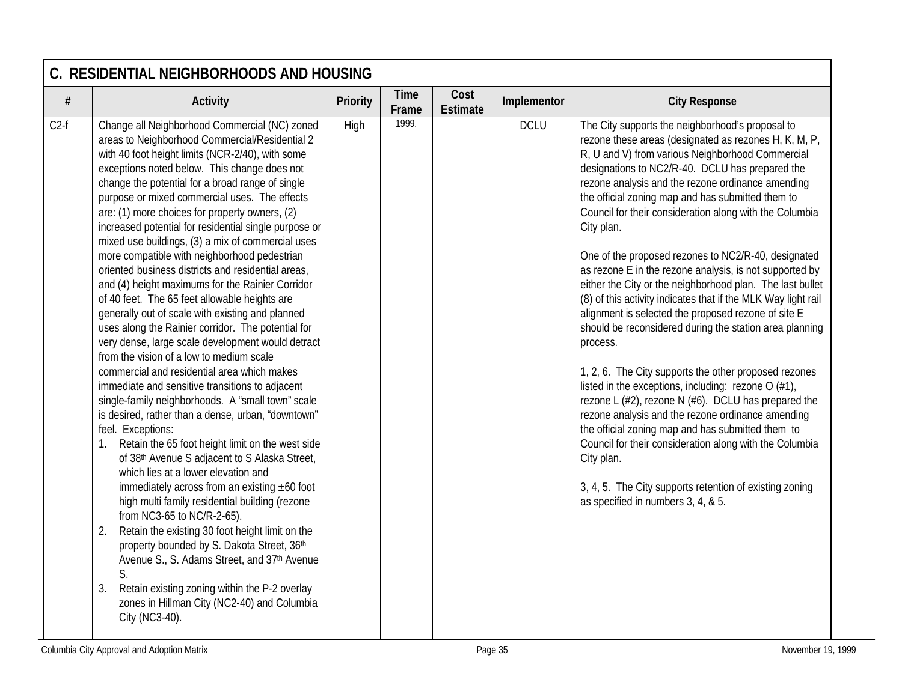|        | C. RESIDENTIAL NEIGHBORHOODS AND HOUSING                                                                                                                                                                                                                                                                                                                                                                                                                                                                                                                                                                                                                                                                                                                                                                                                                                                                                                                                                                                                                                                                                                                                                                                                                                                                                                                                                                                                                                                                                                                                                                                                                                                                    |          |                      |                         |             |                                                                                                                                                                                                                                                                                                                                                                                                                                                                                                                                                                                                                                                                                                                                                                                                                                                                                                                                                                                                                                                                                                                                                                                                                                                        |  |  |  |
|--------|-------------------------------------------------------------------------------------------------------------------------------------------------------------------------------------------------------------------------------------------------------------------------------------------------------------------------------------------------------------------------------------------------------------------------------------------------------------------------------------------------------------------------------------------------------------------------------------------------------------------------------------------------------------------------------------------------------------------------------------------------------------------------------------------------------------------------------------------------------------------------------------------------------------------------------------------------------------------------------------------------------------------------------------------------------------------------------------------------------------------------------------------------------------------------------------------------------------------------------------------------------------------------------------------------------------------------------------------------------------------------------------------------------------------------------------------------------------------------------------------------------------------------------------------------------------------------------------------------------------------------------------------------------------------------------------------------------------|----------|----------------------|-------------------------|-------------|--------------------------------------------------------------------------------------------------------------------------------------------------------------------------------------------------------------------------------------------------------------------------------------------------------------------------------------------------------------------------------------------------------------------------------------------------------------------------------------------------------------------------------------------------------------------------------------------------------------------------------------------------------------------------------------------------------------------------------------------------------------------------------------------------------------------------------------------------------------------------------------------------------------------------------------------------------------------------------------------------------------------------------------------------------------------------------------------------------------------------------------------------------------------------------------------------------------------------------------------------------|--|--|--|
| $\#$   | <b>Activity</b>                                                                                                                                                                                                                                                                                                                                                                                                                                                                                                                                                                                                                                                                                                                                                                                                                                                                                                                                                                                                                                                                                                                                                                                                                                                                                                                                                                                                                                                                                                                                                                                                                                                                                             | Priority | <b>Time</b><br>Frame | Cost<br><b>Estimate</b> | Implementor | <b>City Response</b>                                                                                                                                                                                                                                                                                                                                                                                                                                                                                                                                                                                                                                                                                                                                                                                                                                                                                                                                                                                                                                                                                                                                                                                                                                   |  |  |  |
| $C2-f$ | Change all Neighborhood Commercial (NC) zoned<br>areas to Neighborhood Commercial/Residential 2<br>with 40 foot height limits (NCR-2/40), with some<br>exceptions noted below. This change does not<br>change the potential for a broad range of single<br>purpose or mixed commercial uses. The effects<br>are: (1) more choices for property owners, (2)<br>increased potential for residential single purpose or<br>mixed use buildings, (3) a mix of commercial uses<br>more compatible with neighborhood pedestrian<br>oriented business districts and residential areas,<br>and (4) height maximums for the Rainier Corridor<br>of 40 feet. The 65 feet allowable heights are<br>generally out of scale with existing and planned<br>uses along the Rainier corridor. The potential for<br>very dense, large scale development would detract<br>from the vision of a low to medium scale<br>commercial and residential area which makes<br>immediate and sensitive transitions to adjacent<br>single-family neighborhoods. A "small town" scale<br>is desired, rather than a dense, urban, "downtown"<br>feel. Exceptions:<br>Retain the 65 foot height limit on the west side<br>1.<br>of 38th Avenue S adjacent to S Alaska Street,<br>which lies at a lower elevation and<br>immediately across from an existing $\pm 60$ foot<br>high multi family residential building (rezone<br>from NC3-65 to NC/R-2-65).<br>Retain the existing 30 foot height limit on the<br>2.<br>property bounded by S. Dakota Street, 36th<br>Avenue S., S. Adams Street, and 37th Avenue<br>S.<br>Retain existing zoning within the P-2 overlay<br>3.<br>zones in Hillman City (NC2-40) and Columbia<br>City (NC3-40). | High     | 1999.                |                         | <b>DCLU</b> | The City supports the neighborhood's proposal to<br>rezone these areas (designated as rezones H, K, M, P,<br>R, U and V) from various Neighborhood Commercial<br>designations to NC2/R-40. DCLU has prepared the<br>rezone analysis and the rezone ordinance amending<br>the official zoning map and has submitted them to<br>Council for their consideration along with the Columbia<br>City plan.<br>One of the proposed rezones to NC2/R-40, designated<br>as rezone E in the rezone analysis, is not supported by<br>either the City or the neighborhood plan. The last bullet<br>(8) of this activity indicates that if the MLK Way light rail<br>alignment is selected the proposed rezone of site E<br>should be reconsidered during the station area planning<br>process.<br>1, 2, 6. The City supports the other proposed rezones<br>listed in the exceptions, including: rezone $O(H1)$ ,<br>rezone L $(\#2)$ , rezone N $(\#6)$ . DCLU has prepared the<br>rezone analysis and the rezone ordinance amending<br>the official zoning map and has submitted them to<br>Council for their consideration along with the Columbia<br>City plan.<br>3, 4, 5. The City supports retention of existing zoning<br>as specified in numbers 3, 4, & 5. |  |  |  |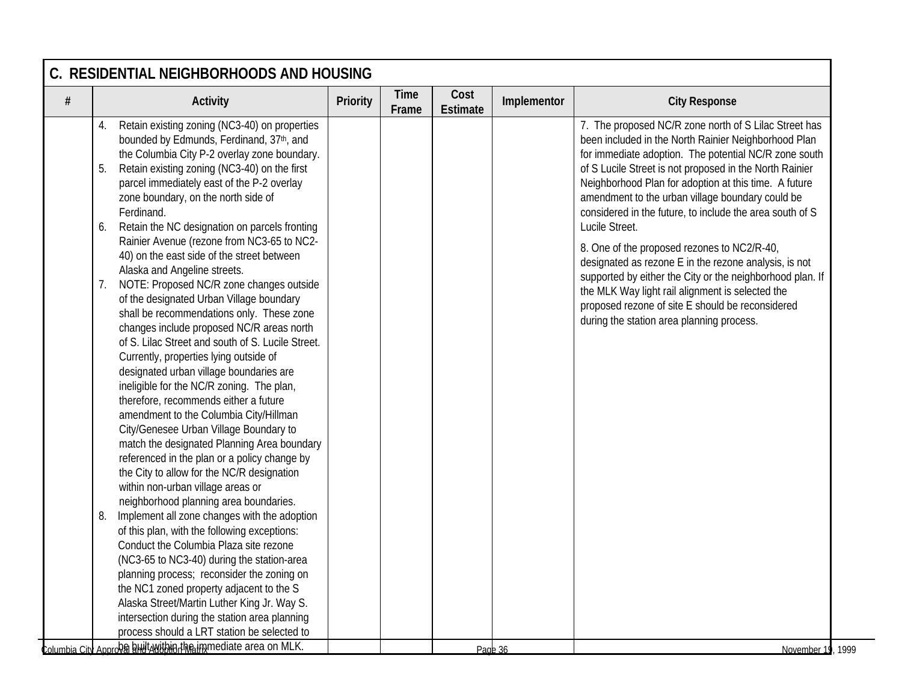| $\#$ | <b>Activity</b>                                                                                | Priority | <b>Time</b><br>Frame | Cost<br><b>Estimate</b> | Implementor | <b>City Response</b>                                      |
|------|------------------------------------------------------------------------------------------------|----------|----------------------|-------------------------|-------------|-----------------------------------------------------------|
|      | Retain existing zoning (NC3-40) on properties<br>4.                                            |          |                      |                         |             | 7. The proposed NC/R zone north of S Lilac Street has     |
|      | bounded by Edmunds, Ferdinand, 37th, and                                                       |          |                      |                         |             | been included in the North Rainier Neighborhood Plan      |
|      | the Columbia City P-2 overlay zone boundary.                                                   |          |                      |                         |             | for immediate adoption. The potential NC/R zone south     |
|      | 5.<br>Retain existing zoning (NC3-40) on the first                                             |          |                      |                         |             | of S Lucile Street is not proposed in the North Rainier   |
|      | parcel immediately east of the P-2 overlay                                                     |          |                      |                         |             | Neighborhood Plan for adoption at this time. A future     |
|      | zone boundary, on the north side of                                                            |          |                      |                         |             | amendment to the urban village boundary could be          |
|      | Ferdinand.                                                                                     |          |                      |                         |             | considered in the future, to include the area south of S  |
|      | Retain the NC designation on parcels fronting<br>6.                                            |          |                      |                         |             | Lucile Street.                                            |
|      | Rainier Avenue (rezone from NC3-65 to NC2-                                                     |          |                      |                         |             | 8. One of the proposed rezones to NC2/R-40,               |
|      | 40) on the east side of the street between                                                     |          |                      |                         |             | designated as rezone E in the rezone analysis, is not     |
|      | Alaska and Angeline streets.                                                                   |          |                      |                         |             | supported by either the City or the neighborhood plan. If |
|      | NOTE: Proposed NC/R zone changes outside<br>7.                                                 |          |                      |                         |             | the MLK Way light rail alignment is selected the          |
|      | of the designated Urban Village boundary                                                       |          |                      |                         |             | proposed rezone of site E should be reconsidered          |
|      | shall be recommendations only. These zone                                                      |          |                      |                         |             | during the station area planning process.                 |
|      | changes include proposed NC/R areas north<br>of S. Lilac Street and south of S. Lucile Street. |          |                      |                         |             |                                                           |
|      |                                                                                                |          |                      |                         |             |                                                           |
|      | Currently, properties lying outside of                                                         |          |                      |                         |             |                                                           |
|      | designated urban village boundaries are<br>ineligible for the NC/R zoning. The plan,           |          |                      |                         |             |                                                           |
|      | therefore, recommends either a future                                                          |          |                      |                         |             |                                                           |
|      | amendment to the Columbia City/Hillman                                                         |          |                      |                         |             |                                                           |
|      | City/Genesee Urban Village Boundary to                                                         |          |                      |                         |             |                                                           |
|      | match the designated Planning Area boundary                                                    |          |                      |                         |             |                                                           |
|      | referenced in the plan or a policy change by                                                   |          |                      |                         |             |                                                           |
|      | the City to allow for the NC/R designation                                                     |          |                      |                         |             |                                                           |
|      | within non-urban village areas or                                                              |          |                      |                         |             |                                                           |
|      | neighborhood planning area boundaries.                                                         |          |                      |                         |             |                                                           |
|      | Implement all zone changes with the adoption<br>8.                                             |          |                      |                         |             |                                                           |
|      | of this plan, with the following exceptions:                                                   |          |                      |                         |             |                                                           |
|      | Conduct the Columbia Plaza site rezone                                                         |          |                      |                         |             |                                                           |
|      | (NC3-65 to NC3-40) during the station-area                                                     |          |                      |                         |             |                                                           |
|      | planning process; reconsider the zoning on                                                     |          |                      |                         |             |                                                           |
|      | the NC1 zoned property adjacent to the S                                                       |          |                      |                         |             |                                                           |
|      | Alaska Street/Martin Luther King Jr. Way S.                                                    |          |                      |                         |             |                                                           |
|      | intersection during the station area planning                                                  |          |                      |                         |             |                                                           |
|      | process should a LRT station be selected to                                                    |          |                      |                         |             |                                                           |
|      | Columbia City Approva anti-Awithin the immediate area on MLK.                                  |          |                      |                         | Page 36     | November 19, 1999                                         |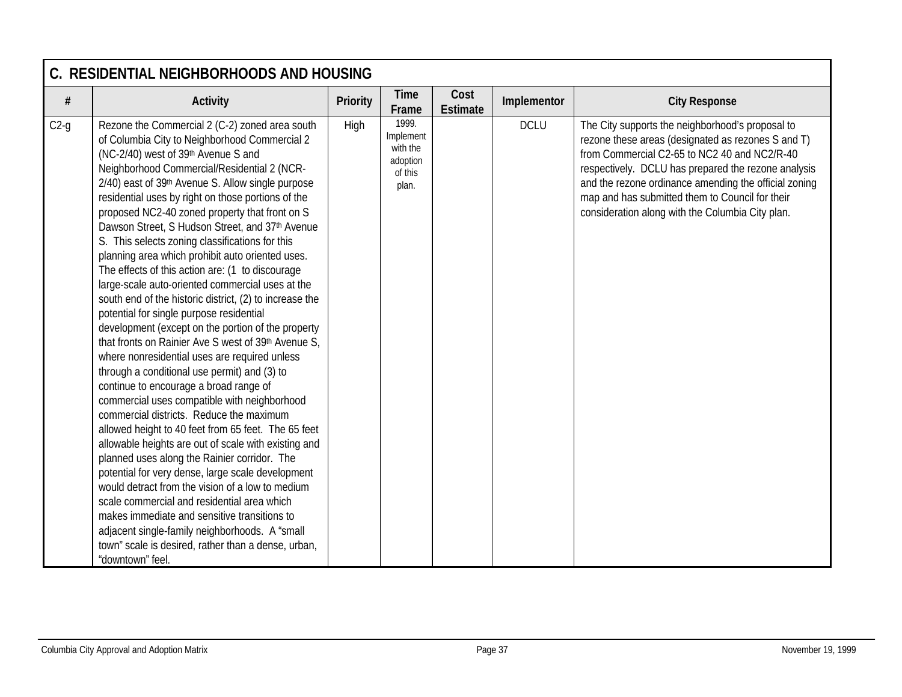|        | C. RESIDENTIAL NEIGHBORHOODS AND HOUSING                                                                                                                                                                                                                                                                                                                                                                                                                                                                                                                                                                                                                                                                                                                                                                                                                                                                                                                                                                                                                                                                                                                                                                                                                                                                                                                                                                                                                                                                                                                                            |                 |                                                                |                         |             |                                                                                                                                                                                                                                                                                                                                                                               |  |  |  |  |
|--------|-------------------------------------------------------------------------------------------------------------------------------------------------------------------------------------------------------------------------------------------------------------------------------------------------------------------------------------------------------------------------------------------------------------------------------------------------------------------------------------------------------------------------------------------------------------------------------------------------------------------------------------------------------------------------------------------------------------------------------------------------------------------------------------------------------------------------------------------------------------------------------------------------------------------------------------------------------------------------------------------------------------------------------------------------------------------------------------------------------------------------------------------------------------------------------------------------------------------------------------------------------------------------------------------------------------------------------------------------------------------------------------------------------------------------------------------------------------------------------------------------------------------------------------------------------------------------------------|-----------------|----------------------------------------------------------------|-------------------------|-------------|-------------------------------------------------------------------------------------------------------------------------------------------------------------------------------------------------------------------------------------------------------------------------------------------------------------------------------------------------------------------------------|--|--|--|--|
| #      | <b>Activity</b>                                                                                                                                                                                                                                                                                                                                                                                                                                                                                                                                                                                                                                                                                                                                                                                                                                                                                                                                                                                                                                                                                                                                                                                                                                                                                                                                                                                                                                                                                                                                                                     | <b>Priority</b> | <b>Time</b><br>Frame                                           | Cost<br><b>Estimate</b> | Implementor | <b>City Response</b>                                                                                                                                                                                                                                                                                                                                                          |  |  |  |  |
| $C2-g$ | Rezone the Commercial 2 (C-2) zoned area south<br>of Columbia City to Neighborhood Commercial 2<br>(NC-2/40) west of 39th Avenue S and<br>Neighborhood Commercial/Residential 2 (NCR-<br>2/40) east of 39th Avenue S. Allow single purpose<br>residential uses by right on those portions of the<br>proposed NC2-40 zoned property that front on S<br>Dawson Street, S Hudson Street, and 37th Avenue<br>S. This selects zoning classifications for this<br>planning area which prohibit auto oriented uses.<br>The effects of this action are: (1 to discourage<br>large-scale auto-oriented commercial uses at the<br>south end of the historic district, (2) to increase the<br>potential for single purpose residential<br>development (except on the portion of the property<br>that fronts on Rainier Ave S west of 39th Avenue S,<br>where nonresidential uses are required unless<br>through a conditional use permit) and (3) to<br>continue to encourage a broad range of<br>commercial uses compatible with neighborhood<br>commercial districts. Reduce the maximum<br>allowed height to 40 feet from 65 feet. The 65 feet<br>allowable heights are out of scale with existing and<br>planned uses along the Rainier corridor. The<br>potential for very dense, large scale development<br>would detract from the vision of a low to medium<br>scale commercial and residential area which<br>makes immediate and sensitive transitions to<br>adjacent single-family neighborhoods. A "small<br>town" scale is desired, rather than a dense, urban,<br>"downtown" feel. | High            | 1999.<br>Implement<br>with the<br>adoption<br>of this<br>plan. |                         | <b>DCLU</b> | The City supports the neighborhood's proposal to<br>rezone these areas (designated as rezones S and T)<br>from Commercial C2-65 to NC2 40 and NC2/R-40<br>respectively. DCLU has prepared the rezone analysis<br>and the rezone ordinance amending the official zoning<br>map and has submitted them to Council for their<br>consideration along with the Columbia City plan. |  |  |  |  |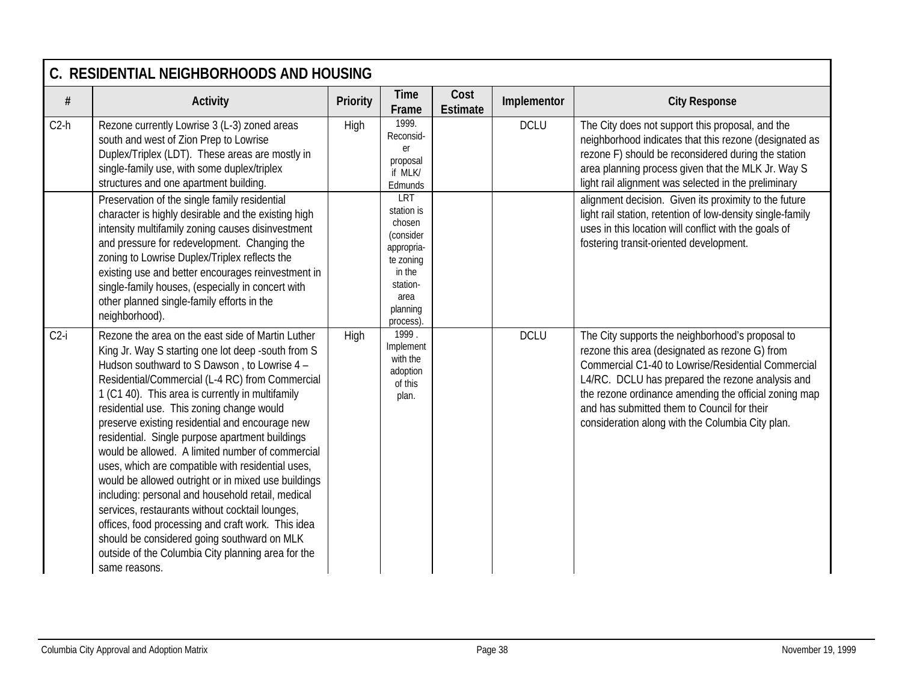|        | C. RESIDENTIAL NEIGHBORHOODS AND HOUSING                                                                                                                                                                                                                                                                                                                                                                                                                                                                                                                                                                                                                                                                                                                                                                                                                              |                 |                                                                                                                           |                         |             |                                                                                                                                                                                                                                                                                                                                                                          |  |  |  |  |
|--------|-----------------------------------------------------------------------------------------------------------------------------------------------------------------------------------------------------------------------------------------------------------------------------------------------------------------------------------------------------------------------------------------------------------------------------------------------------------------------------------------------------------------------------------------------------------------------------------------------------------------------------------------------------------------------------------------------------------------------------------------------------------------------------------------------------------------------------------------------------------------------|-----------------|---------------------------------------------------------------------------------------------------------------------------|-------------------------|-------------|--------------------------------------------------------------------------------------------------------------------------------------------------------------------------------------------------------------------------------------------------------------------------------------------------------------------------------------------------------------------------|--|--|--|--|
| $\#$   | <b>Activity</b>                                                                                                                                                                                                                                                                                                                                                                                                                                                                                                                                                                                                                                                                                                                                                                                                                                                       | <b>Priority</b> | <b>Time</b><br>Frame                                                                                                      | Cost<br><b>Estimate</b> | Implementor | <b>City Response</b>                                                                                                                                                                                                                                                                                                                                                     |  |  |  |  |
| $C2-h$ | Rezone currently Lowrise 3 (L-3) zoned areas<br>south and west of Zion Prep to Lowrise<br>Duplex/Triplex (LDT). These areas are mostly in<br>single-family use, with some duplex/triplex<br>structures and one apartment building.                                                                                                                                                                                                                                                                                                                                                                                                                                                                                                                                                                                                                                    | High            | 1999.<br>Reconsid-<br>er<br>proposal<br>if MLK/<br>Edmunds                                                                |                         | <b>DCLU</b> | The City does not support this proposal, and the<br>neighborhood indicates that this rezone (designated as<br>rezone F) should be reconsidered during the station<br>area planning process given that the MLK Jr. Way S<br>light rail alignment was selected in the preliminary                                                                                          |  |  |  |  |
|        | Preservation of the single family residential<br>character is highly desirable and the existing high<br>intensity multifamily zoning causes disinvestment<br>and pressure for redevelopment. Changing the<br>zoning to Lowrise Duplex/Triplex reflects the<br>existing use and better encourages reinvestment in<br>single-family houses, (especially in concert with<br>other planned single-family efforts in the<br>neighborhood).                                                                                                                                                                                                                                                                                                                                                                                                                                 |                 | LRT<br>station is<br>chosen<br>(consider<br>appropria-<br>te zoning<br>in the<br>station-<br>area<br>planning<br>process) |                         |             | alignment decision. Given its proximity to the future<br>light rail station, retention of low-density single-family<br>uses in this location will conflict with the goals of<br>fostering transit-oriented development.                                                                                                                                                  |  |  |  |  |
| $C2-i$ | Rezone the area on the east side of Martin Luther<br>King Jr. Way S starting one lot deep -south from S<br>Hudson southward to S Dawson, to Lowrise 4 -<br>Residential/Commercial (L-4 RC) from Commercial<br>1 (C1 40). This area is currently in multifamily<br>residential use. This zoning change would<br>preserve existing residential and encourage new<br>residential. Single purpose apartment buildings<br>would be allowed. A limited number of commercial<br>uses, which are compatible with residential uses,<br>would be allowed outright or in mixed use buildings<br>including: personal and household retail, medical<br>services, restaurants without cocktail lounges,<br>offices, food processing and craft work. This idea<br>should be considered going southward on MLK<br>outside of the Columbia City planning area for the<br>same reasons. | High            | 1999.<br>Implement<br>with the<br>adoption<br>of this<br>plan.                                                            |                         | <b>DCLU</b> | The City supports the neighborhood's proposal to<br>rezone this area (designated as rezone G) from<br>Commercial C1-40 to Lowrise/Residential Commercial<br>L4/RC. DCLU has prepared the rezone analysis and<br>the rezone ordinance amending the official zoning map<br>and has submitted them to Council for their<br>consideration along with the Columbia City plan. |  |  |  |  |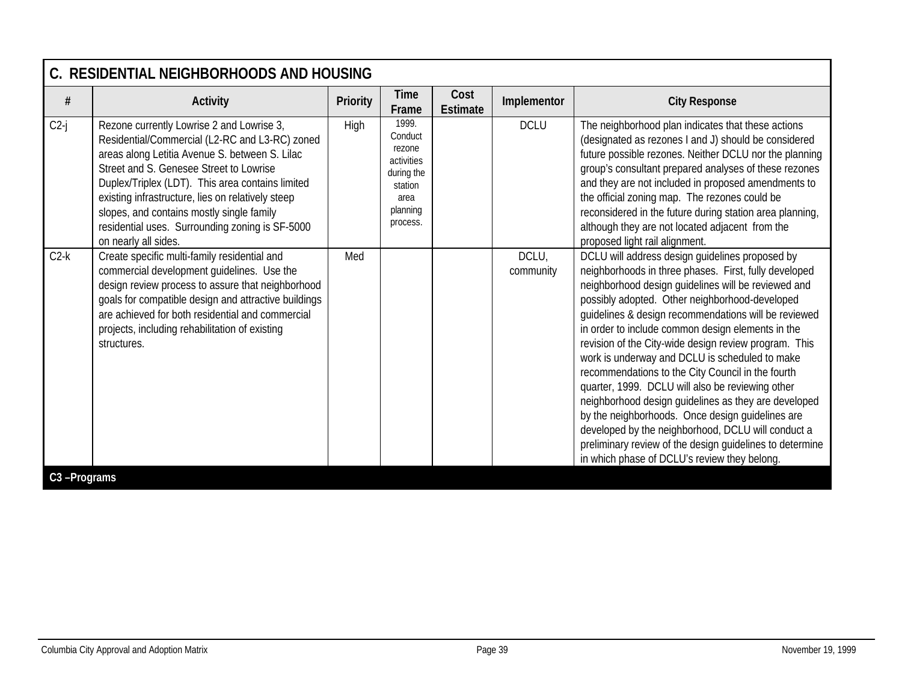|        | C. RESIDENTIAL NEIGHBORHOODS AND HOUSING                                                                                                                                                                                                                                                                                                                                                                                  |          |                                                                                                   |                         |                    |                                                                                                                                                                                                                                                                                                                                                                                                                                                                                                                                                                                                                                                                                                                                                                                                                                  |  |  |  |  |
|--------|---------------------------------------------------------------------------------------------------------------------------------------------------------------------------------------------------------------------------------------------------------------------------------------------------------------------------------------------------------------------------------------------------------------------------|----------|---------------------------------------------------------------------------------------------------|-------------------------|--------------------|----------------------------------------------------------------------------------------------------------------------------------------------------------------------------------------------------------------------------------------------------------------------------------------------------------------------------------------------------------------------------------------------------------------------------------------------------------------------------------------------------------------------------------------------------------------------------------------------------------------------------------------------------------------------------------------------------------------------------------------------------------------------------------------------------------------------------------|--|--|--|--|
| $\#$   | <b>Activity</b>                                                                                                                                                                                                                                                                                                                                                                                                           | Priority | Time<br>Frame                                                                                     | Cost<br><b>Estimate</b> | Implementor        | <b>City Response</b>                                                                                                                                                                                                                                                                                                                                                                                                                                                                                                                                                                                                                                                                                                                                                                                                             |  |  |  |  |
| $C2-j$ | Rezone currently Lowrise 2 and Lowrise 3,<br>Residential/Commercial (L2-RC and L3-RC) zoned<br>areas along Letitia Avenue S. between S. Lilac<br>Street and S. Genesee Street to Lowrise<br>Duplex/Triplex (LDT). This area contains limited<br>existing infrastructure, lies on relatively steep<br>slopes, and contains mostly single family<br>residential uses. Surrounding zoning is SF-5000<br>on nearly all sides. | High     | 1999.<br>Conduct<br>rezone<br>activities<br>during the<br>station<br>area<br>planning<br>process. |                         | <b>DCLU</b>        | The neighborhood plan indicates that these actions<br>(designated as rezones I and J) should be considered<br>future possible rezones. Neither DCLU nor the planning<br>group's consultant prepared analyses of these rezones<br>and they are not included in proposed amendments to<br>the official zoning map. The rezones could be<br>reconsidered in the future during station area planning,<br>although they are not located adjacent from the<br>proposed light rail alignment.                                                                                                                                                                                                                                                                                                                                           |  |  |  |  |
| $C2-k$ | Create specific multi-family residential and<br>commercial development guidelines. Use the<br>design review process to assure that neighborhood<br>goals for compatible design and attractive buildings<br>are achieved for both residential and commercial<br>projects, including rehabilitation of existing<br>structures.                                                                                              | Med      |                                                                                                   |                         | DCLU,<br>community | DCLU will address design guidelines proposed by<br>neighborhoods in three phases. First, fully developed<br>neighborhood design guidelines will be reviewed and<br>possibly adopted. Other neighborhood-developed<br>guidelines & design recommendations will be reviewed<br>in order to include common design elements in the<br>revision of the City-wide design review program. This<br>work is underway and DCLU is scheduled to make<br>recommendations to the City Council in the fourth<br>quarter, 1999. DCLU will also be reviewing other<br>neighborhood design guidelines as they are developed<br>by the neighborhoods. Once design guidelines are<br>developed by the neighborhood, DCLU will conduct a<br>preliminary review of the design guidelines to determine<br>in which phase of DCLU's review they belong. |  |  |  |  |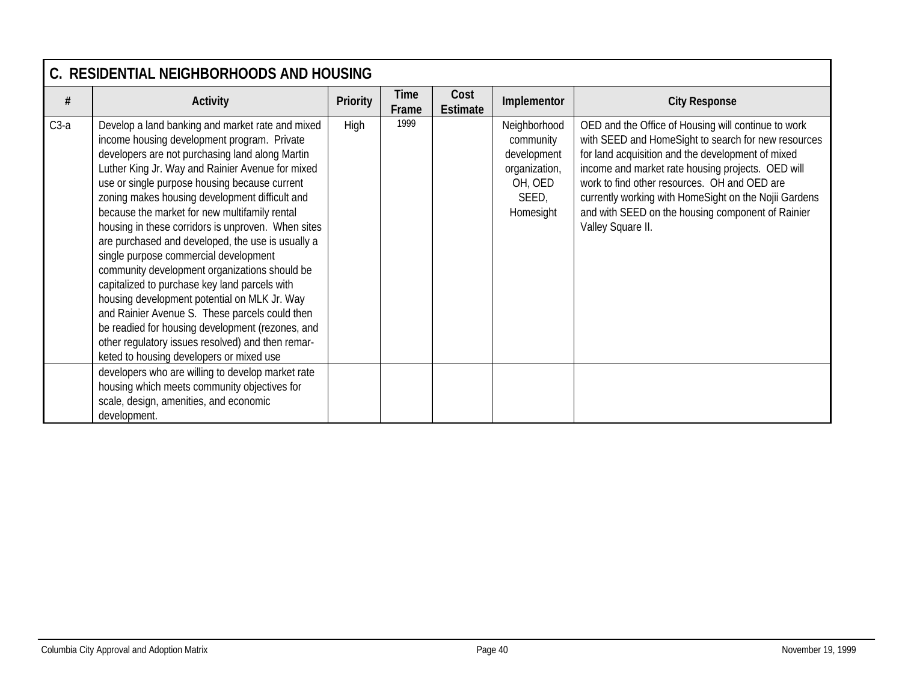|        | C. RESIDENTIAL NEIGHBORHOODS AND HOUSING                                                                                                                                                                                                                                                                                                                                                                                                                                                                                                                                                                                                                                                                                                                                                                                                                                                                                                                                                                               |                 |               |                  |                                                                                            |                                                                                                                                                                                                                                                                                                                                                                                                         |  |  |  |  |
|--------|------------------------------------------------------------------------------------------------------------------------------------------------------------------------------------------------------------------------------------------------------------------------------------------------------------------------------------------------------------------------------------------------------------------------------------------------------------------------------------------------------------------------------------------------------------------------------------------------------------------------------------------------------------------------------------------------------------------------------------------------------------------------------------------------------------------------------------------------------------------------------------------------------------------------------------------------------------------------------------------------------------------------|-----------------|---------------|------------------|--------------------------------------------------------------------------------------------|---------------------------------------------------------------------------------------------------------------------------------------------------------------------------------------------------------------------------------------------------------------------------------------------------------------------------------------------------------------------------------------------------------|--|--|--|--|
| $\#$   | <b>Activity</b>                                                                                                                                                                                                                                                                                                                                                                                                                                                                                                                                                                                                                                                                                                                                                                                                                                                                                                                                                                                                        | <b>Priority</b> | Time<br>Frame | Cost<br>Estimate | Implementor                                                                                | <b>City Response</b>                                                                                                                                                                                                                                                                                                                                                                                    |  |  |  |  |
| $C3-a$ | Develop a land banking and market rate and mixed<br>income housing development program. Private<br>developers are not purchasing land along Martin<br>Luther King Jr. Way and Rainier Avenue for mixed<br>use or single purpose housing because current<br>zoning makes housing development difficult and<br>because the market for new multifamily rental<br>housing in these corridors is unproven. When sites<br>are purchased and developed, the use is usually a<br>single purpose commercial development<br>community development organizations should be<br>capitalized to purchase key land parcels with<br>housing development potential on MLK Jr. Way<br>and Rainier Avenue S. These parcels could then<br>be readied for housing development (rezones, and<br>other regulatory issues resolved) and then remar-<br>keted to housing developers or mixed use<br>developers who are willing to develop market rate<br>housing which meets community objectives for<br>scale, design, amenities, and economic | <b>High</b>     | 1999          |                  | Neighborhood<br>community<br>development<br>organization,<br>OH, OED<br>SEED,<br>Homesight | OED and the Office of Housing will continue to work<br>with SEED and HomeSight to search for new resources<br>for land acquisition and the development of mixed<br>income and market rate housing projects. OED will<br>work to find other resources. OH and OED are<br>currently working with HomeSight on the Nojii Gardens<br>and with SEED on the housing component of Rainier<br>Valley Square II. |  |  |  |  |
|        | development.                                                                                                                                                                                                                                                                                                                                                                                                                                                                                                                                                                                                                                                                                                                                                                                                                                                                                                                                                                                                           |                 |               |                  |                                                                                            |                                                                                                                                                                                                                                                                                                                                                                                                         |  |  |  |  |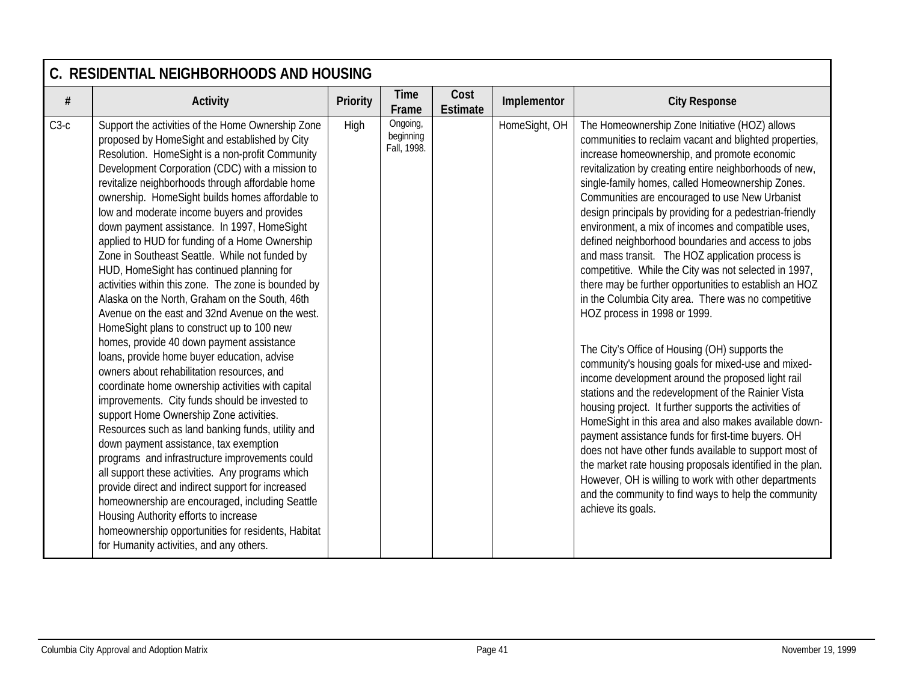|        | C. RESIDENTIAL NEIGHBORHOODS AND HOUSING                                                                                                                                                                                                                                                                                                                                                                                                                                                                                                                                                                                                                                                                                                                                                                                                                                                                                                                                                                                                                                                                                                                                                                                                                                                                                                                                                                                                                                                                                     |                 |                                      |                         |               |                                                                                                                                                                                                                                                                                                                                                                                                                                                                                                                                                                                                                                                                                                                                                                                                                                                                                                                                                                                                                                                                                                                                                                                                                                                                                                                                                                                                                            |  |  |  |  |
|--------|------------------------------------------------------------------------------------------------------------------------------------------------------------------------------------------------------------------------------------------------------------------------------------------------------------------------------------------------------------------------------------------------------------------------------------------------------------------------------------------------------------------------------------------------------------------------------------------------------------------------------------------------------------------------------------------------------------------------------------------------------------------------------------------------------------------------------------------------------------------------------------------------------------------------------------------------------------------------------------------------------------------------------------------------------------------------------------------------------------------------------------------------------------------------------------------------------------------------------------------------------------------------------------------------------------------------------------------------------------------------------------------------------------------------------------------------------------------------------------------------------------------------------|-----------------|--------------------------------------|-------------------------|---------------|----------------------------------------------------------------------------------------------------------------------------------------------------------------------------------------------------------------------------------------------------------------------------------------------------------------------------------------------------------------------------------------------------------------------------------------------------------------------------------------------------------------------------------------------------------------------------------------------------------------------------------------------------------------------------------------------------------------------------------------------------------------------------------------------------------------------------------------------------------------------------------------------------------------------------------------------------------------------------------------------------------------------------------------------------------------------------------------------------------------------------------------------------------------------------------------------------------------------------------------------------------------------------------------------------------------------------------------------------------------------------------------------------------------------------|--|--|--|--|
| #      | <b>Activity</b>                                                                                                                                                                                                                                                                                                                                                                                                                                                                                                                                                                                                                                                                                                                                                                                                                                                                                                                                                                                                                                                                                                                                                                                                                                                                                                                                                                                                                                                                                                              | <b>Priority</b> | <b>Time</b><br>Frame                 | Cost<br><b>Estimate</b> | Implementor   | <b>City Response</b>                                                                                                                                                                                                                                                                                                                                                                                                                                                                                                                                                                                                                                                                                                                                                                                                                                                                                                                                                                                                                                                                                                                                                                                                                                                                                                                                                                                                       |  |  |  |  |
| $C3-c$ | Support the activities of the Home Ownership Zone<br>proposed by HomeSight and established by City<br>Resolution. HomeSight is a non-profit Community<br>Development Corporation (CDC) with a mission to<br>revitalize neighborhoods through affordable home<br>ownership. HomeSight builds homes affordable to<br>low and moderate income buyers and provides<br>down payment assistance. In 1997, HomeSight<br>applied to HUD for funding of a Home Ownership<br>Zone in Southeast Seattle. While not funded by<br>HUD, HomeSight has continued planning for<br>activities within this zone. The zone is bounded by<br>Alaska on the North, Graham on the South, 46th<br>Avenue on the east and 32nd Avenue on the west.<br>HomeSight plans to construct up to 100 new<br>homes, provide 40 down payment assistance<br>loans, provide home buyer education, advise<br>owners about rehabilitation resources, and<br>coordinate home ownership activities with capital<br>improvements. City funds should be invested to<br>support Home Ownership Zone activities.<br>Resources such as land banking funds, utility and<br>down payment assistance, tax exemption<br>programs and infrastructure improvements could<br>all support these activities. Any programs which<br>provide direct and indirect support for increased<br>homeownership are encouraged, including Seattle<br>Housing Authority efforts to increase<br>homeownership opportunities for residents, Habitat<br>for Humanity activities, and any others. | High            | Ongoing,<br>beginning<br>Fall, 1998. |                         | HomeSight, OH | The Homeownership Zone Initiative (HOZ) allows<br>communities to reclaim vacant and blighted properties,<br>increase homeownership, and promote economic<br>revitalization by creating entire neighborhoods of new,<br>single-family homes, called Homeownership Zones.<br>Communities are encouraged to use New Urbanist<br>design principals by providing for a pedestrian-friendly<br>environment, a mix of incomes and compatible uses,<br>defined neighborhood boundaries and access to jobs<br>and mass transit. The HOZ application process is<br>competitive. While the City was not selected in 1997,<br>there may be further opportunities to establish an HOZ<br>in the Columbia City area. There was no competitive<br>HOZ process in 1998 or 1999.<br>The City's Office of Housing (OH) supports the<br>community's housing goals for mixed-use and mixed-<br>income development around the proposed light rail<br>stations and the redevelopment of the Rainier Vista<br>housing project. It further supports the activities of<br>HomeSight in this area and also makes available down-<br>payment assistance funds for first-time buyers. OH<br>does not have other funds available to support most of<br>the market rate housing proposals identified in the plan.<br>However, OH is willing to work with other departments<br>and the community to find ways to help the community<br>achieve its goals. |  |  |  |  |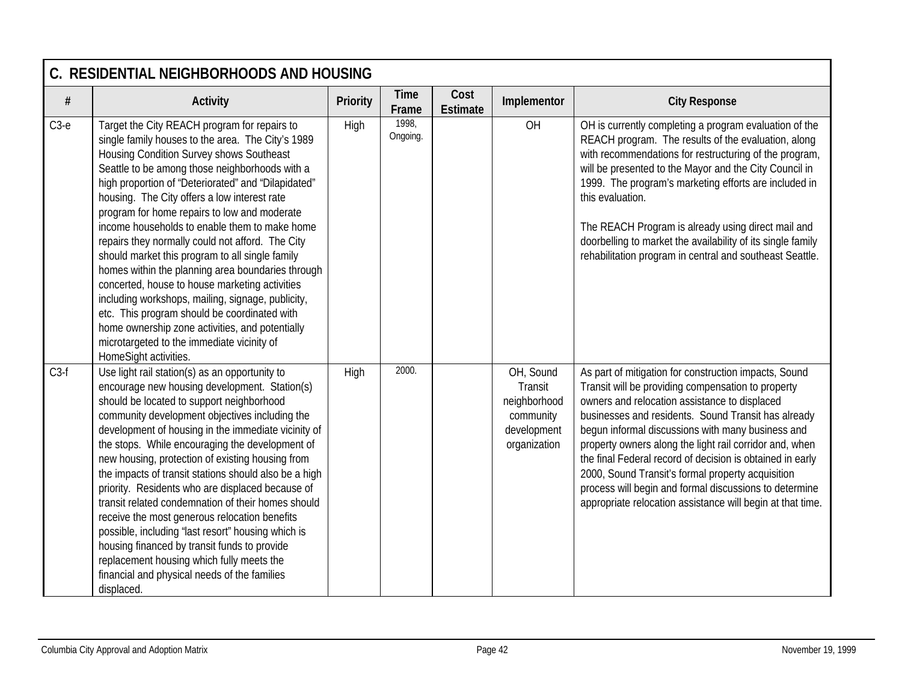|        | C. RESIDENTIAL NEIGHBORHOODS AND HOUSING                                                                                                                                                                                                                                                                                                                                                                                                                                                                                                                                                                                                                                                                                                                                                                                                             |          |                      |                         |                                                                                  |                                                                                                                                                                                                                                                                                                                                                                                                                                                                                                                                                                               |  |  |  |  |
|--------|------------------------------------------------------------------------------------------------------------------------------------------------------------------------------------------------------------------------------------------------------------------------------------------------------------------------------------------------------------------------------------------------------------------------------------------------------------------------------------------------------------------------------------------------------------------------------------------------------------------------------------------------------------------------------------------------------------------------------------------------------------------------------------------------------------------------------------------------------|----------|----------------------|-------------------------|----------------------------------------------------------------------------------|-------------------------------------------------------------------------------------------------------------------------------------------------------------------------------------------------------------------------------------------------------------------------------------------------------------------------------------------------------------------------------------------------------------------------------------------------------------------------------------------------------------------------------------------------------------------------------|--|--|--|--|
| $\#$   | <b>Activity</b>                                                                                                                                                                                                                                                                                                                                                                                                                                                                                                                                                                                                                                                                                                                                                                                                                                      | Priority | <b>Time</b><br>Frame | Cost<br><b>Estimate</b> | Implementor                                                                      | <b>City Response</b>                                                                                                                                                                                                                                                                                                                                                                                                                                                                                                                                                          |  |  |  |  |
| $C3-e$ | Target the City REACH program for repairs to<br>single family houses to the area. The City's 1989<br>Housing Condition Survey shows Southeast<br>Seattle to be among those neighborhoods with a<br>high proportion of "Deteriorated" and "Dilapidated"<br>housing. The City offers a low interest rate<br>program for home repairs to low and moderate<br>income households to enable them to make home<br>repairs they normally could not afford. The City<br>should market this program to all single family<br>homes within the planning area boundaries through<br>concerted, house to house marketing activities<br>including workshops, mailing, signage, publicity,<br>etc. This program should be coordinated with<br>home ownership zone activities, and potentially<br>microtargeted to the immediate vicinity of<br>HomeSight activities. | High     | 1998,<br>Ongoing.    |                         | OH                                                                               | OH is currently completing a program evaluation of the<br>REACH program. The results of the evaluation, along<br>with recommendations for restructuring of the program,<br>will be presented to the Mayor and the City Council in<br>1999. The program's marketing efforts are included in<br>this evaluation.<br>The REACH Program is already using direct mail and<br>doorbelling to market the availability of its single family<br>rehabilitation program in central and southeast Seattle.                                                                               |  |  |  |  |
| $C3-f$ | Use light rail station(s) as an opportunity to<br>encourage new housing development. Station(s)<br>should be located to support neighborhood<br>community development objectives including the<br>development of housing in the immediate vicinity of<br>the stops. While encouraging the development of<br>new housing, protection of existing housing from<br>the impacts of transit stations should also be a high<br>priority. Residents who are displaced because of<br>transit related condemnation of their homes should<br>receive the most generous relocation benefits<br>possible, including 'last resort" housing which is<br>housing financed by transit funds to provide<br>replacement housing which fully meets the<br>financial and physical needs of the families<br>displaced.                                                    | High     | 2000.                |                         | OH, Sound<br>Transit<br>neighborhood<br>community<br>development<br>organization | As part of mitigation for construction impacts, Sound<br>Transit will be providing compensation to property<br>owners and relocation assistance to displaced<br>businesses and residents. Sound Transit has already<br>begun informal discussions with many business and<br>property owners along the light rail corridor and, when<br>the final Federal record of decision is obtained in early<br>2000, Sound Transit's formal property acquisition<br>process will begin and formal discussions to determine<br>appropriate relocation assistance will begin at that time. |  |  |  |  |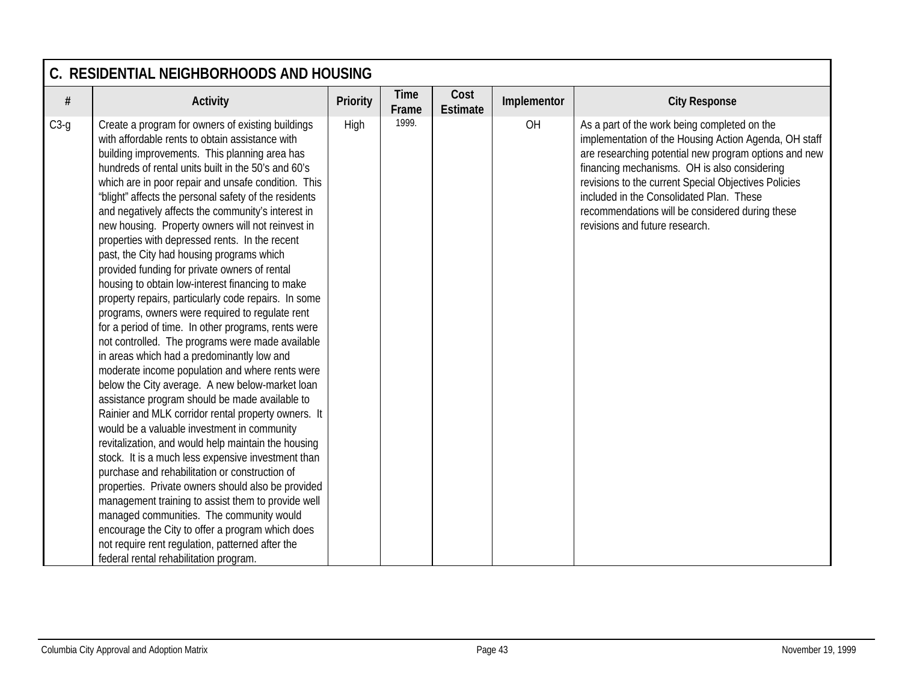|        | C. RESIDENTIAL NEIGHBORHOODS AND HOUSING                                                                                                                                                                                                                                                                                                                                                                                                                                                                                                                                                                                                                                                                                                                                                                                                                                                                                                                                                                                                                                                                                                                                                                                                                                                                                                                                                                                                                                                                                                                                                                                                               |                 |                      |                         |             |                                                                                                                                                                                                                                                                                                                                                                                                         |  |  |  |  |
|--------|--------------------------------------------------------------------------------------------------------------------------------------------------------------------------------------------------------------------------------------------------------------------------------------------------------------------------------------------------------------------------------------------------------------------------------------------------------------------------------------------------------------------------------------------------------------------------------------------------------------------------------------------------------------------------------------------------------------------------------------------------------------------------------------------------------------------------------------------------------------------------------------------------------------------------------------------------------------------------------------------------------------------------------------------------------------------------------------------------------------------------------------------------------------------------------------------------------------------------------------------------------------------------------------------------------------------------------------------------------------------------------------------------------------------------------------------------------------------------------------------------------------------------------------------------------------------------------------------------------------------------------------------------------|-----------------|----------------------|-------------------------|-------------|---------------------------------------------------------------------------------------------------------------------------------------------------------------------------------------------------------------------------------------------------------------------------------------------------------------------------------------------------------------------------------------------------------|--|--|--|--|
| $\#$   | <b>Activity</b>                                                                                                                                                                                                                                                                                                                                                                                                                                                                                                                                                                                                                                                                                                                                                                                                                                                                                                                                                                                                                                                                                                                                                                                                                                                                                                                                                                                                                                                                                                                                                                                                                                        | <b>Priority</b> | <b>Time</b><br>Frame | Cost<br><b>Estimate</b> | Implementor | <b>City Response</b>                                                                                                                                                                                                                                                                                                                                                                                    |  |  |  |  |
| $C3-g$ | Create a program for owners of existing buildings<br>with affordable rents to obtain assistance with<br>building improvements. This planning area has<br>hundreds of rental units built in the 50's and 60's<br>which are in poor repair and unsafe condition. This<br>'blight" affects the personal safety of the residents<br>and negatively affects the community's interest in<br>new housing. Property owners will not reinvest in<br>properties with depressed rents. In the recent<br>past, the City had housing programs which<br>provided funding for private owners of rental<br>housing to obtain low-interest financing to make<br>property repairs, particularly code repairs. In some<br>programs, owners were required to regulate rent<br>for a period of time. In other programs, rents were<br>not controlled. The programs were made available<br>in areas which had a predominantly low and<br>moderate income population and where rents were<br>below the City average. A new below-market loan<br>assistance program should be made available to<br>Rainier and MLK corridor rental property owners. It<br>would be a valuable investment in community<br>revitalization, and would help maintain the housing<br>stock. It is a much less expensive investment than<br>purchase and rehabilitation or construction of<br>properties. Private owners should also be provided<br>management training to assist them to provide well<br>managed communities. The community would<br>encourage the City to offer a program which does<br>not require rent regulation, patterned after the<br>federal rental rehabilitation program. | High            | 1999.                |                         | OH          | As a part of the work being completed on the<br>implementation of the Housing Action Agenda, OH staff<br>are researching potential new program options and new<br>financing mechanisms. OH is also considering<br>revisions to the current Special Objectives Policies<br>included in the Consolidated Plan. These<br>recommendations will be considered during these<br>revisions and future research. |  |  |  |  |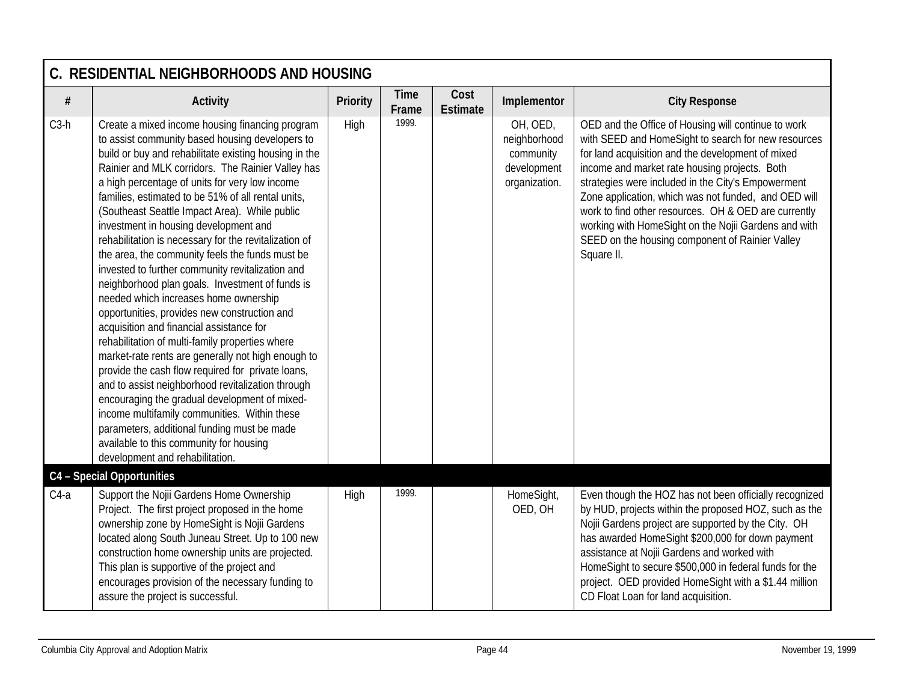|        | C. RESIDENTIAL NEIGHBORHOODS AND HOUSING                                                                                                                                                                                                                                                                                                                                                                                                                                                                                                                                                                                                                                                                                                                                                                                                                                                                                                                                                                                                                                                                                                                                                                                    |                 |                      |                         |                                                                       |                                                                                                                                                                                                                                                                                                                                                                                                                                                                                                                 |
|--------|-----------------------------------------------------------------------------------------------------------------------------------------------------------------------------------------------------------------------------------------------------------------------------------------------------------------------------------------------------------------------------------------------------------------------------------------------------------------------------------------------------------------------------------------------------------------------------------------------------------------------------------------------------------------------------------------------------------------------------------------------------------------------------------------------------------------------------------------------------------------------------------------------------------------------------------------------------------------------------------------------------------------------------------------------------------------------------------------------------------------------------------------------------------------------------------------------------------------------------|-----------------|----------------------|-------------------------|-----------------------------------------------------------------------|-----------------------------------------------------------------------------------------------------------------------------------------------------------------------------------------------------------------------------------------------------------------------------------------------------------------------------------------------------------------------------------------------------------------------------------------------------------------------------------------------------------------|
| $\#$   | <b>Activity</b>                                                                                                                                                                                                                                                                                                                                                                                                                                                                                                                                                                                                                                                                                                                                                                                                                                                                                                                                                                                                                                                                                                                                                                                                             | <b>Priority</b> | <b>Time</b><br>Frame | Cost<br><b>Estimate</b> | Implementor                                                           | <b>City Response</b>                                                                                                                                                                                                                                                                                                                                                                                                                                                                                            |
| $C3-h$ | Create a mixed income housing financing program<br>to assist community based housing developers to<br>build or buy and rehabilitate existing housing in the<br>Rainier and MLK corridors. The Rainier Valley has<br>a high percentage of units for very low income<br>families, estimated to be 51% of all rental units,<br>(Southeast Seattle Impact Area). While public<br>investment in housing development and<br>rehabilitation is necessary for the revitalization of<br>the area, the community feels the funds must be<br>invested to further community revitalization and<br>neighborhood plan goals. Investment of funds is<br>needed which increases home ownership<br>opportunities, provides new construction and<br>acquisition and financial assistance for<br>rehabilitation of multi-family properties where<br>market-rate rents are generally not high enough to<br>provide the cash flow required for private loans,<br>and to assist neighborhood revitalization through<br>encouraging the gradual development of mixed-<br>income multifamily communities. Within these<br>parameters, additional funding must be made<br>available to this community for housing<br>development and rehabilitation. | High            | 1999.                |                         | OH, OED,<br>neighborhood<br>community<br>development<br>organization. | OED and the Office of Housing will continue to work<br>with SEED and HomeSight to search for new resources<br>for land acquisition and the development of mixed<br>income and market rate housing projects. Both<br>strategies were included in the City's Empowerment<br>Zone application, which was not funded, and OED will<br>work to find other resources. OH & OED are currently<br>working with HomeSight on the Nojii Gardens and with<br>SEED on the housing component of Rainier Valley<br>Square II. |
|        | C4 - Special Opportunities                                                                                                                                                                                                                                                                                                                                                                                                                                                                                                                                                                                                                                                                                                                                                                                                                                                                                                                                                                                                                                                                                                                                                                                                  |                 |                      |                         |                                                                       |                                                                                                                                                                                                                                                                                                                                                                                                                                                                                                                 |
| $C4-a$ | Support the Nojii Gardens Home Ownership<br>Project. The first project proposed in the home<br>ownership zone by HomeSight is Nojii Gardens<br>located along South Juneau Street. Up to 100 new<br>construction home ownership units are projected.<br>This plan is supportive of the project and<br>encourages provision of the necessary funding to<br>assure the project is successful.                                                                                                                                                                                                                                                                                                                                                                                                                                                                                                                                                                                                                                                                                                                                                                                                                                  | High            | 1999.                |                         | HomeSight,<br>OED, OH                                                 | Even though the HOZ has not been officially recognized<br>by HUD, projects within the proposed HOZ, such as the<br>Nojii Gardens project are supported by the City. OH<br>has awarded HomeSight \$200,000 for down payment<br>assistance at Nojii Gardens and worked with<br>HomeSight to secure \$500,000 in federal funds for the<br>project. OED provided HomeSight with a \$1.44 million<br>CD Float Loan for land acquisition.                                                                             |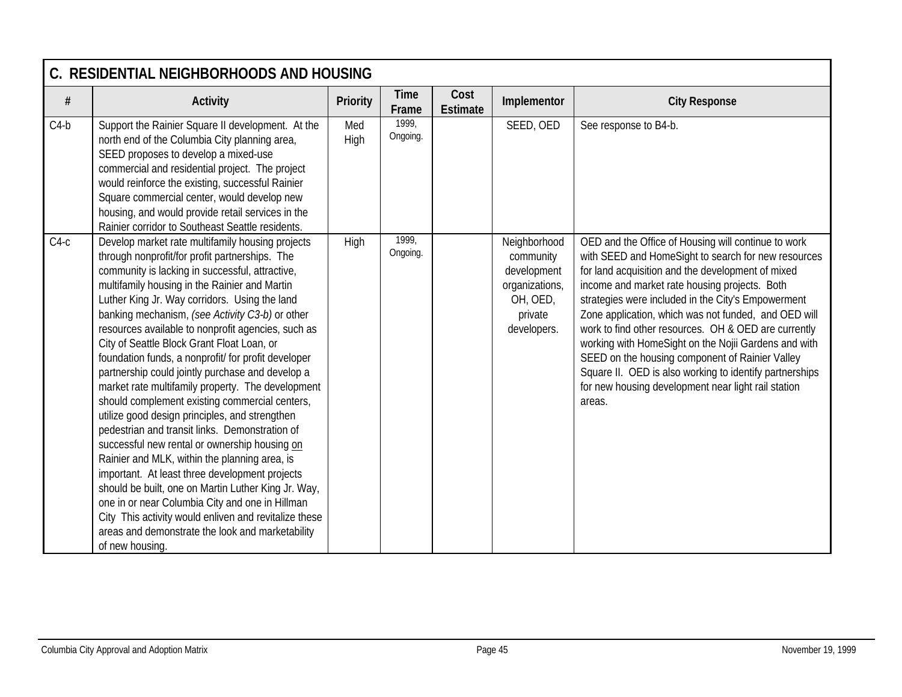|        | C. RESIDENTIAL NEIGHBORHOODS AND HOUSING                                                                                                                                                                                                                                                                                                                                                                                                                                                                                                                                                                                                                                                                                                                                                                                                                                                                                                                                                                                                                                                                                           |                 |                      |                         |                                                                                                  |                                                                                                                                                                                                                                                                                                                                                                                                                                                                                                                                                                                                                               |  |  |  |  |
|--------|------------------------------------------------------------------------------------------------------------------------------------------------------------------------------------------------------------------------------------------------------------------------------------------------------------------------------------------------------------------------------------------------------------------------------------------------------------------------------------------------------------------------------------------------------------------------------------------------------------------------------------------------------------------------------------------------------------------------------------------------------------------------------------------------------------------------------------------------------------------------------------------------------------------------------------------------------------------------------------------------------------------------------------------------------------------------------------------------------------------------------------|-----------------|----------------------|-------------------------|--------------------------------------------------------------------------------------------------|-------------------------------------------------------------------------------------------------------------------------------------------------------------------------------------------------------------------------------------------------------------------------------------------------------------------------------------------------------------------------------------------------------------------------------------------------------------------------------------------------------------------------------------------------------------------------------------------------------------------------------|--|--|--|--|
| $\#$   | <b>Activity</b>                                                                                                                                                                                                                                                                                                                                                                                                                                                                                                                                                                                                                                                                                                                                                                                                                                                                                                                                                                                                                                                                                                                    | <b>Priority</b> | <b>Time</b><br>Frame | Cost<br><b>Estimate</b> | Implementor                                                                                      | <b>City Response</b>                                                                                                                                                                                                                                                                                                                                                                                                                                                                                                                                                                                                          |  |  |  |  |
| $C4-b$ | Support the Rainier Square II development. At the<br>north end of the Columbia City planning area,<br>SEED proposes to develop a mixed-use<br>commercial and residential project. The project<br>would reinforce the existing, successful Rainier<br>Square commercial center, would develop new<br>housing, and would provide retail services in the<br>Rainier corridor to Southeast Seattle residents.                                                                                                                                                                                                                                                                                                                                                                                                                                                                                                                                                                                                                                                                                                                          | Med<br>High     | 1999,<br>Ongoing.    |                         | SEED, OED                                                                                        | See response to B4-b.                                                                                                                                                                                                                                                                                                                                                                                                                                                                                                                                                                                                         |  |  |  |  |
| $C4-c$ | Develop market rate multifamily housing projects<br>through nonprofit/for profit partnerships. The<br>community is lacking in successful, attractive,<br>multifamily housing in the Rainier and Martin<br>Luther King Jr. Way corridors. Using the land<br>banking mechanism, (see Activity C3-b) or other<br>resources available to nonprofit agencies, such as<br>City of Seattle Block Grant Float Loan, or<br>foundation funds, a nonprofit/ for profit developer<br>partnership could jointly purchase and develop a<br>market rate multifamily property. The development<br>should complement existing commercial centers,<br>utilize good design principles, and strengthen<br>pedestrian and transit links. Demonstration of<br>successful new rental or ownership housing on<br>Rainier and MLK, within the planning area, is<br>important. At least three development projects<br>should be built, one on Martin Luther King Jr. Way,<br>one in or near Columbia City and one in Hillman<br>City This activity would enliven and revitalize these<br>areas and demonstrate the look and marketability<br>of new housing. | <b>High</b>     | 1999,<br>Ongoing.    |                         | Neighborhood<br>community<br>development<br>organizations,<br>OH, OED,<br>private<br>developers. | OED and the Office of Housing will continue to work<br>with SEED and HomeSight to search for new resources<br>for land acquisition and the development of mixed<br>income and market rate housing projects. Both<br>strategies were included in the City's Empowerment<br>Zone application, which was not funded, and OED will<br>work to find other resources. OH & OED are currently<br>working with HomeSight on the Nojii Gardens and with<br>SEED on the housing component of Rainier Valley<br>Square II. OED is also working to identify partnerships<br>for new housing development near light rail station<br>areas. |  |  |  |  |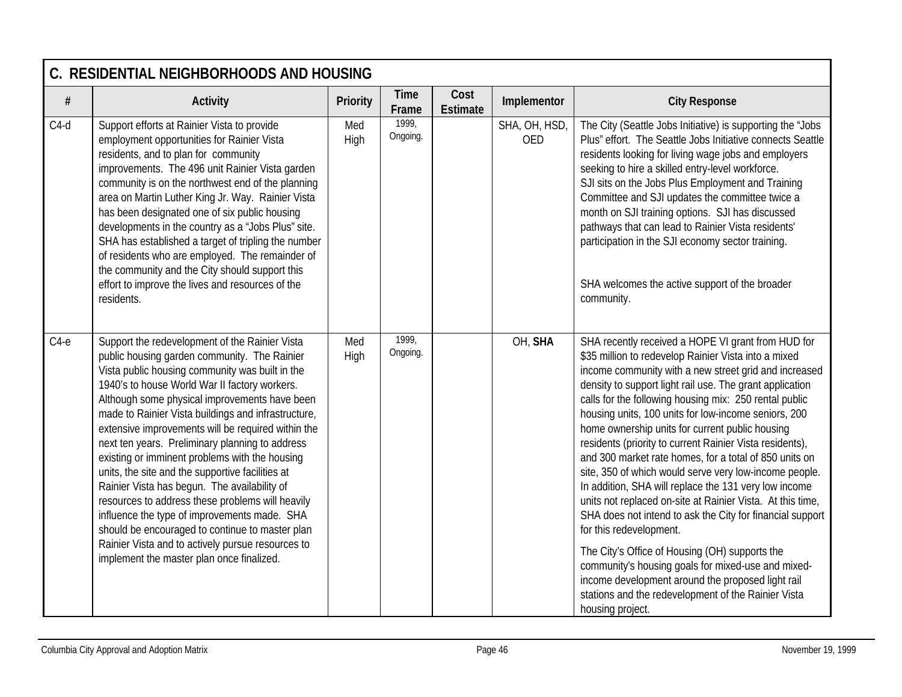|        | C. RESIDENTIAL NEIGHBORHOODS AND HOUSING                                                                                                                                                                                                                                                                                                                                                                                                                                                                                                                                                                                                                                                                                                                                                                                           |             |                      |                         |                             |                                                                                                                                                                                                                                                                                                                                                                                                                                                                                                                                                                                                                                                                                                                                                                                                                                                                                                                                                                                                                                             |  |  |  |  |
|--------|------------------------------------------------------------------------------------------------------------------------------------------------------------------------------------------------------------------------------------------------------------------------------------------------------------------------------------------------------------------------------------------------------------------------------------------------------------------------------------------------------------------------------------------------------------------------------------------------------------------------------------------------------------------------------------------------------------------------------------------------------------------------------------------------------------------------------------|-------------|----------------------|-------------------------|-----------------------------|---------------------------------------------------------------------------------------------------------------------------------------------------------------------------------------------------------------------------------------------------------------------------------------------------------------------------------------------------------------------------------------------------------------------------------------------------------------------------------------------------------------------------------------------------------------------------------------------------------------------------------------------------------------------------------------------------------------------------------------------------------------------------------------------------------------------------------------------------------------------------------------------------------------------------------------------------------------------------------------------------------------------------------------------|--|--|--|--|
| $\#$   | <b>Activity</b>                                                                                                                                                                                                                                                                                                                                                                                                                                                                                                                                                                                                                                                                                                                                                                                                                    | Priority    | <b>Time</b><br>Frame | Cost<br><b>Estimate</b> | Implementor                 | <b>City Response</b>                                                                                                                                                                                                                                                                                                                                                                                                                                                                                                                                                                                                                                                                                                                                                                                                                                                                                                                                                                                                                        |  |  |  |  |
| $C4-d$ | Support efforts at Rainier Vista to provide<br>employment opportunities for Rainier Vista<br>residents, and to plan for community<br>improvements. The 496 unit Rainier Vista garden<br>community is on the northwest end of the planning<br>area on Martin Luther King Jr. Way. Rainier Vista<br>has been designated one of six public housing<br>developments in the country as a "Jobs Plus" site.<br>SHA has established a target of tripling the number<br>of residents who are employed. The remainder of<br>the community and the City should support this<br>effort to improve the lives and resources of the<br>residents.                                                                                                                                                                                                | Med<br>High | 1999,<br>Ongoing.    |                         | SHA, OH, HSD,<br><b>OED</b> | The City (Seattle Jobs Initiative) is supporting the "Jobs<br>Plus" effort. The Seattle Jobs Initiative connects Seattle<br>residents looking for living wage jobs and employers<br>seeking to hire a skilled entry-level workforce.<br>SJI sits on the Jobs Plus Employment and Training<br>Committee and SJI updates the committee twice a<br>month on SJI training options. SJI has discussed<br>pathways that can lead to Rainier Vista residents'<br>participation in the SJI economy sector training.<br>SHA welcomes the active support of the broader<br>community.                                                                                                                                                                                                                                                                                                                                                                                                                                                                 |  |  |  |  |
| $C4-e$ | Support the redevelopment of the Rainier Vista<br>public housing garden community. The Rainier<br>Vista public housing community was built in the<br>1940's to house World War II factory workers.<br>Although some physical improvements have been<br>made to Rainier Vista buildings and infrastructure,<br>extensive improvements will be required within the<br>next ten years. Preliminary planning to address<br>existing or imminent problems with the housing<br>units, the site and the supportive facilities at<br>Rainier Vista has begun. The availability of<br>resources to address these problems will heavily<br>influence the type of improvements made. SHA<br>should be encouraged to continue to master plan<br>Rainier Vista and to actively pursue resources to<br>implement the master plan once finalized. | Med<br>High | 1999,<br>Ongoing.    |                         | OH, SHA                     | SHA recently received a HOPE VI grant from HUD for<br>\$35 million to redevelop Rainier Vista into a mixed<br>income community with a new street grid and increased<br>density to support light rail use. The grant application<br>calls for the following housing mix: 250 rental public<br>housing units, 100 units for low-income seniors, 200<br>home ownership units for current public housing<br>residents (priority to current Rainier Vista residents),<br>and 300 market rate homes, for a total of 850 units on<br>site, 350 of which would serve very low-income people.<br>In addition, SHA will replace the 131 very low income<br>units not replaced on-site at Rainier Vista. At this time,<br>SHA does not intend to ask the City for financial support<br>for this redevelopment.<br>The City's Office of Housing (OH) supports the<br>community's housing goals for mixed-use and mixed-<br>income development around the proposed light rail<br>stations and the redevelopment of the Rainier Vista<br>housing project. |  |  |  |  |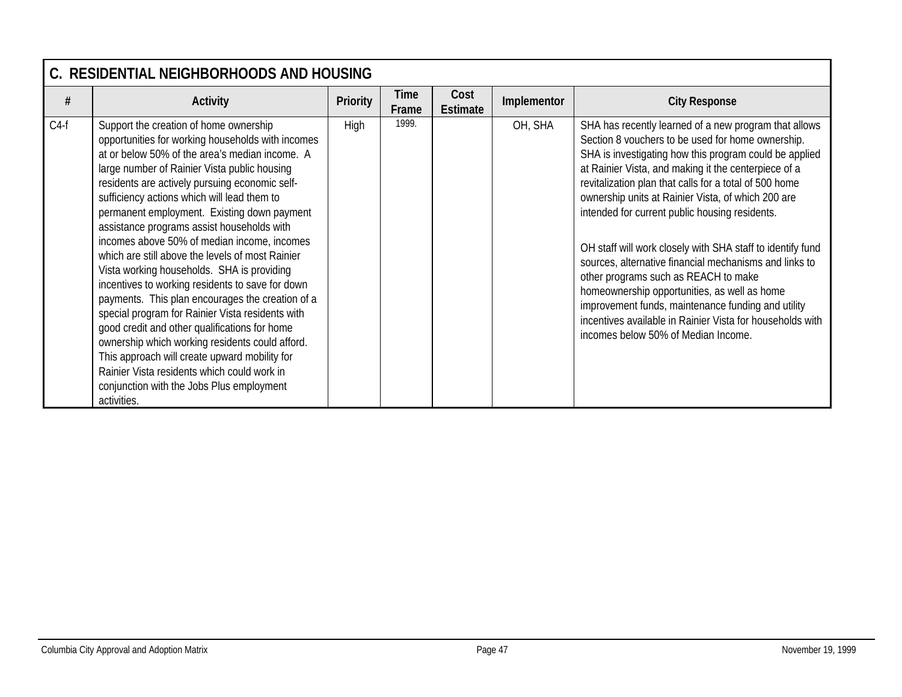|        | C. RESIDENTIAL NEIGHBORHOODS AND HOUSING                                                                                                                                                                                                                                                                                                                                                                                                                                                                                                                                                                                                                                                                                                                                                                                                                                                                                                                                 |                 |               |                         |             |                                                                                                                                                                                                                                                                                                                                                                                                                                                                                                                                                                                                                                                                                                                                                                          |  |  |  |  |
|--------|--------------------------------------------------------------------------------------------------------------------------------------------------------------------------------------------------------------------------------------------------------------------------------------------------------------------------------------------------------------------------------------------------------------------------------------------------------------------------------------------------------------------------------------------------------------------------------------------------------------------------------------------------------------------------------------------------------------------------------------------------------------------------------------------------------------------------------------------------------------------------------------------------------------------------------------------------------------------------|-----------------|---------------|-------------------------|-------------|--------------------------------------------------------------------------------------------------------------------------------------------------------------------------------------------------------------------------------------------------------------------------------------------------------------------------------------------------------------------------------------------------------------------------------------------------------------------------------------------------------------------------------------------------------------------------------------------------------------------------------------------------------------------------------------------------------------------------------------------------------------------------|--|--|--|--|
| #      | <b>Activity</b>                                                                                                                                                                                                                                                                                                                                                                                                                                                                                                                                                                                                                                                                                                                                                                                                                                                                                                                                                          | <b>Priority</b> | Time<br>Frame | Cost<br><b>Estimate</b> | Implementor | <b>City Response</b>                                                                                                                                                                                                                                                                                                                                                                                                                                                                                                                                                                                                                                                                                                                                                     |  |  |  |  |
| $C4-f$ | Support the creation of home ownership<br>opportunities for working households with incomes<br>at or below 50% of the area's median income. A<br>large number of Rainier Vista public housing<br>residents are actively pursuing economic self-<br>sufficiency actions which will lead them to<br>permanent employment. Existing down payment<br>assistance programs assist households with<br>incomes above 50% of median income, incomes<br>which are still above the levels of most Rainier<br>Vista working households. SHA is providing<br>incentives to working residents to save for down<br>payments. This plan encourages the creation of a<br>special program for Rainier Vista residents with<br>good credit and other qualifications for home<br>ownership which working residents could afford.<br>This approach will create upward mobility for<br>Rainier Vista residents which could work in<br>conjunction with the Jobs Plus employment<br>activities. | High            | 1999.         |                         | OH, SHA     | SHA has recently learned of a new program that allows<br>Section 8 vouchers to be used for home ownership.<br>SHA is investigating how this program could be applied<br>at Rainier Vista, and making it the centerpiece of a<br>revitalization plan that calls for a total of 500 home<br>ownership units at Rainier Vista, of which 200 are<br>intended for current public housing residents.<br>OH staff will work closely with SHA staff to identify fund<br>sources, alternative financial mechanisms and links to<br>other programs such as REACH to make<br>homeownership opportunities, as well as home<br>improvement funds, maintenance funding and utility<br>incentives available in Rainier Vista for households with<br>incomes below 50% of Median Income. |  |  |  |  |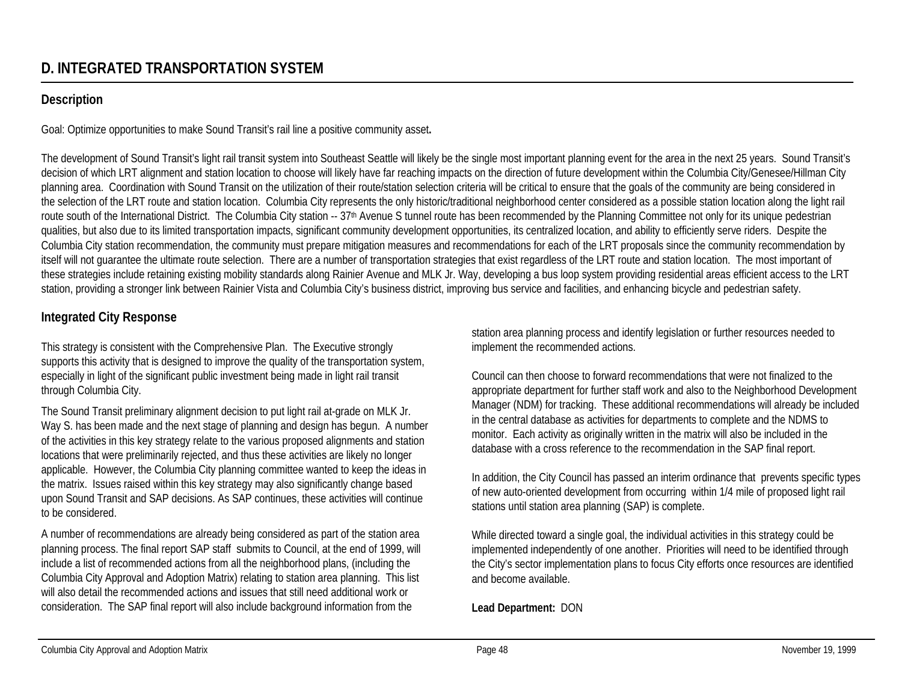# **Description**

Goal: Optimize opportunities to make Sound Transit's rail line a positive community asset**.**

The development of Sound Transit's light rail transit system into Southeast Seattle will likely be the single most important planning event for the area in the next 25 years. Sound Transit's decision of which LRT alignment and station location to choose will likely have far reaching impacts on the direction of future development within the Columbia City/Genesee/Hillman City planning area. Coordination with Sound Transit on the utilization of their route/station selection criteria will be critical to ensure that the goals of the community are being considered in the selection of the LRT route and station location. Columbia City represents the only historic/traditional neighborhood center considered as a possible station location along the light rail route south of the International District. The Columbia City station -- 37<sup>th</sup> Avenue S tunnel route has been recommended by the Planning Committee not only for its unique pedestrian qualities, but also due to its limited transportation impacts, significant community development opportunities, its centralized location, and ability to efficiently serve riders. Despite the Columbia City station recommendation, the community must prepare mitigation measures and recommendations for each of the LRT proposals since the community recommendation by itself will not guarantee the ultimate route selection. There are a number of transportation strategies that exist regardless of the LRT route and station location. The most important of these strategies include retaining existing mobility standards along Rainier Avenue and MLK Jr. Way, developing a bus loop system providing residential areas efficient access to the LRT station, providing a stronger link between Rainier Vista and Columbia City's business district, improving bus service and facilities, and enhancing bicycle and pedestrian safety.

# **Integrated City Response**

This strategy is consistent with the Comprehensive Plan. The Executive strongly supports this activity that is designed to improve the quality of the transportation system, especially in light of the significant public investment being made in light rail transit through Columbia City.

The Sound Transit preliminary alignment decision to put light rail at-grade on MLK Jr. Way S. has been made and the next stage of planning and design has begun. A number of the activities in this key strategy relate to the various proposed alignments and station locations that were preliminarily rejected, and thus these activities are likely no longer applicable. However, the Columbia City planning committee wanted to keep the ideas in the matrix. Issues raised within this key strategy may also significantly change based upon Sound Transit and SAP decisions. As SAP continues, these activities will continue to be considered.

A number of recommendations are already being considered as part of the station area planning process. The final report SAP staff submits to Council, at the end of 1999, will include a list of recommended actions from all the neighborhood plans, (including the Columbia City Approval and Adoption Matrix) relating to station area planning. This list will also detail the recommended actions and issues that still need additional work or consideration. The SAP final report will also include background information from the

station area planning process and identify legislation or further resources needed to implement the recommended actions.

Council can then choose to forward recommendations that were not finalized to the appropriate department for further staff work and also to the Neighborhood Development Manager (NDM) for tracking. These additional recommendations will already be included in the central database as activities for departments to complete and the NDMS to monitor. Each activity as originally written in the matrix will also be included in the database with a cross reference to the recommendation in the SAP final report.

In addition, the City Council has passed an interim ordinance that prevents specific types of new auto-oriented development from occurring within 1/4 mile of proposed light rail stations until station area planning (SAP) is complete.

While directed toward a single goal, the individual activities in this strategy could be implemented independently of one another. Priorities will need to be identified through the City's sector implementation plans to focus City efforts once resources are identified and become available.

### **Lead Department:** DON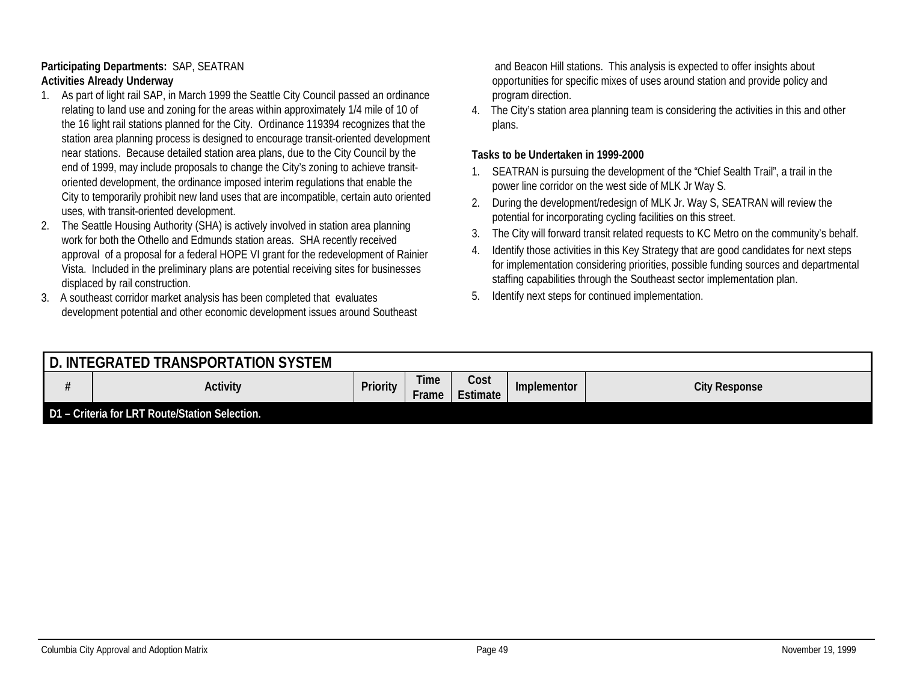#### **Participating Departments:** SAP, SEATRAN **Activities Already Underway**

- 1. As part of light rail SAP, in March 1999 the Seattle City Council passed an ordinance relating to land use and zoning for the areas within approximately 1/4 mile of 10 of the 16 light rail stations planned for the City. Ordinance 119394 recognizes that the station area planning process is designed to encourage transit-oriented development near stations. Because detailed station area plans, due to the City Council by the end of 1999, may include proposals to change the City's zoning to achieve transitoriented development, the ordinance imposed interim regulations that enable the City to temporarily prohibit new land uses that are incompatible, certain auto oriented uses, with transit-oriented development.
- 2. The Seattle Housing Authority (SHA) is actively involved in station area planning work for both the Othello and Edmunds station areas. SHA recently received approval of a proposal for a federal HOPE VI grant for the redevelopment of Rainier Vista. Included in the preliminary plans are potential receiving sites for businesses displaced by rail construction.
- 3. A southeast corridor market analysis has been completed that evaluates development potential and other economic development issues around Southeast

 and Beacon Hill stations. This analysis is expected to offer insights about opportunities for specific mixes of uses around station and provide policy and program direction.

4. The City's station area planning team is considering the activities in this and other plans.

#### **Tasks to be Undertaken in 1999-2000**

- 1. SEATRAN is pursuing the development of the "Chief Sealth Trail", a trail in the power line corridor on the west side of MLK Jr Way S.
- 2. During the development/redesign of MLK Jr. Way S, SEATRAN will review the potential for incorporating cycling facilities on this street.
- 3. The City will forward transit related requests to KC Metro on the community's behalf.
- 4. Identify those activities in this Key Strategy that are good candidates for next steps for implementation considering priorities, possible funding sources and departmental staffing capabilities through the Southeast sector implementation plan.
- 5. Identify next steps for continued implementation.

| . INTEGRATED TRANSPORTATION SYSTEM             |                 |                      |                         |                    |                      |
|------------------------------------------------|-----------------|----------------------|-------------------------|--------------------|----------------------|
| <b>Activity</b>                                | <b>Priority</b> | <b>Time</b><br>Frame | Cost<br><b>Estimate</b> | <b>Implementor</b> | <b>City Response</b> |
| D1 - Criteria for LRT Route/Station Selection. |                 |                      |                         |                    |                      |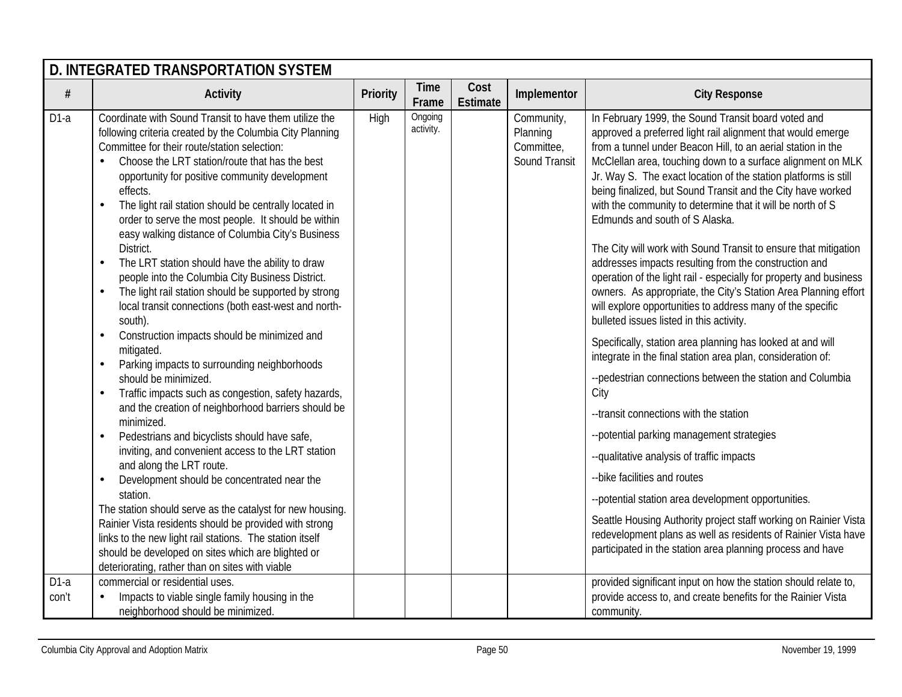|                 | D. INTEGRATED TRANSPORTATION SYSTEM                                                                                                                                                                                                                                                                                                                                                                                                                                                                                                                                                                                                                                                                                                                                                                                                                                                                                                                                                                                                                                                                                                                                                                                                                                                                                                                                                                                                                                                                                                                                       |                 |                      |                         |                                                       |                                                                                                                                                                                                                                                                                                                                                                                                                                                                                                                                                                                                                                                                                                                                                                                                                                                                                                                                                                                                                                                                                                                                                                                                                                                                                                                                                                                                                                                                                                      |  |  |  |  |  |
|-----------------|---------------------------------------------------------------------------------------------------------------------------------------------------------------------------------------------------------------------------------------------------------------------------------------------------------------------------------------------------------------------------------------------------------------------------------------------------------------------------------------------------------------------------------------------------------------------------------------------------------------------------------------------------------------------------------------------------------------------------------------------------------------------------------------------------------------------------------------------------------------------------------------------------------------------------------------------------------------------------------------------------------------------------------------------------------------------------------------------------------------------------------------------------------------------------------------------------------------------------------------------------------------------------------------------------------------------------------------------------------------------------------------------------------------------------------------------------------------------------------------------------------------------------------------------------------------------------|-----------------|----------------------|-------------------------|-------------------------------------------------------|------------------------------------------------------------------------------------------------------------------------------------------------------------------------------------------------------------------------------------------------------------------------------------------------------------------------------------------------------------------------------------------------------------------------------------------------------------------------------------------------------------------------------------------------------------------------------------------------------------------------------------------------------------------------------------------------------------------------------------------------------------------------------------------------------------------------------------------------------------------------------------------------------------------------------------------------------------------------------------------------------------------------------------------------------------------------------------------------------------------------------------------------------------------------------------------------------------------------------------------------------------------------------------------------------------------------------------------------------------------------------------------------------------------------------------------------------------------------------------------------------|--|--|--|--|--|
| #               | <b>Activity</b>                                                                                                                                                                                                                                                                                                                                                                                                                                                                                                                                                                                                                                                                                                                                                                                                                                                                                                                                                                                                                                                                                                                                                                                                                                                                                                                                                                                                                                                                                                                                                           | <b>Priority</b> | <b>Time</b><br>Frame | Cost<br><b>Estimate</b> | Implementor                                           | <b>City Response</b>                                                                                                                                                                                                                                                                                                                                                                                                                                                                                                                                                                                                                                                                                                                                                                                                                                                                                                                                                                                                                                                                                                                                                                                                                                                                                                                                                                                                                                                                                 |  |  |  |  |  |
| $D1-a$          | Coordinate with Sound Transit to have them utilize the<br>following criteria created by the Columbia City Planning<br>Committee for their route/station selection:<br>Choose the LRT station/route that has the best<br>opportunity for positive community development<br>effects.<br>The light rail station should be centrally located in<br>$\bullet$<br>order to serve the most people. It should be within<br>easy walking distance of Columbia City's Business<br>District.<br>The LRT station should have the ability to draw<br>$\bullet$<br>people into the Columbia City Business District.<br>The light rail station should be supported by strong<br>$\bullet$<br>local transit connections (both east-west and north-<br>south).<br>Construction impacts should be minimized and<br>$\bullet$<br>mitigated.<br>Parking impacts to surrounding neighborhoods<br>$\bullet$<br>should be minimized.<br>Traffic impacts such as congestion, safety hazards,<br>$\bullet$<br>and the creation of neighborhood barriers should be<br>minimized.<br>Pedestrians and bicyclists should have safe,<br>$\bullet$<br>inviting, and convenient access to the LRT station<br>and along the LRT route.<br>Development should be concentrated near the<br>$\bullet$<br>station.<br>The station should serve as the catalyst for new housing.<br>Rainier Vista residents should be provided with strong<br>links to the new light rail stations. The station itself<br>should be developed on sites which are blighted or<br>deteriorating, rather than on sites with viable | High            | Ongoing<br>activity. |                         | Community,<br>Planning<br>Committee,<br>Sound Transit | In February 1999, the Sound Transit board voted and<br>approved a preferred light rail alignment that would emerge<br>from a tunnel under Beacon Hill, to an aerial station in the<br>McClellan area, touching down to a surface alignment on MLK<br>Jr. Way S. The exact location of the station platforms is still<br>being finalized, but Sound Transit and the City have worked<br>with the community to determine that it will be north of S<br>Edmunds and south of S Alaska.<br>The City will work with Sound Transit to ensure that mitigation<br>addresses impacts resulting from the construction and<br>operation of the light rail - especially for property and business<br>owners. As appropriate, the City's Station Area Planning effort<br>will explore opportunities to address many of the specific<br>bulleted issues listed in this activity.<br>Specifically, station area planning has looked at and will<br>integrate in the final station area plan, consideration of:<br>--pedestrian connections between the station and Columbia<br>City<br>--transit connections with the station<br>--potential parking management strategies<br>--qualitative analysis of traffic impacts<br>-- bike facilities and routes<br>--potential station area development opportunities.<br>Seattle Housing Authority project staff working on Rainier Vista<br>redevelopment plans as well as residents of Rainier Vista have<br>participated in the station area planning process and have |  |  |  |  |  |
| $D1-a$<br>con't | commercial or residential uses.<br>Impacts to viable single family housing in the<br>neighborhood should be minimized.                                                                                                                                                                                                                                                                                                                                                                                                                                                                                                                                                                                                                                                                                                                                                                                                                                                                                                                                                                                                                                                                                                                                                                                                                                                                                                                                                                                                                                                    |                 |                      |                         |                                                       | provided significant input on how the station should relate to,<br>provide access to, and create benefits for the Rainier Vista<br>community.                                                                                                                                                                                                                                                                                                                                                                                                                                                                                                                                                                                                                                                                                                                                                                                                                                                                                                                                                                                                                                                                                                                                                                                                                                                                                                                                                        |  |  |  |  |  |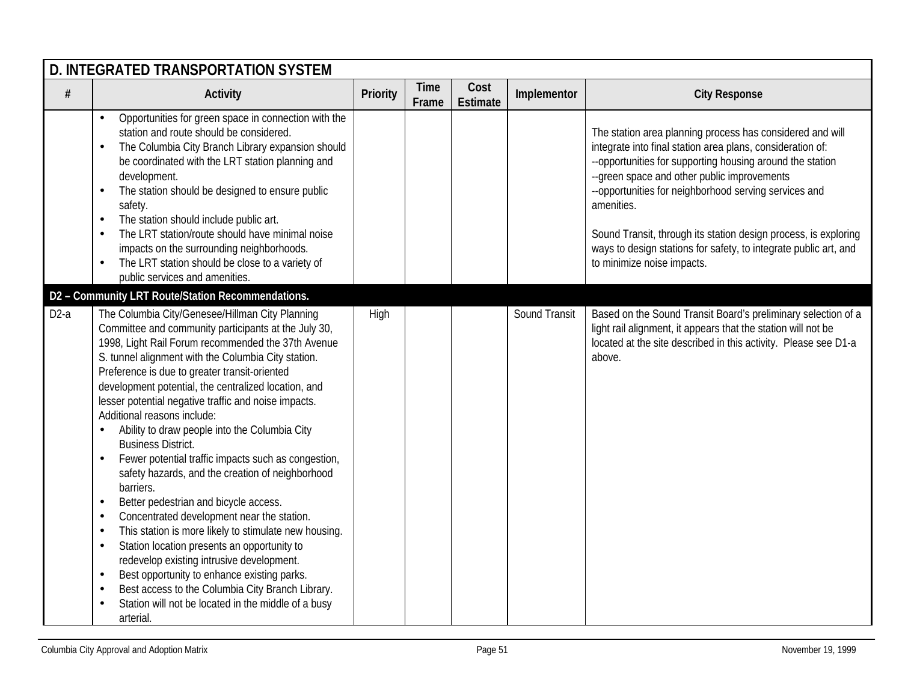|        | D. INTEGRATED TRANSPORTATION SYSTEM                                                                                                                                                                                                                                                                                                                                                                                                                                                                                                                                                                                                                                                                                                                                                                                                                                                                                                                                                                                                                                                                                                                   |          |                      |                         |               |                                                                                                                                                                                                                                                                                                                                                                                                                                                                                 |  |  |  |  |
|--------|-------------------------------------------------------------------------------------------------------------------------------------------------------------------------------------------------------------------------------------------------------------------------------------------------------------------------------------------------------------------------------------------------------------------------------------------------------------------------------------------------------------------------------------------------------------------------------------------------------------------------------------------------------------------------------------------------------------------------------------------------------------------------------------------------------------------------------------------------------------------------------------------------------------------------------------------------------------------------------------------------------------------------------------------------------------------------------------------------------------------------------------------------------|----------|----------------------|-------------------------|---------------|---------------------------------------------------------------------------------------------------------------------------------------------------------------------------------------------------------------------------------------------------------------------------------------------------------------------------------------------------------------------------------------------------------------------------------------------------------------------------------|--|--|--|--|
| $\#$   | <b>Activity</b>                                                                                                                                                                                                                                                                                                                                                                                                                                                                                                                                                                                                                                                                                                                                                                                                                                                                                                                                                                                                                                                                                                                                       | Priority | <b>Time</b><br>Frame | Cost<br><b>Estimate</b> | Implementor   | <b>City Response</b>                                                                                                                                                                                                                                                                                                                                                                                                                                                            |  |  |  |  |
|        | Opportunities for green space in connection with the<br>$\bullet$<br>station and route should be considered.<br>The Columbia City Branch Library expansion should<br>be coordinated with the LRT station planning and<br>development.<br>The station should be designed to ensure public<br>$\bullet$<br>safety.<br>The station should include public art.<br>$\bullet$<br>The LRT station/route should have minimal noise<br>impacts on the surrounding neighborhoods.<br>The LRT station should be close to a variety of<br>public services and amenities.                                                                                                                                                                                                                                                                                                                                                                                                                                                                                                                                                                                          |          |                      |                         |               | The station area planning process has considered and will<br>integrate into final station area plans, consideration of:<br>--opportunities for supporting housing around the station<br>--green space and other public improvements<br>--opportunities for neighborhood serving services and<br>amenities.<br>Sound Transit, through its station design process, is exploring<br>ways to design stations for safety, to integrate public art, and<br>to minimize noise impacts. |  |  |  |  |
|        | D2 - Community LRT Route/Station Recommendations.                                                                                                                                                                                                                                                                                                                                                                                                                                                                                                                                                                                                                                                                                                                                                                                                                                                                                                                                                                                                                                                                                                     |          |                      |                         |               |                                                                                                                                                                                                                                                                                                                                                                                                                                                                                 |  |  |  |  |
| $D2-a$ | The Columbia City/Genesee/Hillman City Planning<br>Committee and community participants at the July 30,<br>1998, Light Rail Forum recommended the 37th Avenue<br>S. tunnel alignment with the Columbia City station.<br>Preference is due to greater transit-oriented<br>development potential, the centralized location, and<br>lesser potential negative traffic and noise impacts.<br>Additional reasons include:<br>Ability to draw people into the Columbia City<br><b>Business District.</b><br>Fewer potential traffic impacts such as congestion,<br>$\bullet$<br>safety hazards, and the creation of neighborhood<br>barriers.<br>Better pedestrian and bicycle access.<br>$\bullet$<br>Concentrated development near the station.<br>$\bullet$<br>This station is more likely to stimulate new housing.<br>$\bullet$<br>Station location presents an opportunity to<br>$\bullet$<br>redevelop existing intrusive development.<br>Best opportunity to enhance existing parks.<br>$\bullet$<br>Best access to the Columbia City Branch Library.<br>$\bullet$<br>Station will not be located in the middle of a busy<br>$\bullet$<br>arterial. | High     |                      |                         | Sound Transit | Based on the Sound Transit Board's preliminary selection of a<br>light rail alignment, it appears that the station will not be<br>located at the site described in this activity. Please see D1-a<br>above.                                                                                                                                                                                                                                                                     |  |  |  |  |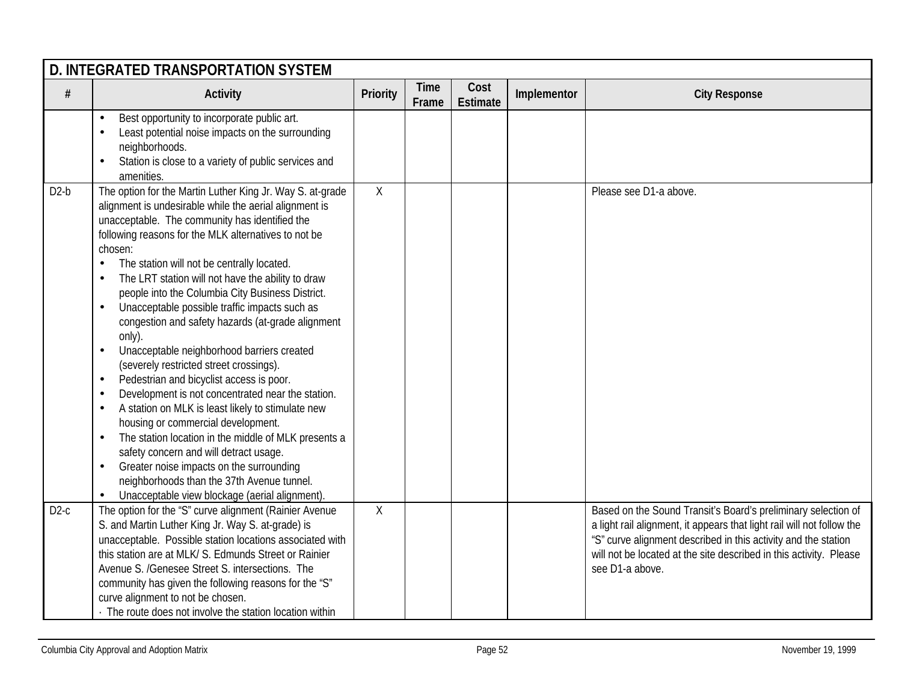|        | D. INTEGRATED TRANSPORTATION SYSTEM                                                                                                                                                                                                                                                                                                                                                                                                                                                                                                                                                                                                                                                                                                                                                                                                                                                                                                                                                                                                                                                                                                                                                  |             |                      |                         |             |                                                                                                                                                                                                                                                                                                    |  |  |  |  |
|--------|--------------------------------------------------------------------------------------------------------------------------------------------------------------------------------------------------------------------------------------------------------------------------------------------------------------------------------------------------------------------------------------------------------------------------------------------------------------------------------------------------------------------------------------------------------------------------------------------------------------------------------------------------------------------------------------------------------------------------------------------------------------------------------------------------------------------------------------------------------------------------------------------------------------------------------------------------------------------------------------------------------------------------------------------------------------------------------------------------------------------------------------------------------------------------------------|-------------|----------------------|-------------------------|-------------|----------------------------------------------------------------------------------------------------------------------------------------------------------------------------------------------------------------------------------------------------------------------------------------------------|--|--|--|--|
| $\#$   | <b>Activity</b>                                                                                                                                                                                                                                                                                                                                                                                                                                                                                                                                                                                                                                                                                                                                                                                                                                                                                                                                                                                                                                                                                                                                                                      | Priority    | <b>Time</b><br>Frame | Cost<br><b>Estimate</b> | Implementor | <b>City Response</b>                                                                                                                                                                                                                                                                               |  |  |  |  |
|        | Best opportunity to incorporate public art.<br>$\bullet$<br>Least potential noise impacts on the surrounding<br>$\bullet$<br>neighborhoods.<br>Station is close to a variety of public services and<br>$\bullet$<br>amenities.                                                                                                                                                                                                                                                                                                                                                                                                                                                                                                                                                                                                                                                                                                                                                                                                                                                                                                                                                       |             |                      |                         |             |                                                                                                                                                                                                                                                                                                    |  |  |  |  |
| $D2-b$ | The option for the Martin Luther King Jr. Way S. at-grade<br>alignment is undesirable while the aerial alignment is<br>unacceptable. The community has identified the<br>following reasons for the MLK alternatives to not be<br>chosen:<br>The station will not be centrally located.<br>$\bullet$<br>The LRT station will not have the ability to draw<br>$\bullet$<br>people into the Columbia City Business District.<br>Unacceptable possible traffic impacts such as<br>$\bullet$<br>congestion and safety hazards (at-grade alignment<br>only).<br>Unacceptable neighborhood barriers created<br>$\bullet$<br>(severely restricted street crossings).<br>Pedestrian and bicyclist access is poor.<br>$\bullet$<br>Development is not concentrated near the station.<br>$\bullet$<br>A station on MLK is least likely to stimulate new<br>$\bullet$<br>housing or commercial development.<br>The station location in the middle of MLK presents a<br>$\bullet$<br>safety concern and will detract usage.<br>Greater noise impacts on the surrounding<br>$\bullet$<br>neighborhoods than the 37th Avenue tunnel.<br>Unacceptable view blockage (aerial alignment).<br>$\bullet$ | $\mathsf X$ |                      |                         |             | Please see D1-a above.                                                                                                                                                                                                                                                                             |  |  |  |  |
| $D2-c$ | The option for the 'S" curve alignment (Rainier Avenue<br>S. and Martin Luther King Jr. Way S. at-grade) is<br>unacceptable. Possible station locations associated with<br>this station are at MLK/S. Edmunds Street or Rainier<br>Avenue S. /Genesee Street S. intersections. The<br>community has given the following reasons for the "S"<br>curve alignment to not be chosen.<br>The route does not involve the station location within                                                                                                                                                                                                                                                                                                                                                                                                                                                                                                                                                                                                                                                                                                                                           | Χ           |                      |                         |             | Based on the Sound Transit's Board's preliminary selection of<br>a light rail alignment, it appears that light rail will not follow the<br>"S" curve alignment described in this activity and the station<br>will not be located at the site described in this activity. Please<br>see D1-a above. |  |  |  |  |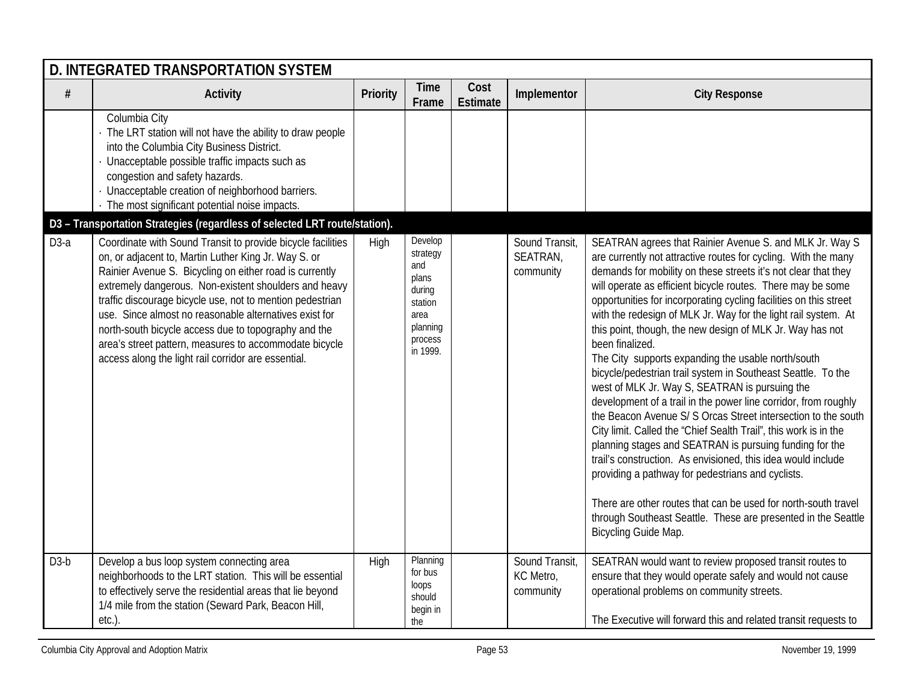|        | <b>D. INTEGRATED TRANSPORTATION SYSTEM</b>                                                                                                                                                                                                                                                                                                                                                                                                                                                                                              |          |                                                                                                     |                         |                                          |                                                                                                                                                                                                                                                                                                                                                                                                                                                                                                                                                                                                                                                                                                                                                                                                                                                                                                                                                                                                                                                                                                                                                                                                              |  |  |  |  |
|--------|-----------------------------------------------------------------------------------------------------------------------------------------------------------------------------------------------------------------------------------------------------------------------------------------------------------------------------------------------------------------------------------------------------------------------------------------------------------------------------------------------------------------------------------------|----------|-----------------------------------------------------------------------------------------------------|-------------------------|------------------------------------------|--------------------------------------------------------------------------------------------------------------------------------------------------------------------------------------------------------------------------------------------------------------------------------------------------------------------------------------------------------------------------------------------------------------------------------------------------------------------------------------------------------------------------------------------------------------------------------------------------------------------------------------------------------------------------------------------------------------------------------------------------------------------------------------------------------------------------------------------------------------------------------------------------------------------------------------------------------------------------------------------------------------------------------------------------------------------------------------------------------------------------------------------------------------------------------------------------------------|--|--|--|--|
| $\#$   | <b>Activity</b>                                                                                                                                                                                                                                                                                                                                                                                                                                                                                                                         | Priority | <b>Time</b><br>Frame                                                                                | Cost<br><b>Estimate</b> | Implementor                              | <b>City Response</b>                                                                                                                                                                                                                                                                                                                                                                                                                                                                                                                                                                                                                                                                                                                                                                                                                                                                                                                                                                                                                                                                                                                                                                                         |  |  |  |  |
|        | Columbia City<br>The LRT station will not have the ability to draw people<br>into the Columbia City Business District.<br>Unacceptable possible traffic impacts such as<br>congestion and safety hazards.<br>· Unacceptable creation of neighborhood barriers.<br>· The most significant potential noise impacts.<br>D3 - Transportation Strategies (regardless of selected LRT route/station).                                                                                                                                         |          |                                                                                                     |                         |                                          |                                                                                                                                                                                                                                                                                                                                                                                                                                                                                                                                                                                                                                                                                                                                                                                                                                                                                                                                                                                                                                                                                                                                                                                                              |  |  |  |  |
| $D3-a$ | Coordinate with Sound Transit to provide bicycle facilities<br>on, or adjacent to, Martin Luther King Jr. Way S. or<br>Rainier Avenue S. Bicycling on either road is currently<br>extremely dangerous. Non-existent shoulders and heavy<br>traffic discourage bicycle use, not to mention pedestrian<br>use. Since almost no reasonable alternatives exist for<br>north-south bicycle access due to topography and the<br>area's street pattern, measures to accommodate bicycle<br>access along the light rail corridor are essential. | High     | Develop<br>strategy<br>and<br>plans<br>during<br>station<br>area<br>planning<br>process<br>in 1999. |                         | Sound Transit,<br>SEATRAN,<br>community  | SEATRAN agrees that Rainier Avenue S. and MLK Jr. Way S<br>are currently not attractive routes for cycling. With the many<br>demands for mobility on these streets it's not clear that they<br>will operate as efficient bicycle routes. There may be some<br>opportunities for incorporating cycling facilities on this street<br>with the redesign of MLK Jr. Way for the light rail system. At<br>this point, though, the new design of MLK Jr. Way has not<br>been finalized.<br>The City supports expanding the usable north/south<br>bicycle/pedestrian trail system in Southeast Seattle. To the<br>west of MLK Jr. Way S, SEATRAN is pursuing the<br>development of a trail in the power line corridor, from roughly<br>the Beacon Avenue S/ S Orcas Street intersection to the south<br>City limit. Called the "Chief Sealth Trail", this work is in the<br>planning stages and SEATRAN is pursuing funding for the<br>trail's construction. As envisioned, this idea would include<br>providing a pathway for pedestrians and cyclists.<br>There are other routes that can be used for north-south travel<br>through Southeast Seattle. These are presented in the Seattle<br>Bicycling Guide Map. |  |  |  |  |
| $D3-b$ | Develop a bus loop system connecting area<br>neighborhoods to the LRT station. This will be essential<br>to effectively serve the residential areas that lie beyond<br>1/4 mile from the station (Seward Park, Beacon Hill,<br>$etc.$ ).                                                                                                                                                                                                                                                                                                | High     | Planning<br>for bus<br>loops<br>should<br>begin in<br>the                                           |                         | Sound Transit,<br>KC Metro,<br>community | SEATRAN would want to review proposed transit routes to<br>ensure that they would operate safely and would not cause<br>operational problems on community streets.<br>The Executive will forward this and related transit requests to                                                                                                                                                                                                                                                                                                                                                                                                                                                                                                                                                                                                                                                                                                                                                                                                                                                                                                                                                                        |  |  |  |  |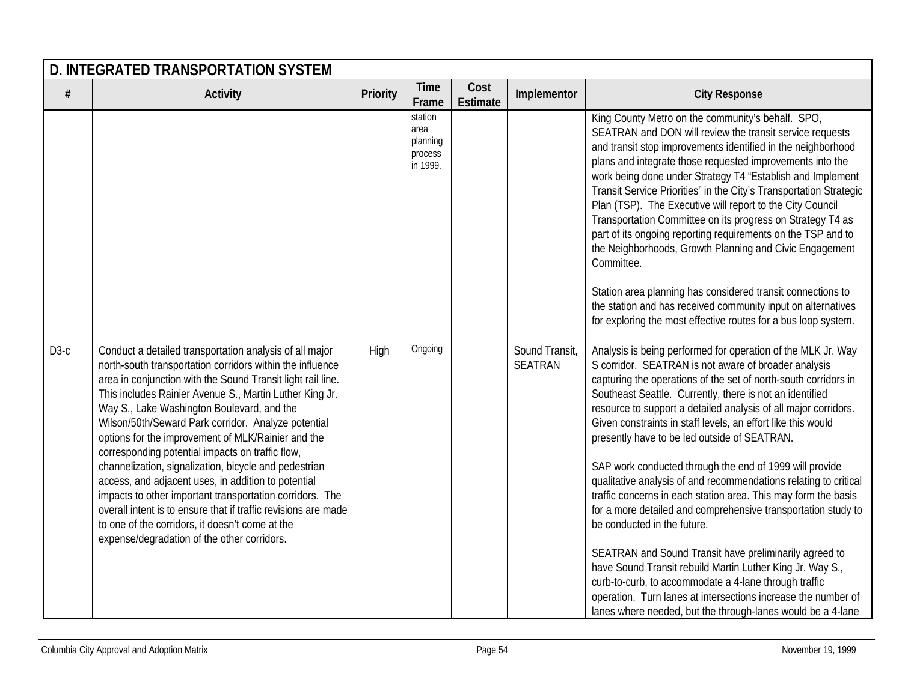|        | <b>D. INTEGRATED TRANSPORTATION SYSTEM</b>                                                                                                                                                                                                                                                                                                                                                                                                                                                                                                                                                                                                                                                                                                                                                                    |          |                                                    |                         |                           |                                                                                                                                                                                                                                                                                                                                                                                                                                                                                                                                                                                                                                                                                                                                                                                                                                                                                                                                                                                                                                                         |  |  |  |  |  |
|--------|---------------------------------------------------------------------------------------------------------------------------------------------------------------------------------------------------------------------------------------------------------------------------------------------------------------------------------------------------------------------------------------------------------------------------------------------------------------------------------------------------------------------------------------------------------------------------------------------------------------------------------------------------------------------------------------------------------------------------------------------------------------------------------------------------------------|----------|----------------------------------------------------|-------------------------|---------------------------|---------------------------------------------------------------------------------------------------------------------------------------------------------------------------------------------------------------------------------------------------------------------------------------------------------------------------------------------------------------------------------------------------------------------------------------------------------------------------------------------------------------------------------------------------------------------------------------------------------------------------------------------------------------------------------------------------------------------------------------------------------------------------------------------------------------------------------------------------------------------------------------------------------------------------------------------------------------------------------------------------------------------------------------------------------|--|--|--|--|--|
| #      | <b>Activity</b>                                                                                                                                                                                                                                                                                                                                                                                                                                                                                                                                                                                                                                                                                                                                                                                               | Priority | <b>Time</b><br>Frame                               | Cost<br><b>Estimate</b> | Implementor               | <b>City Response</b>                                                                                                                                                                                                                                                                                                                                                                                                                                                                                                                                                                                                                                                                                                                                                                                                                                                                                                                                                                                                                                    |  |  |  |  |  |
|        |                                                                                                                                                                                                                                                                                                                                                                                                                                                                                                                                                                                                                                                                                                                                                                                                               |          | station<br>area<br>planning<br>process<br>in 1999. |                         |                           | King County Metro on the community's behalf. SPO,<br>SEATRAN and DON will review the transit service requests<br>and transit stop improvements identified in the neighborhood<br>plans and integrate those requested improvements into the<br>work being done under Strategy T4 "Establish and Implement<br>Transit Service Priorities" in the City's Transportation Strategic<br>Plan (TSP). The Executive will report to the City Council<br>Transportation Committee on its progress on Strategy T4 as<br>part of its ongoing reporting requirements on the TSP and to<br>the Neighborhoods, Growth Planning and Civic Engagement<br>Committee.<br>Station area planning has considered transit connections to<br>the station and has received community input on alternatives<br>for exploring the most effective routes for a bus loop system.                                                                                                                                                                                                     |  |  |  |  |  |
| $D3-c$ | Conduct a detailed transportation analysis of all major<br>north-south transportation corridors within the influence<br>area in conjunction with the Sound Transit light rail line.<br>This includes Rainier Avenue S., Martin Luther King Jr.<br>Way S., Lake Washington Boulevard, and the<br>Wilson/50th/Seward Park corridor. Analyze potential<br>options for the improvement of MLK/Rainier and the<br>corresponding potential impacts on traffic flow,<br>channelization, signalization, bicycle and pedestrian<br>access, and adjacent uses, in addition to potential<br>impacts to other important transportation corridors. The<br>overall intent is to ensure that if traffic revisions are made<br>to one of the corridors, it doesn't come at the<br>expense/degradation of the other corridors. | High     | Ongoing                                            |                         | Sound Transit,<br>SEATRAN | Analysis is being performed for operation of the MLK Jr. Way<br>S corridor. SEATRAN is not aware of broader analysis<br>capturing the operations of the set of north-south corridors in<br>Southeast Seattle. Currently, there is not an identified<br>resource to support a detailed analysis of all major corridors.<br>Given constraints in staff levels, an effort like this would<br>presently have to be led outside of SEATRAN.<br>SAP work conducted through the end of 1999 will provide<br>qualitative analysis of and recommendations relating to critical<br>traffic concerns in each station area. This may form the basis<br>for a more detailed and comprehensive transportation study to<br>be conducted in the future.<br>SEATRAN and Sound Transit have preliminarily agreed to<br>have Sound Transit rebuild Martin Luther King Jr. Way S.,<br>curb-to-curb, to accommodate a 4-lane through traffic<br>operation. Turn lanes at intersections increase the number of<br>lanes where needed, but the through-lanes would be a 4-lane |  |  |  |  |  |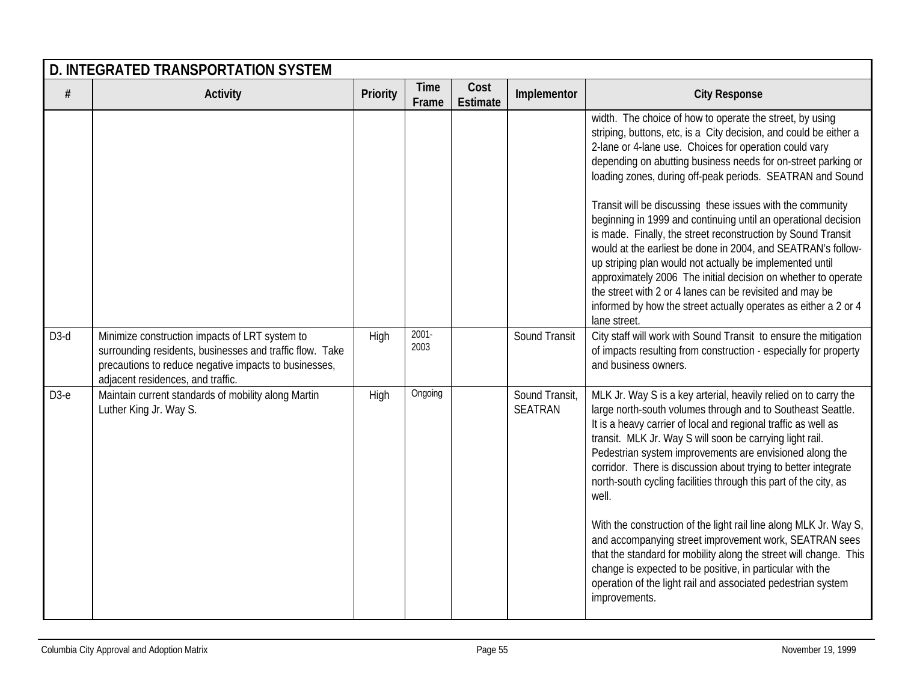|        | D. INTEGRATED TRANSPORTATION SYSTEM                                                                                                                                                                      |                 |                      |                         |                                  |                                                                                                                                                                                                                                                                                                                                                                                                                                                                                                                                                                                                                                                                                                                                                                                                                                                   |  |  |  |  |
|--------|----------------------------------------------------------------------------------------------------------------------------------------------------------------------------------------------------------|-----------------|----------------------|-------------------------|----------------------------------|---------------------------------------------------------------------------------------------------------------------------------------------------------------------------------------------------------------------------------------------------------------------------------------------------------------------------------------------------------------------------------------------------------------------------------------------------------------------------------------------------------------------------------------------------------------------------------------------------------------------------------------------------------------------------------------------------------------------------------------------------------------------------------------------------------------------------------------------------|--|--|--|--|
| $\#$   | <b>Activity</b>                                                                                                                                                                                          | <b>Priority</b> | <b>Time</b><br>Frame | Cost<br><b>Estimate</b> | Implementor                      | <b>City Response</b>                                                                                                                                                                                                                                                                                                                                                                                                                                                                                                                                                                                                                                                                                                                                                                                                                              |  |  |  |  |
|        |                                                                                                                                                                                                          |                 |                      |                         |                                  | width. The choice of how to operate the street, by using<br>striping, buttons, etc, is a City decision, and could be either a<br>2-lane or 4-lane use. Choices for operation could vary<br>depending on abutting business needs for on-street parking or<br>loading zones, during off-peak periods. SEATRAN and Sound<br>Transit will be discussing these issues with the community<br>beginning in 1999 and continuing until an operational decision<br>is made. Finally, the street reconstruction by Sound Transit<br>would at the earliest be done in 2004, and SEATRAN's follow-<br>up striping plan would not actually be implemented until<br>approximately 2006 The initial decision on whether to operate<br>the street with 2 or 4 lanes can be revisited and may be<br>informed by how the street actually operates as either a 2 or 4 |  |  |  |  |
| $D3-d$ | Minimize construction impacts of LRT system to<br>surrounding residents, businesses and traffic flow. Take<br>precautions to reduce negative impacts to businesses,<br>adjacent residences, and traffic. | High            | $2001 -$<br>2003     |                         | Sound Transit                    | lane street.<br>City staff will work with Sound Transit to ensure the mitigation<br>of impacts resulting from construction - especially for property<br>and business owners.                                                                                                                                                                                                                                                                                                                                                                                                                                                                                                                                                                                                                                                                      |  |  |  |  |
| $D3-e$ | Maintain current standards of mobility along Martin<br>Luther King Jr. Way S.                                                                                                                            | High            | Ongoing              |                         | Sound Transit,<br><b>SEATRAN</b> | MLK Jr. Way S is a key arterial, heavily relied on to carry the<br>large north-south volumes through and to Southeast Seattle.<br>It is a heavy carrier of local and regional traffic as well as<br>transit. MLK Jr. Way S will soon be carrying light rail.<br>Pedestrian system improvements are envisioned along the<br>corridor. There is discussion about trying to better integrate<br>north-south cycling facilities through this part of the city, as<br>well.<br>With the construction of the light rail line along MLK Jr. Way S,<br>and accompanying street improvement work, SEATRAN sees<br>that the standard for mobility along the street will change. This<br>change is expected to be positive, in particular with the<br>operation of the light rail and associated pedestrian system<br>improvements.                          |  |  |  |  |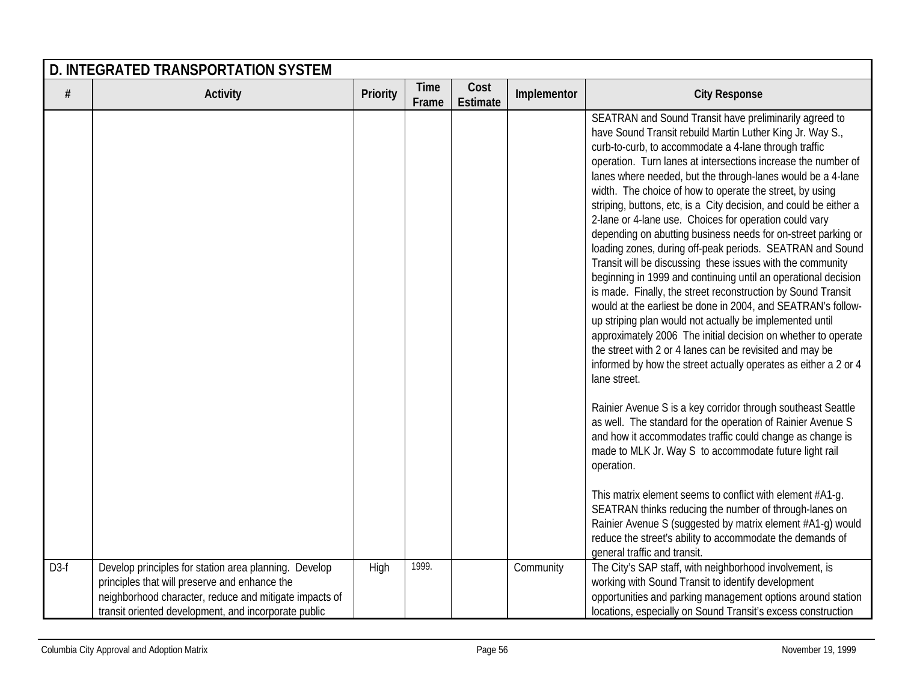|                   | D. INTEGRATED TRANSPORTATION SYSTEM                                                                                                                             |          |                      |                         |             |                                                                                                                                                                                                                                                                                                                                                                                                                                                                                                                                                                                                                                                                                                                                                                                                                                                                                                                                                                                                                                                                                                                                                                                                                                                                                                                                                                                                                                                                                                                                                                                                                                                                                                                                                                                                    |  |  |  |
|-------------------|-----------------------------------------------------------------------------------------------------------------------------------------------------------------|----------|----------------------|-------------------------|-------------|----------------------------------------------------------------------------------------------------------------------------------------------------------------------------------------------------------------------------------------------------------------------------------------------------------------------------------------------------------------------------------------------------------------------------------------------------------------------------------------------------------------------------------------------------------------------------------------------------------------------------------------------------------------------------------------------------------------------------------------------------------------------------------------------------------------------------------------------------------------------------------------------------------------------------------------------------------------------------------------------------------------------------------------------------------------------------------------------------------------------------------------------------------------------------------------------------------------------------------------------------------------------------------------------------------------------------------------------------------------------------------------------------------------------------------------------------------------------------------------------------------------------------------------------------------------------------------------------------------------------------------------------------------------------------------------------------------------------------------------------------------------------------------------------------|--|--|--|
| #                 | <b>Activity</b>                                                                                                                                                 | Priority | <b>Time</b><br>Frame | Cost<br><b>Estimate</b> | Implementor | <b>City Response</b>                                                                                                                                                                                                                                                                                                                                                                                                                                                                                                                                                                                                                                                                                                                                                                                                                                                                                                                                                                                                                                                                                                                                                                                                                                                                                                                                                                                                                                                                                                                                                                                                                                                                                                                                                                               |  |  |  |
| D <sub>3</sub> -f | Develop principles for station area planning. Develop                                                                                                           | High     | 1999.                |                         | Community   | SEATRAN and Sound Transit have preliminarily agreed to<br>have Sound Transit rebuild Martin Luther King Jr. Way S.,<br>curb-to-curb, to accommodate a 4-lane through traffic<br>operation. Turn lanes at intersections increase the number of<br>lanes where needed, but the through-lanes would be a 4-lane<br>width. The choice of how to operate the street, by using<br>striping, buttons, etc, is a City decision, and could be either a<br>2-lane or 4-lane use. Choices for operation could vary<br>depending on abutting business needs for on-street parking or<br>loading zones, during off-peak periods. SEATRAN and Sound<br>Transit will be discussing these issues with the community<br>beginning in 1999 and continuing until an operational decision<br>is made. Finally, the street reconstruction by Sound Transit<br>would at the earliest be done in 2004, and SEATRAN's follow-<br>up striping plan would not actually be implemented until<br>approximately 2006 The initial decision on whether to operate<br>the street with 2 or 4 lanes can be revisited and may be<br>informed by how the street actually operates as either a 2 or 4<br>lane street.<br>Rainier Avenue S is a key corridor through southeast Seattle<br>as well. The standard for the operation of Rainier Avenue S<br>and how it accommodates traffic could change as change is<br>made to MLK Jr. Way S to accommodate future light rail<br>operation.<br>This matrix element seems to conflict with element #A1-q.<br>SEATRAN thinks reducing the number of through-lanes on<br>Rainier Avenue S (suggested by matrix element #A1-g) would<br>reduce the street's ability to accommodate the demands of<br>general traffic and transit.<br>The City's SAP staff, with neighborhood involvement, is |  |  |  |
|                   | principles that will preserve and enhance the<br>neighborhood character, reduce and mitigate impacts of<br>transit oriented development, and incorporate public |          |                      |                         |             | working with Sound Transit to identify development<br>opportunities and parking management options around station<br>locations, especially on Sound Transit's excess construction                                                                                                                                                                                                                                                                                                                                                                                                                                                                                                                                                                                                                                                                                                                                                                                                                                                                                                                                                                                                                                                                                                                                                                                                                                                                                                                                                                                                                                                                                                                                                                                                                  |  |  |  |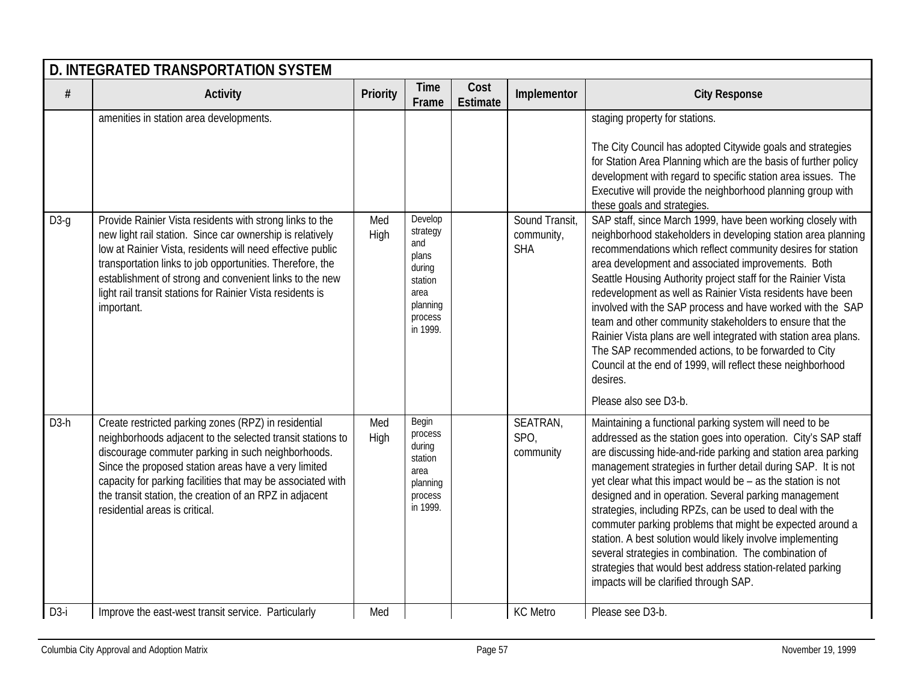|        | D. INTEGRATED TRANSPORTATION SYSTEM                                                                                                                                                                                                                                                                                                                                                          |             |                                                                                                     |                         |                                            |                                                                                                                                                                                                                                                                                                                                                                                                                                                                                                                                                                                                                                                                                                                                               |  |  |  |  |  |
|--------|----------------------------------------------------------------------------------------------------------------------------------------------------------------------------------------------------------------------------------------------------------------------------------------------------------------------------------------------------------------------------------------------|-------------|-----------------------------------------------------------------------------------------------------|-------------------------|--------------------------------------------|-----------------------------------------------------------------------------------------------------------------------------------------------------------------------------------------------------------------------------------------------------------------------------------------------------------------------------------------------------------------------------------------------------------------------------------------------------------------------------------------------------------------------------------------------------------------------------------------------------------------------------------------------------------------------------------------------------------------------------------------------|--|--|--|--|--|
| $\#$   | <b>Activity</b>                                                                                                                                                                                                                                                                                                                                                                              | Priority    | <b>Time</b><br>Frame                                                                                | Cost<br><b>Estimate</b> | Implementor                                | <b>City Response</b>                                                                                                                                                                                                                                                                                                                                                                                                                                                                                                                                                                                                                                                                                                                          |  |  |  |  |  |
|        | amenities in station area developments.                                                                                                                                                                                                                                                                                                                                                      |             |                                                                                                     |                         |                                            | staging property for stations.<br>The City Council has adopted Citywide goals and strategies<br>for Station Area Planning which are the basis of further policy<br>development with regard to specific station area issues. The<br>Executive will provide the neighborhood planning group with<br>these goals and strategies.                                                                                                                                                                                                                                                                                                                                                                                                                 |  |  |  |  |  |
| $D3-q$ | Provide Rainier Vista residents with strong links to the<br>new light rail station. Since car ownership is relatively<br>low at Rainier Vista, residents will need effective public<br>transportation links to job opportunities. Therefore, the<br>establishment of strong and convenient links to the new<br>light rail transit stations for Rainier Vista residents is<br>important.      | Med<br>High | Develop<br>strategy<br>and<br>plans<br>during<br>station<br>area<br>planning<br>process<br>in 1999. |                         | Sound Transit,<br>community,<br><b>SHA</b> | SAP staff, since March 1999, have been working closely with<br>neighborhood stakeholders in developing station area planning<br>recommendations which reflect community desires for station<br>area development and associated improvements. Both<br>Seattle Housing Authority project staff for the Rainier Vista<br>redevelopment as well as Rainier Vista residents have been<br>involved with the SAP process and have worked with the SAP<br>team and other community stakeholders to ensure that the<br>Rainier Vista plans are well integrated with station area plans.<br>The SAP recommended actions, to be forwarded to City<br>Council at the end of 1999, will reflect these neighborhood<br>desires.<br>Please also see D3-b.    |  |  |  |  |  |
| $D3-h$ | Create restricted parking zones (RPZ) in residential<br>neighborhoods adjacent to the selected transit stations to<br>discourage commuter parking in such neighborhoods.<br>Since the proposed station areas have a very limited<br>capacity for parking facilities that may be associated with<br>the transit station, the creation of an RPZ in adjacent<br>residential areas is critical. | Med<br>High | Begin<br>process<br>during<br>station<br>area<br>planning<br>process<br>in 1999.                    |                         | SEATRAN,<br>SPO,<br>community              | Maintaining a functional parking system will need to be<br>addressed as the station goes into operation. City's SAP staff<br>are discussing hide-and-ride parking and station area parking<br>management strategies in further detail during SAP. It is not<br>yet clear what this impact would be $-$ as the station is not<br>designed and in operation. Several parking management<br>strategies, including RPZs, can be used to deal with the<br>commuter parking problems that might be expected around a<br>station. A best solution would likely involve implementing<br>several strategies in combination. The combination of<br>strategies that would best address station-related parking<br>impacts will be clarified through SAP. |  |  |  |  |  |
| $D3-i$ | Improve the east-west transit service. Particularly                                                                                                                                                                                                                                                                                                                                          | Med         |                                                                                                     |                         | <b>KC</b> Metro                            | Please see D3-b.                                                                                                                                                                                                                                                                                                                                                                                                                                                                                                                                                                                                                                                                                                                              |  |  |  |  |  |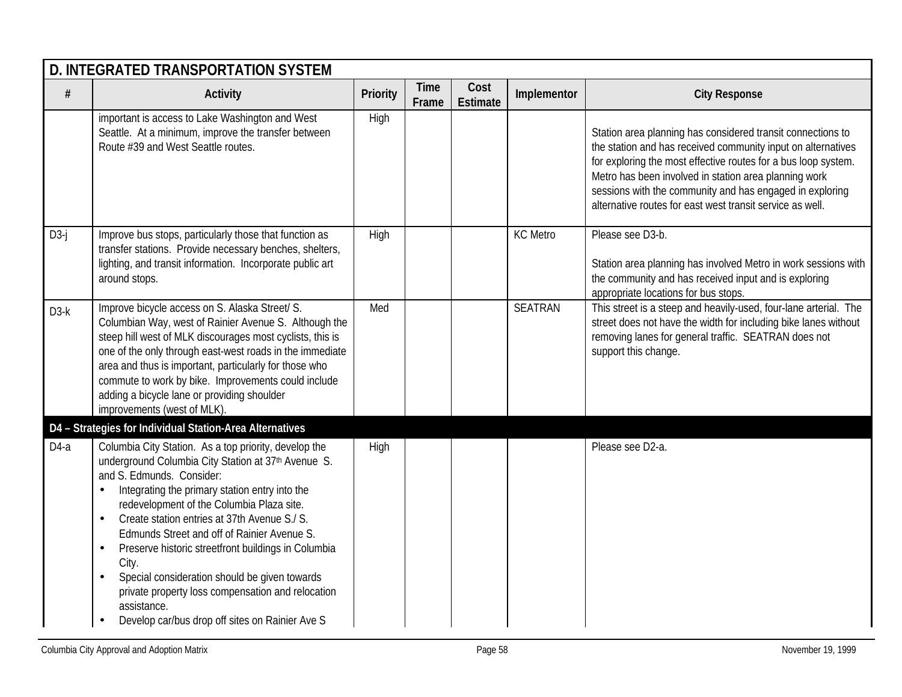|        | <b>D. INTEGRATED TRANSPORTATION SYSTEM</b>                                                                                                                                                                                                                                                                                                                                                                                                                                                                                                                                                                             |          |                      |                  |                 |                                                                                                                                                                                                                                                                                                                                                                                 |  |  |  |  |
|--------|------------------------------------------------------------------------------------------------------------------------------------------------------------------------------------------------------------------------------------------------------------------------------------------------------------------------------------------------------------------------------------------------------------------------------------------------------------------------------------------------------------------------------------------------------------------------------------------------------------------------|----------|----------------------|------------------|-----------------|---------------------------------------------------------------------------------------------------------------------------------------------------------------------------------------------------------------------------------------------------------------------------------------------------------------------------------------------------------------------------------|--|--|--|--|
| $\#$   | <b>Activity</b>                                                                                                                                                                                                                                                                                                                                                                                                                                                                                                                                                                                                        | Priority | <b>Time</b><br>Frame | Cost<br>Estimate | Implementor     | <b>City Response</b>                                                                                                                                                                                                                                                                                                                                                            |  |  |  |  |
|        | important is access to Lake Washington and West<br>Seattle. At a minimum, improve the transfer between<br>Route #39 and West Seattle routes.                                                                                                                                                                                                                                                                                                                                                                                                                                                                           | High     |                      |                  |                 | Station area planning has considered transit connections to<br>the station and has received community input on alternatives<br>for exploring the most effective routes for a bus loop system.<br>Metro has been involved in station area planning work<br>sessions with the community and has engaged in exploring<br>alternative routes for east west transit service as well. |  |  |  |  |
| $D3-j$ | Improve bus stops, particularly those that function as<br>transfer stations. Provide necessary benches, shelters,<br>lighting, and transit information. Incorporate public art<br>around stops.                                                                                                                                                                                                                                                                                                                                                                                                                        | High     |                      |                  | <b>KC</b> Metro | Please see D3-b.<br>Station area planning has involved Metro in work sessions with<br>the community and has received input and is exploring<br>appropriate locations for bus stops.                                                                                                                                                                                             |  |  |  |  |
| $D3-k$ | Improve bicycle access on S. Alaska Street/ S.<br>Columbian Way, west of Rainier Avenue S. Although the<br>steep hill west of MLK discourages most cyclists, this is<br>one of the only through east-west roads in the immediate<br>area and thus is important, particularly for those who<br>commute to work by bike. Improvements could include<br>adding a bicycle lane or providing shoulder<br>improvements (west of MLK).                                                                                                                                                                                        | Med      |                      |                  | <b>SEATRAN</b>  | This street is a steep and heavily-used, four-lane arterial. The<br>street does not have the width for including bike lanes without<br>removing lanes for general traffic. SEATRAN does not<br>support this change.                                                                                                                                                             |  |  |  |  |
|        | D4 - Strategies for Individual Station-Area Alternatives                                                                                                                                                                                                                                                                                                                                                                                                                                                                                                                                                               |          |                      |                  |                 |                                                                                                                                                                                                                                                                                                                                                                                 |  |  |  |  |
| $D4-a$ | Columbia City Station. As a top priority, develop the<br>underground Columbia City Station at 37th Avenue S.<br>and S. Edmunds. Consider:<br>Integrating the primary station entry into the<br>redevelopment of the Columbia Plaza site.<br>Create station entries at 37th Avenue S./ S.<br>$\bullet$<br>Edmunds Street and off of Rainier Avenue S.<br>Preserve historic streetfront buildings in Columbia<br>$\bullet$<br>City.<br>Special consideration should be given towards<br>private property loss compensation and relocation<br>assistance.<br>Develop car/bus drop off sites on Rainier Ave S<br>$\bullet$ | High     |                      |                  |                 | Please see D2-a.                                                                                                                                                                                                                                                                                                                                                                |  |  |  |  |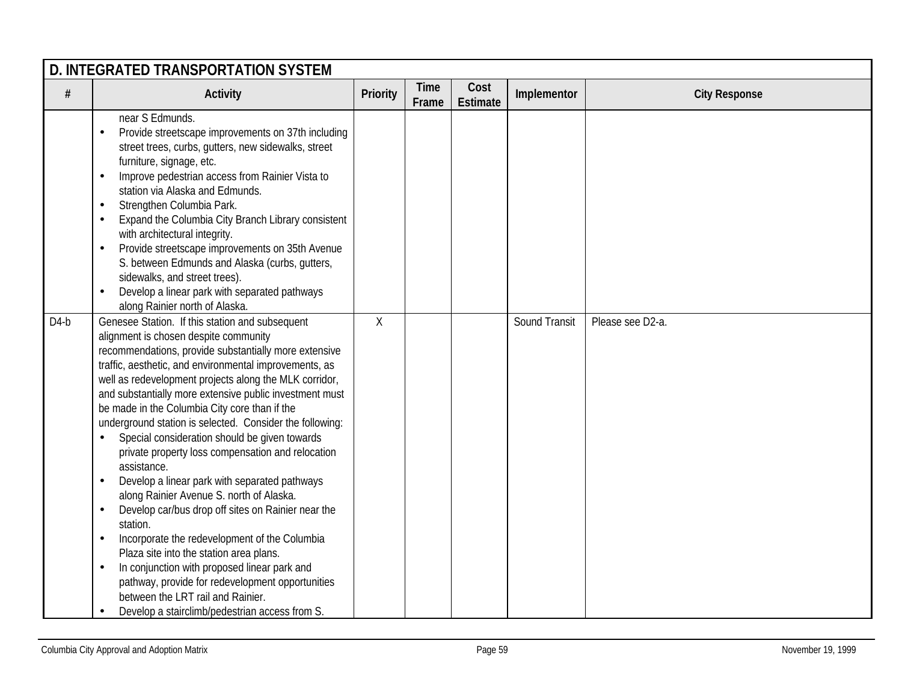|        | D. INTEGRATED TRANSPORTATION SYSTEM                                                                                                                                                                                                                                                                                                                                                                                                                                                                                                                                                                                                                                                                                                                                                                                                                                                                                                                                                                                                                                                                    |                 |                      |                         |               |                      |  |  |  |
|--------|--------------------------------------------------------------------------------------------------------------------------------------------------------------------------------------------------------------------------------------------------------------------------------------------------------------------------------------------------------------------------------------------------------------------------------------------------------------------------------------------------------------------------------------------------------------------------------------------------------------------------------------------------------------------------------------------------------------------------------------------------------------------------------------------------------------------------------------------------------------------------------------------------------------------------------------------------------------------------------------------------------------------------------------------------------------------------------------------------------|-----------------|----------------------|-------------------------|---------------|----------------------|--|--|--|
| #      | <b>Activity</b>                                                                                                                                                                                                                                                                                                                                                                                                                                                                                                                                                                                                                                                                                                                                                                                                                                                                                                                                                                                                                                                                                        | <b>Priority</b> | <b>Time</b><br>Frame | Cost<br><b>Estimate</b> | Implementor   | <b>City Response</b> |  |  |  |
|        | near S Edmunds.<br>Provide streetscape improvements on 37th including<br>$\bullet$<br>street trees, curbs, gutters, new sidewalks, street<br>furniture, signage, etc.<br>Improve pedestrian access from Rainier Vista to<br>$\bullet$<br>station via Alaska and Edmunds.<br>Strengthen Columbia Park.<br>$\bullet$<br>Expand the Columbia City Branch Library consistent<br>$\bullet$<br>with architectural integrity.<br>Provide streetscape improvements on 35th Avenue<br>$\bullet$<br>S. between Edmunds and Alaska (curbs, gutters,<br>sidewalks, and street trees).<br>Develop a linear park with separated pathways<br>$\bullet$<br>along Rainier north of Alaska.                                                                                                                                                                                                                                                                                                                                                                                                                              |                 |                      |                         |               |                      |  |  |  |
| $D4-b$ | Genesee Station. If this station and subsequent<br>alignment is chosen despite community<br>recommendations, provide substantially more extensive<br>traffic, aesthetic, and environmental improvements, as<br>well as redevelopment projects along the MLK corridor,<br>and substantially more extensive public investment must<br>be made in the Columbia City core than if the<br>underground station is selected. Consider the following:<br>Special consideration should be given towards<br>$\bullet$<br>private property loss compensation and relocation<br>assistance.<br>Develop a linear park with separated pathways<br>$\bullet$<br>along Rainier Avenue S. north of Alaska.<br>Develop car/bus drop off sites on Rainier near the<br>$\bullet$<br>station.<br>Incorporate the redevelopment of the Columbia<br>$\bullet$<br>Plaza site into the station area plans.<br>In conjunction with proposed linear park and<br>$\bullet$<br>pathway, provide for redevelopment opportunities<br>between the LRT rail and Rainier.<br>Develop a stairclimb/pedestrian access from S.<br>$\bullet$ | $\chi$          |                      |                         | Sound Transit | Please see D2-a.     |  |  |  |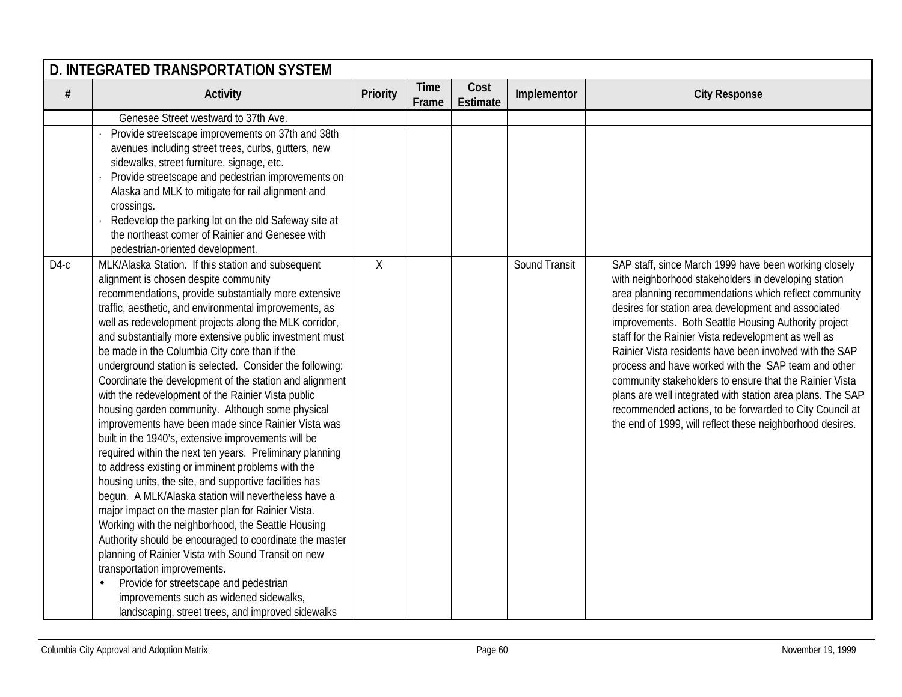|        | <b>D. INTEGRATED TRANSPORTATION SYSTEM</b>                                                                                                                                                                                                                                                                                                                                                                                                                                                                                                                                                                                                                                                                                                                                                                                                                                                                                                                                                                                                                                                                                                                                                                                                                                                                                                                                     |          |                      |                         |               |                                                                                                                                                                                                                                                                                                                                                                                                                                                                                                                                                                                                                                                                                                                  |  |  |  |  |
|--------|--------------------------------------------------------------------------------------------------------------------------------------------------------------------------------------------------------------------------------------------------------------------------------------------------------------------------------------------------------------------------------------------------------------------------------------------------------------------------------------------------------------------------------------------------------------------------------------------------------------------------------------------------------------------------------------------------------------------------------------------------------------------------------------------------------------------------------------------------------------------------------------------------------------------------------------------------------------------------------------------------------------------------------------------------------------------------------------------------------------------------------------------------------------------------------------------------------------------------------------------------------------------------------------------------------------------------------------------------------------------------------|----------|----------------------|-------------------------|---------------|------------------------------------------------------------------------------------------------------------------------------------------------------------------------------------------------------------------------------------------------------------------------------------------------------------------------------------------------------------------------------------------------------------------------------------------------------------------------------------------------------------------------------------------------------------------------------------------------------------------------------------------------------------------------------------------------------------------|--|--|--|--|
| $\#$   | <b>Activity</b>                                                                                                                                                                                                                                                                                                                                                                                                                                                                                                                                                                                                                                                                                                                                                                                                                                                                                                                                                                                                                                                                                                                                                                                                                                                                                                                                                                | Priority | <b>Time</b><br>Frame | Cost<br><b>Estimate</b> | Implementor   | <b>City Response</b>                                                                                                                                                                                                                                                                                                                                                                                                                                                                                                                                                                                                                                                                                             |  |  |  |  |
|        | Genesee Street westward to 37th Ave.                                                                                                                                                                                                                                                                                                                                                                                                                                                                                                                                                                                                                                                                                                                                                                                                                                                                                                                                                                                                                                                                                                                                                                                                                                                                                                                                           |          |                      |                         |               |                                                                                                                                                                                                                                                                                                                                                                                                                                                                                                                                                                                                                                                                                                                  |  |  |  |  |
|        | Provide streetscape improvements on 37th and 38th<br>avenues including street trees, curbs, gutters, new<br>sidewalks, street furniture, signage, etc.<br>Provide streetscape and pedestrian improvements on<br>Alaska and MLK to mitigate for rail alignment and<br>crossings.<br>Redevelop the parking lot on the old Safeway site at<br>the northeast corner of Rainier and Genesee with<br>pedestrian-oriented development.                                                                                                                                                                                                                                                                                                                                                                                                                                                                                                                                                                                                                                                                                                                                                                                                                                                                                                                                                |          |                      |                         |               |                                                                                                                                                                                                                                                                                                                                                                                                                                                                                                                                                                                                                                                                                                                  |  |  |  |  |
| $D4-c$ | MLK/Alaska Station. If this station and subsequent<br>alignment is chosen despite community<br>recommendations, provide substantially more extensive<br>traffic, aesthetic, and environmental improvements, as<br>well as redevelopment projects along the MLK corridor,<br>and substantially more extensive public investment must<br>be made in the Columbia City core than if the<br>underground station is selected. Consider the following:<br>Coordinate the development of the station and alignment<br>with the redevelopment of the Rainier Vista public<br>housing garden community. Although some physical<br>improvements have been made since Rainier Vista was<br>built in the 1940's, extensive improvements will be<br>required within the next ten years. Preliminary planning<br>to address existing or imminent problems with the<br>housing units, the site, and supportive facilities has<br>begun. A MLK/Alaska station will nevertheless have a<br>major impact on the master plan for Rainier Vista.<br>Working with the neighborhood, the Seattle Housing<br>Authority should be encouraged to coordinate the master<br>planning of Rainier Vista with Sound Transit on new<br>transportation improvements.<br>Provide for streetscape and pedestrian<br>improvements such as widened sidewalks,<br>landscaping, street trees, and improved sidewalks | $\sf X$  |                      |                         | Sound Transit | SAP staff, since March 1999 have been working closely<br>with neighborhood stakeholders in developing station<br>area planning recommendations which reflect community<br>desires for station area development and associated<br>improvements. Both Seattle Housing Authority project<br>staff for the Rainier Vista redevelopment as well as<br>Rainier Vista residents have been involved with the SAP<br>process and have worked with the SAP team and other<br>community stakeholders to ensure that the Rainier Vista<br>plans are well integrated with station area plans. The SAP<br>recommended actions, to be forwarded to City Council at<br>the end of 1999, will reflect these neighborhood desires. |  |  |  |  |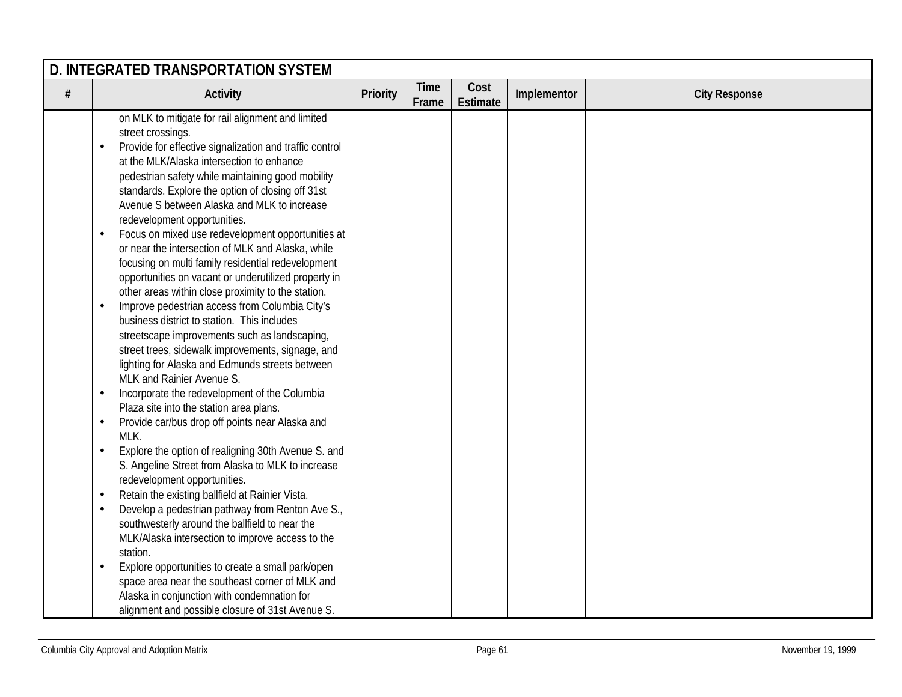|      | D. INTEGRATED TRANSPORTATION SYSTEM                                                                                                                                                                                                                                                                                                                                                                                                                                                                                                                                                                                                                                                                                                                                                                                                                                                     |          |                      |                  |             |                      |  |  |  |  |
|------|-----------------------------------------------------------------------------------------------------------------------------------------------------------------------------------------------------------------------------------------------------------------------------------------------------------------------------------------------------------------------------------------------------------------------------------------------------------------------------------------------------------------------------------------------------------------------------------------------------------------------------------------------------------------------------------------------------------------------------------------------------------------------------------------------------------------------------------------------------------------------------------------|----------|----------------------|------------------|-------------|----------------------|--|--|--|--|
| $\#$ | <b>Activity</b>                                                                                                                                                                                                                                                                                                                                                                                                                                                                                                                                                                                                                                                                                                                                                                                                                                                                         | Priority | <b>Time</b><br>Frame | Cost<br>Estimate | Implementor | <b>City Response</b> |  |  |  |  |
|      | on MLK to mitigate for rail alignment and limited<br>street crossings.<br>Provide for effective signalization and traffic control<br>$\bullet$<br>at the MLK/Alaska intersection to enhance<br>pedestrian safety while maintaining good mobility<br>standards. Explore the option of closing off 31st<br>Avenue S between Alaska and MLK to increase<br>redevelopment opportunities.<br>Focus on mixed use redevelopment opportunities at<br>$\bullet$<br>or near the intersection of MLK and Alaska, while<br>focusing on multi family residential redevelopment<br>opportunities on vacant or underutilized property in<br>other areas within close proximity to the station.<br>Improve pedestrian access from Columbia City's<br>$\bullet$<br>business district to station. This includes                                                                                           |          |                      |                  |             |                      |  |  |  |  |
|      | streetscape improvements such as landscaping,<br>street trees, sidewalk improvements, signage, and<br>lighting for Alaska and Edmunds streets between<br>MLK and Rainier Avenue S.<br>Incorporate the redevelopment of the Columbia<br>$\bullet$<br>Plaza site into the station area plans.<br>Provide car/bus drop off points near Alaska and<br>$\bullet$<br>MLK.<br>Explore the option of realigning 30th Avenue S. and<br>$\bullet$<br>S. Angeline Street from Alaska to MLK to increase<br>redevelopment opportunities.<br>Retain the existing ballfield at Rainier Vista.<br>$\bullet$<br>Develop a pedestrian pathway from Renton Ave S.,<br>$\bullet$<br>southwesterly around the ballfield to near the<br>MLK/Alaska intersection to improve access to the<br>station.<br>Explore opportunities to create a small park/open<br>space area near the southeast corner of MLK and |          |                      |                  |             |                      |  |  |  |  |
|      | Alaska in conjunction with condemnation for<br>alignment and possible closure of 31st Avenue S.                                                                                                                                                                                                                                                                                                                                                                                                                                                                                                                                                                                                                                                                                                                                                                                         |          |                      |                  |             |                      |  |  |  |  |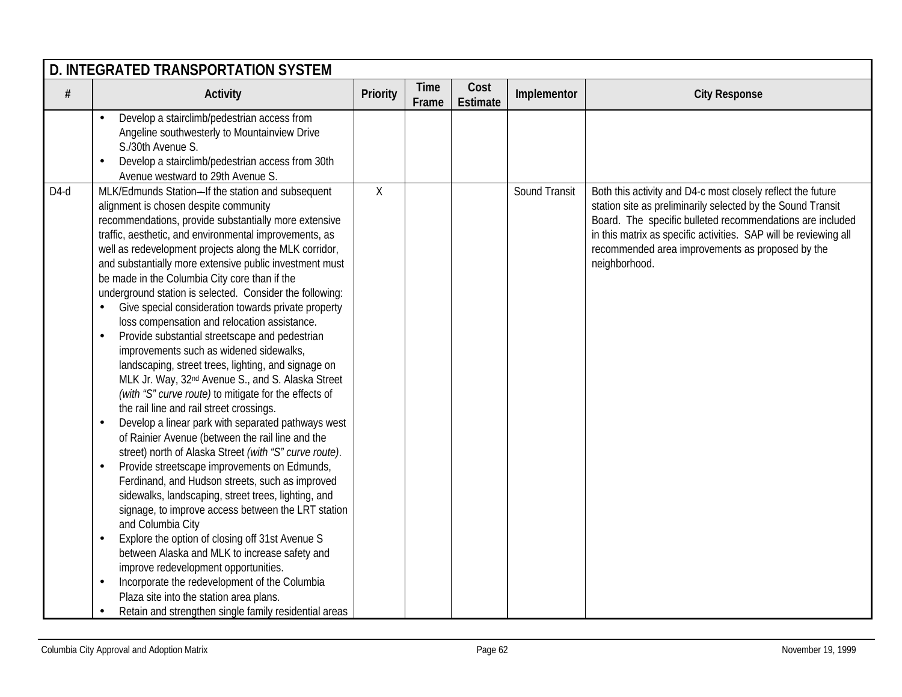|        | D. INTEGRATED TRANSPORTATION SYSTEM                                                                                                                                                                                                                                                                                                                                                                                                                                                                                                                                                                                                                                                                                                                                                                                                                                                                                                                                                                                                                                                                                                                                                                                                                                                                                                                                                                                                                                                                                                                                                                                                                              |                 |                      |                         |               |                                                                                                                                                                                                                                                                                                                                  |  |  |  |  |
|--------|------------------------------------------------------------------------------------------------------------------------------------------------------------------------------------------------------------------------------------------------------------------------------------------------------------------------------------------------------------------------------------------------------------------------------------------------------------------------------------------------------------------------------------------------------------------------------------------------------------------------------------------------------------------------------------------------------------------------------------------------------------------------------------------------------------------------------------------------------------------------------------------------------------------------------------------------------------------------------------------------------------------------------------------------------------------------------------------------------------------------------------------------------------------------------------------------------------------------------------------------------------------------------------------------------------------------------------------------------------------------------------------------------------------------------------------------------------------------------------------------------------------------------------------------------------------------------------------------------------------------------------------------------------------|-----------------|----------------------|-------------------------|---------------|----------------------------------------------------------------------------------------------------------------------------------------------------------------------------------------------------------------------------------------------------------------------------------------------------------------------------------|--|--|--|--|
| #      | <b>Activity</b>                                                                                                                                                                                                                                                                                                                                                                                                                                                                                                                                                                                                                                                                                                                                                                                                                                                                                                                                                                                                                                                                                                                                                                                                                                                                                                                                                                                                                                                                                                                                                                                                                                                  | <b>Priority</b> | <b>Time</b><br>Frame | Cost<br><b>Estimate</b> | Implementor   | <b>City Response</b>                                                                                                                                                                                                                                                                                                             |  |  |  |  |
|        | Develop a stairclimb/pedestrian access from<br>Angeline southwesterly to Mountainview Drive<br>S./30th Avenue S.<br>Develop a stairclimb/pedestrian access from 30th<br>$\bullet$<br>Avenue westward to 29th Avenue S.                                                                                                                                                                                                                                                                                                                                                                                                                                                                                                                                                                                                                                                                                                                                                                                                                                                                                                                                                                                                                                                                                                                                                                                                                                                                                                                                                                                                                                           |                 |                      |                         |               |                                                                                                                                                                                                                                                                                                                                  |  |  |  |  |
| $D4-d$ | MLK/Edmunds Station-If the station and subsequent<br>alignment is chosen despite community<br>recommendations, provide substantially more extensive<br>traffic, aesthetic, and environmental improvements, as<br>well as redevelopment projects along the MLK corridor,<br>and substantially more extensive public investment must<br>be made in the Columbia City core than if the<br>underground station is selected. Consider the following:<br>Give special consideration towards private property<br>loss compensation and relocation assistance.<br>Provide substantial streetscape and pedestrian<br>$\bullet$<br>improvements such as widened sidewalks,<br>landscaping, street trees, lighting, and signage on<br>MLK Jr. Way, 32 <sup>nd</sup> Avenue S., and S. Alaska Street<br>(with "S" curve route) to mitigate for the effects of<br>the rail line and rail street crossings.<br>Develop a linear park with separated pathways west<br>$\bullet$<br>of Rainier Avenue (between the rail line and the<br>street) north of Alaska Street (with "S" curve route).<br>Provide streetscape improvements on Edmunds,<br>$\bullet$<br>Ferdinand, and Hudson streets, such as improved<br>sidewalks, landscaping, street trees, lighting, and<br>signage, to improve access between the LRT station<br>and Columbia City<br>Explore the option of closing off 31st Avenue S<br>$\bullet$<br>between Alaska and MLK to increase safety and<br>improve redevelopment opportunities.<br>Incorporate the redevelopment of the Columbia<br>$\bullet$<br>Plaza site into the station area plans.<br>Retain and strengthen single family residential areas<br>٠ | $\mathsf{X}$    |                      |                         | Sound Transit | Both this activity and D4-c most closely reflect the future<br>station site as preliminarily selected by the Sound Transit<br>Board. The specific bulleted recommendations are included<br>in this matrix as specific activities. SAP will be reviewing all<br>recommended area improvements as proposed by the<br>neighborhood. |  |  |  |  |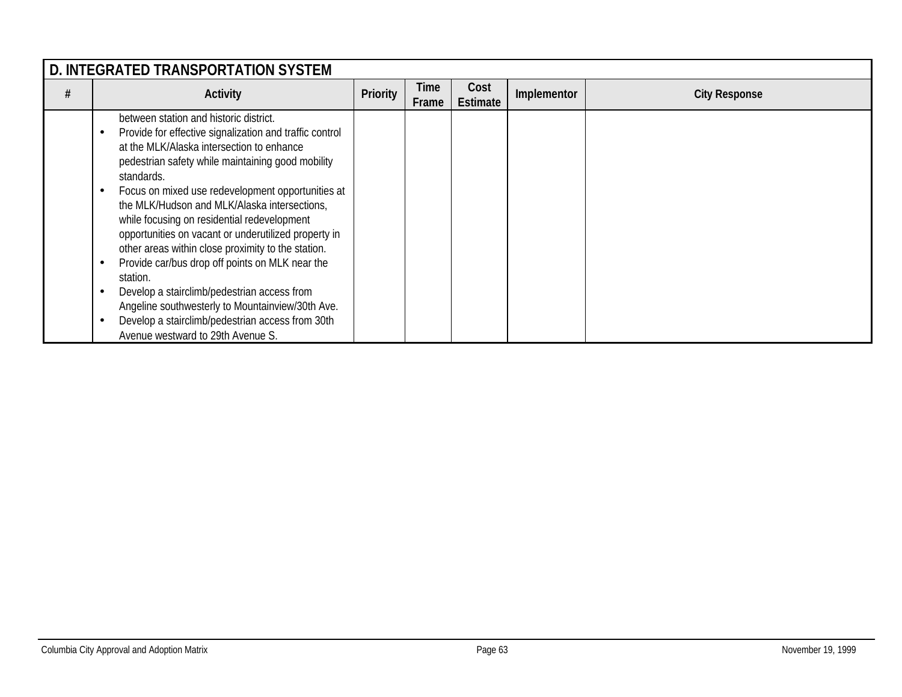| D. INTEGRATED TRANSPORTATION SYSTEM |                                                                                                                                                                                                                                                                                                                                                                                                                                                                                                                                                                                                                                                                                                                                                |          |               |                         |             |                      |  |  |  |
|-------------------------------------|------------------------------------------------------------------------------------------------------------------------------------------------------------------------------------------------------------------------------------------------------------------------------------------------------------------------------------------------------------------------------------------------------------------------------------------------------------------------------------------------------------------------------------------------------------------------------------------------------------------------------------------------------------------------------------------------------------------------------------------------|----------|---------------|-------------------------|-------------|----------------------|--|--|--|
|                                     | Activity                                                                                                                                                                                                                                                                                                                                                                                                                                                                                                                                                                                                                                                                                                                                       | Priority | Time<br>Frame | Cost<br><b>Estimate</b> | Implementor | <b>City Response</b> |  |  |  |
|                                     | between station and historic district.<br>Provide for effective signalization and traffic control<br>at the MLK/Alaska intersection to enhance<br>pedestrian safety while maintaining good mobility<br>standards.<br>Focus on mixed use redevelopment opportunities at<br>the MLK/Hudson and MLK/Alaska intersections,<br>while focusing on residential redevelopment<br>opportunities on vacant or underutilized property in<br>other areas within close proximity to the station.<br>Provide car/bus drop off points on MLK near the<br>station.<br>Develop a stairclimb/pedestrian access from<br>Angeline southwesterly to Mountainview/30th Ave.<br>Develop a stairclimb/pedestrian access from 30th<br>Avenue westward to 29th Avenue S. |          |               |                         |             |                      |  |  |  |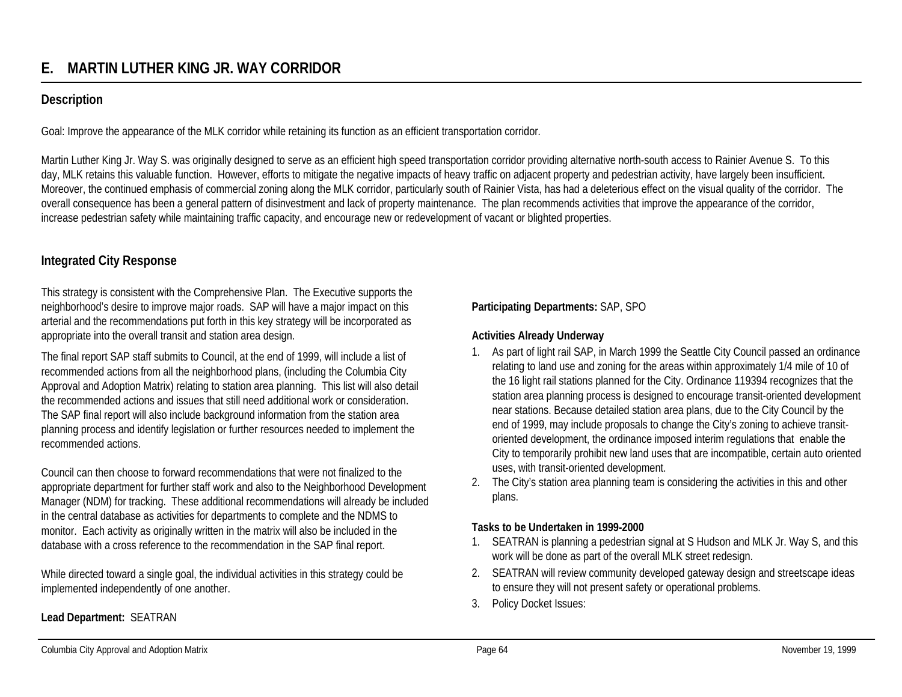## **Description**

Goal: Improve the appearance of the MLK corridor while retaining its function as an efficient transportation corridor*.*

Martin Luther King Jr. Way S. was originally designed to serve as an efficient high speed transportation corridor providing alternative north-south access to Rainier Avenue S. To this day, MLK retains this valuable function. However, efforts to mitigate the negative impacts of heavy traffic on adjacent property and pedestrian activity, have largely been insufficient. Moreover, the continued emphasis of commercial zoning along the MLK corridor, particularly south of Rainier Vista, has had a deleterious effect on the visual quality of the corridor. The overall consequence has been a general pattern of disinvestment and lack of property maintenance. The plan recommends activities that improve the appearance of the corridor, increase pedestrian safety while maintaining traffic capacity, and encourage new or redevelopment of vacant or blighted properties.

## **Integrated City Response**

This strategy is consistent with the Comprehensive Plan. The Executive supports the neighborhood's desire to improve major roads. SAP will have a major impact on this arterial and the recommendations put forth in this key strategy will be incorporated as appropriate into the overall transit and station area design.

The final report SAP staff submits to Council, at the end of 1999, will include a list of recommended actions from all the neighborhood plans, (including the Columbia City Approval and Adoption Matrix) relating to station area planning. This list will also detail the recommended actions and issues that still need additional work or consideration. The SAP final report will also include background information from the station area planning process and identify legislation or further resources needed to implement the recommended actions.

Council can then choose to forward recommendations that were not finalized to the appropriate department for further staff work and also to the Neighborhood Development Manager (NDM) for tracking. These additional recommendations will already be included in the central database as activities for departments to complete and the NDMS to monitor. Each activity as originally written in the matrix will also be included in the database with a cross reference to the recommendation in the SAP final report.

While directed toward a single goal, the individual activities in this strategy could be implemented independently of one another.

### **Lead Department:** SEATRAN

### **Participating Departments:** SAP, SPO

### **Activities Already Underway**

- 1. As part of light rail SAP, in March 1999 the Seattle City Council passed an ordinance relating to land use and zoning for the areas within approximately 1/4 mile of 10 of the 16 light rail stations planned for the City. Ordinance 119394 recognizes that the station area planning process is designed to encourage transit-oriented development near stations. Because detailed station area plans, due to the City Council by the end of 1999, may include proposals to change the City's zoning to achieve transitoriented development, the ordinance imposed interim regulations that enable the City to temporarily prohibit new land uses that are incompatible, certain auto oriented uses, with transit-oriented development.
- 2. The City's station area planning team is considering the activities in this and other plans.

### **Tasks to be Undertaken in 1999-2000**

- 1. SEATRAN is planning a pedestrian signal at S Hudson and MLK Jr. Way S, and this work will be done as part of the overall MLK street redesign.
- 2. SEATRAN will review community developed gateway design and streetscape ideas to ensure they will not present safety or operational problems.
- 3. Policy Docket Issues: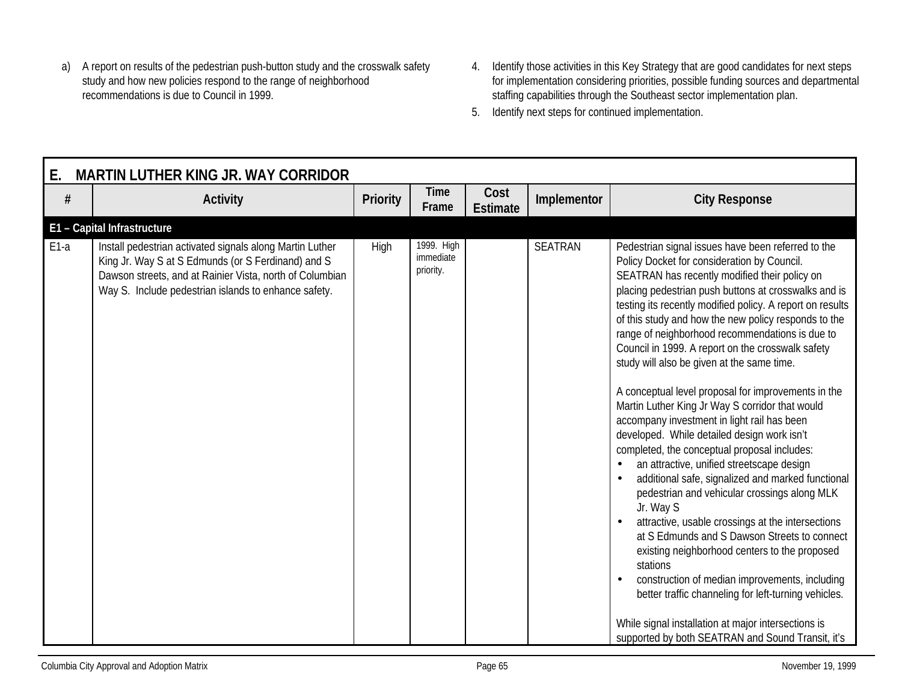- a) A report on results of the pedestrian push-button study and the crosswalk safety study and how new policies respond to the range of neighborhood recommendations is due to Council in 1999.
- 4. Identify those activities in this Key Strategy that are good candidates for next steps for implementation considering priorities, possible funding sources and departmental staffing capabilities through the Southeast sector implementation plan.
- 5. Identify next steps for continued implementation.

| Ε.     | <b>MARTIN LUTHER KING JR. WAY CORRIDOR</b>                                                                                                                                                                                         |                 |                                      |                         |                |                                                                                                                                                                                                                                                                                                                                                                                                                                                                                                                                                                                                                                                                                                                                                                                                                                                                                                                                                                                                                                                                                                                                                                                                                                                                                                      |  |  |  |  |
|--------|------------------------------------------------------------------------------------------------------------------------------------------------------------------------------------------------------------------------------------|-----------------|--------------------------------------|-------------------------|----------------|------------------------------------------------------------------------------------------------------------------------------------------------------------------------------------------------------------------------------------------------------------------------------------------------------------------------------------------------------------------------------------------------------------------------------------------------------------------------------------------------------------------------------------------------------------------------------------------------------------------------------------------------------------------------------------------------------------------------------------------------------------------------------------------------------------------------------------------------------------------------------------------------------------------------------------------------------------------------------------------------------------------------------------------------------------------------------------------------------------------------------------------------------------------------------------------------------------------------------------------------------------------------------------------------------|--|--|--|--|
| #      | <b>Activity</b>                                                                                                                                                                                                                    | <b>Priority</b> | <b>Time</b><br>Frame                 | Cost<br><b>Estimate</b> | Implementor    | <b>City Response</b>                                                                                                                                                                                                                                                                                                                                                                                                                                                                                                                                                                                                                                                                                                                                                                                                                                                                                                                                                                                                                                                                                                                                                                                                                                                                                 |  |  |  |  |
|        | E1 - Capital Infrastructure                                                                                                                                                                                                        |                 |                                      |                         |                |                                                                                                                                                                                                                                                                                                                                                                                                                                                                                                                                                                                                                                                                                                                                                                                                                                                                                                                                                                                                                                                                                                                                                                                                                                                                                                      |  |  |  |  |
| $E1-a$ | Install pedestrian activated signals along Martin Luther<br>King Jr. Way S at S Edmunds (or S Ferdinand) and S<br>Dawson streets, and at Rainier Vista, north of Columbian<br>Way S. Include pedestrian islands to enhance safety. | <b>High</b>     | 1999. High<br>immediate<br>priority. |                         | <b>SEATRAN</b> | Pedestrian signal issues have been referred to the<br>Policy Docket for consideration by Council.<br>SEATRAN has recently modified their policy on<br>placing pedestrian push buttons at crosswalks and is<br>testing its recently modified policy. A report on results<br>of this study and how the new policy responds to the<br>range of neighborhood recommendations is due to<br>Council in 1999. A report on the crosswalk safety<br>study will also be given at the same time.<br>A conceptual level proposal for improvements in the<br>Martin Luther King Jr Way S corridor that would<br>accompany investment in light rail has been<br>developed. While detailed design work isn't<br>completed, the conceptual proposal includes:<br>an attractive, unified streetscape design<br>additional safe, signalized and marked functional<br>pedestrian and vehicular crossings along MLK<br>Jr. Way S<br>attractive, usable crossings at the intersections<br>at S Edmunds and S Dawson Streets to connect<br>existing neighborhood centers to the proposed<br>stations<br>construction of median improvements, including<br>better traffic channeling for left-turning vehicles.<br>While signal installation at major intersections is<br>supported by both SEATRAN and Sound Transit, it's |  |  |  |  |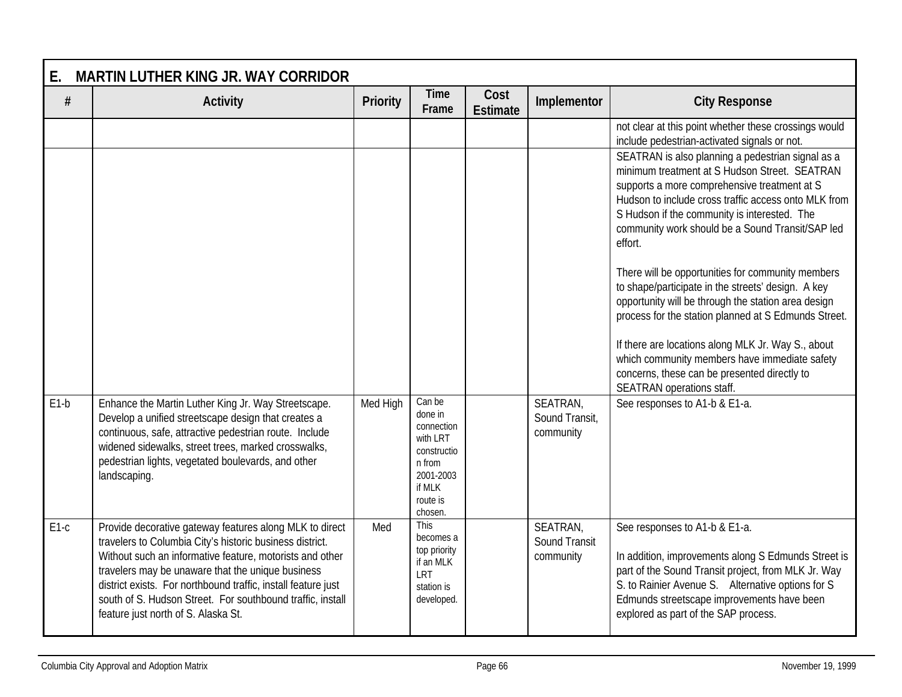| Ε.     | <b>MARTIN LUTHER KING JR. WAY CORRIDOR</b>                                                                                                                                                                                                                                                                                                                                                                 |          |                                                                                                                    |                         |                                         |                                                                                                                                                                                                                                                                                                                           |  |  |  |
|--------|------------------------------------------------------------------------------------------------------------------------------------------------------------------------------------------------------------------------------------------------------------------------------------------------------------------------------------------------------------------------------------------------------------|----------|--------------------------------------------------------------------------------------------------------------------|-------------------------|-----------------------------------------|---------------------------------------------------------------------------------------------------------------------------------------------------------------------------------------------------------------------------------------------------------------------------------------------------------------------------|--|--|--|
| #      | <b>Activity</b>                                                                                                                                                                                                                                                                                                                                                                                            | Priority | <b>Time</b><br>Frame                                                                                               | Cost<br><b>Estimate</b> | Implementor                             | <b>City Response</b>                                                                                                                                                                                                                                                                                                      |  |  |  |
|        |                                                                                                                                                                                                                                                                                                                                                                                                            |          |                                                                                                                    |                         |                                         | not clear at this point whether these crossings would<br>include pedestrian-activated signals or not.                                                                                                                                                                                                                     |  |  |  |
|        |                                                                                                                                                                                                                                                                                                                                                                                                            |          |                                                                                                                    |                         |                                         | SEATRAN is also planning a pedestrian signal as a<br>minimum treatment at S Hudson Street. SEATRAN<br>supports a more comprehensive treatment at S<br>Hudson to include cross traffic access onto MLK from<br>S Hudson if the community is interested. The<br>community work should be a Sound Transit/SAP led<br>effort. |  |  |  |
|        |                                                                                                                                                                                                                                                                                                                                                                                                            |          |                                                                                                                    |                         |                                         | There will be opportunities for community members<br>to shape/participate in the streets' design. A key<br>opportunity will be through the station area design<br>process for the station planned at S Edmunds Street.                                                                                                    |  |  |  |
|        |                                                                                                                                                                                                                                                                                                                                                                                                            |          |                                                                                                                    |                         |                                         | If there are locations along MLK Jr. Way S., about<br>which community members have immediate safety<br>concerns, these can be presented directly to<br>SEATRAN operations staff.                                                                                                                                          |  |  |  |
| $E1-b$ | Enhance the Martin Luther King Jr. Way Streetscape.<br>Develop a unified streetscape design that creates a<br>continuous, safe, attractive pedestrian route. Include<br>widened sidewalks, street trees, marked crosswalks,<br>pedestrian lights, vegetated boulevards, and other<br>landscaping.                                                                                                          | Med High | Can be<br>done in<br>connection<br>with LRT<br>constructio<br>n from<br>2001-2003<br>if MLK<br>route is<br>chosen. |                         | SEATRAN.<br>Sound Transit,<br>community | See responses to A1-b & E1-a.                                                                                                                                                                                                                                                                                             |  |  |  |
| $E1-c$ | Provide decorative gateway features along MLK to direct<br>travelers to Columbia City's historic business district.<br>Without such an informative feature, motorists and other<br>travelers may be unaware that the unique business<br>district exists. For northbound traffic, install feature just<br>south of S. Hudson Street. For southbound traffic, install<br>feature just north of S. Alaska St. | Med      | <b>This</b><br>becomes a<br>top priority<br>if an MLK<br>LRT<br>station is<br>developed.                           |                         | SEATRAN,<br>Sound Transit<br>community  | See responses to A1-b & E1-a.<br>In addition, improvements along S Edmunds Street is<br>part of the Sound Transit project, from MLK Jr. Way<br>S. to Rainier Avenue S. Alternative options for S.<br>Edmunds streetscape improvements have been<br>explored as part of the SAP process.                                   |  |  |  |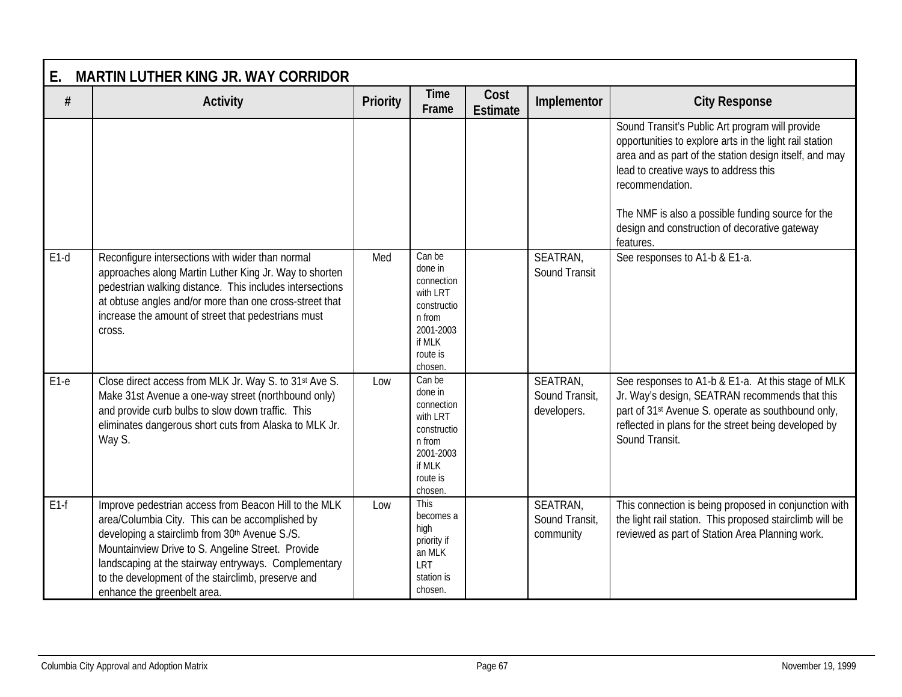| <b>MARTIN LUTHER KING JR. WAY CORRIDOR</b><br>Ε. |                                                                                                                                                                                                                                                                                                                                                              |                 |                                                                                                                    |                         |                                           |                                                                                                                                                                                                                                                                                                                                        |  |  |
|--------------------------------------------------|--------------------------------------------------------------------------------------------------------------------------------------------------------------------------------------------------------------------------------------------------------------------------------------------------------------------------------------------------------------|-----------------|--------------------------------------------------------------------------------------------------------------------|-------------------------|-------------------------------------------|----------------------------------------------------------------------------------------------------------------------------------------------------------------------------------------------------------------------------------------------------------------------------------------------------------------------------------------|--|--|
| $\#$                                             | <b>Activity</b>                                                                                                                                                                                                                                                                                                                                              | <b>Priority</b> | Time<br>Frame                                                                                                      | Cost<br><b>Estimate</b> | Implementor                               | <b>City Response</b>                                                                                                                                                                                                                                                                                                                   |  |  |
|                                                  |                                                                                                                                                                                                                                                                                                                                                              |                 |                                                                                                                    |                         |                                           | Sound Transit's Public Art program will provide<br>opportunities to explore arts in the light rail station<br>area and as part of the station design itself, and may<br>lead to creative ways to address this<br>recommendation.<br>The NMF is also a possible funding source for the<br>design and construction of decorative gateway |  |  |
| $E1-d$                                           | Reconfigure intersections with wider than normal<br>approaches along Martin Luther King Jr. Way to shorten<br>pedestrian walking distance. This includes intersections<br>at obtuse angles and/or more than one cross-street that<br>increase the amount of street that pedestrians must<br>cross.                                                           | Med             | Can be<br>done in<br>connection<br>with LRT<br>constructio<br>n from<br>2001-2003<br>if MLK<br>route is<br>chosen. |                         | SEATRAN,<br>Sound Transit                 | features.<br>See responses to A1-b & E1-a.                                                                                                                                                                                                                                                                                             |  |  |
| $E1-e$                                           | Close direct access from MLK Jr. Way S. to 31st Ave S.<br>Make 31st Avenue a one-way street (northbound only)<br>and provide curb bulbs to slow down traffic. This<br>eliminates dangerous short cuts from Alaska to MLK Jr.<br>Way S.                                                                                                                       | Low             | Can be<br>done in<br>connection<br>with LRT<br>constructio<br>n from<br>2001-2003<br>if MLK<br>route is<br>chosen. |                         | SEATRAN.<br>Sound Transit,<br>developers. | See responses to A1-b & E1-a. At this stage of MLK<br>Jr. Way's design, SEATRAN recommends that this<br>part of 31 <sup>st</sup> Avenue S. operate as southbound only,<br>reflected in plans for the street being developed by<br>Sound Transit.                                                                                       |  |  |
| $E1-f$                                           | Improve pedestrian access from Beacon Hill to the MLK<br>area/Columbia City. This can be accomplished by<br>developing a stairclimb from 30th Avenue S./S.<br>Mountainview Drive to S. Angeline Street. Provide<br>landscaping at the stairway entryways. Complementary<br>to the development of the stairclimb, preserve and<br>enhance the greenbelt area. | Low             | This<br>becomes a<br>high<br>priority if<br>an MLK<br>LRT<br>station is<br>chosen.                                 |                         | SEATRAN,<br>Sound Transit,<br>community   | This connection is being proposed in conjunction with<br>the light rail station. This proposed stairclimb will be<br>reviewed as part of Station Area Planning work.                                                                                                                                                                   |  |  |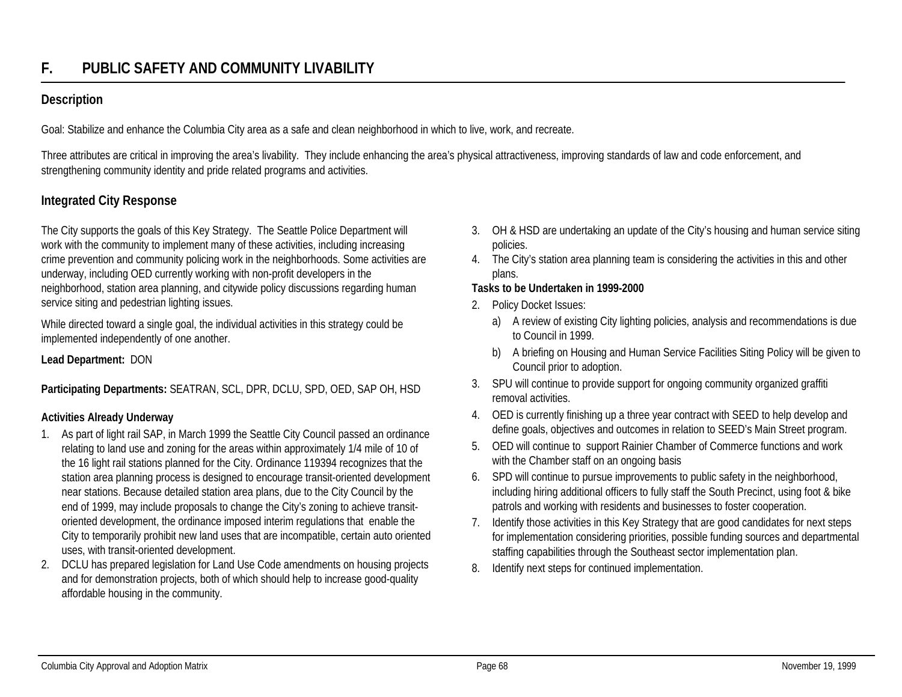## **Description**

Goal: Stabilize and enhance the Columbia City area as a safe and clean neighborhood in which to live, work, and recreate.

Three attributes are critical in improving the area's livability. They include enhancing the area's physical attractiveness, improving standards of law and code enforcement, and strengthening community identity and pride related programs and activities.

# **Integrated City Response**

The City supports the goals of this Key Strategy. The Seattle Police Department will work with the community to implement many of these activities, including increasing crime prevention and community policing work in the neighborhoods. Some activities are underway, including OED currently working with non-profit developers in the neighborhood, station area planning, and citywide policy discussions regarding human service siting and pedestrian lighting issues.

While directed toward a single goal, the individual activities in this strategy could be implemented independently of one another.

**Lead Department:** DON

**Participating Departments:** SEATRAN, SCL, DPR, DCLU, SPD, OED, SAP OH, HSD

### **Activities Already Underway**

- 1. As part of light rail SAP, in March 1999 the Seattle City Council passed an ordinance relating to land use and zoning for the areas within approximately 1/4 mile of 10 of the 16 light rail stations planned for the City. Ordinance 119394 recognizes that the station area planning process is designed to encourage transit-oriented development near stations. Because detailed station area plans, due to the City Council by the end of 1999, may include proposals to change the City's zoning to achieve transitoriented development, the ordinance imposed interim regulations that enable the City to temporarily prohibit new land uses that are incompatible, certain auto oriented uses, with transit-oriented development.
- 2. DCLU has prepared legislation for Land Use Code amendments on housing projects and for demonstration projects, both of which should help to increase good-quality affordable housing in the community.
- 3. OH & HSD are undertaking an update of the City's housing and human service siting policies.
- 4. The City's station area planning team is considering the activities in this and other plans.

#### **Tasks to be Undertaken in 1999-2000**

- 2. Policy Docket Issues:
	- a) A review of existing City lighting policies, analysis and recommendations is due to Council in 1999.
	- b) A briefing on Housing and Human Service Facilities Siting Policy will be given to Council prior to adoption.
- 3. SPU will continue to provide support for ongoing community organized graffiti removal activities.
- 4. OED is currently finishing up a three year contract with SEED to help develop and define goals, objectives and outcomes in relation to SEED's Main Street program.
- 5. OED will continue to support Rainier Chamber of Commerce functions and work with the Chamber staff on an ongoing basis
- 6. SPD will continue to pursue improvements to public safety in the neighborhood, including hiring additional officers to fully staff the South Precinct, using foot & bike patrols and working with residents and businesses to foster cooperation.
- 7. Identify those activities in this Key Strategy that are good candidates for next steps for implementation considering priorities, possible funding sources and departmental staffing capabilities through the Southeast sector implementation plan.
- 8. Identify next steps for continued implementation.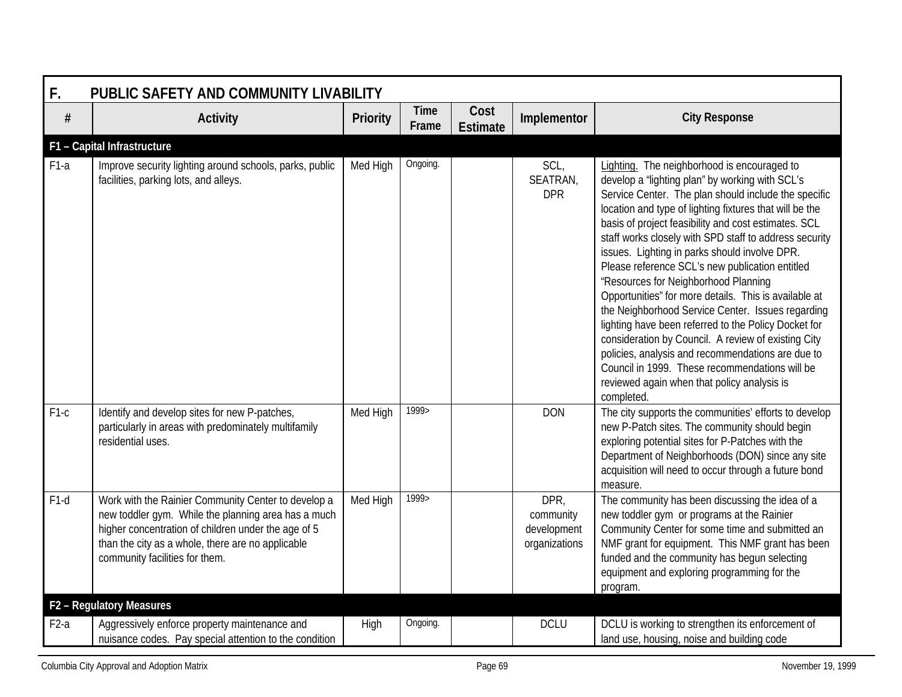| F.     | PUBLIC SAFETY AND COMMUNITY LIVABILITY                                                                                                                                                                                                                   |          |                      |                         |                                                   |                                                                                                                                                                                                                                                                                                                                                                                                                                                                                                                                                                                                                                                                                                                                                                                                                                                                                  |  |  |  |  |  |
|--------|----------------------------------------------------------------------------------------------------------------------------------------------------------------------------------------------------------------------------------------------------------|----------|----------------------|-------------------------|---------------------------------------------------|----------------------------------------------------------------------------------------------------------------------------------------------------------------------------------------------------------------------------------------------------------------------------------------------------------------------------------------------------------------------------------------------------------------------------------------------------------------------------------------------------------------------------------------------------------------------------------------------------------------------------------------------------------------------------------------------------------------------------------------------------------------------------------------------------------------------------------------------------------------------------------|--|--|--|--|--|
| $\#$   | <b>Activity</b>                                                                                                                                                                                                                                          | Priority | <b>Time</b><br>Frame | Cost<br><b>Estimate</b> | Implementor                                       | <b>City Response</b>                                                                                                                                                                                                                                                                                                                                                                                                                                                                                                                                                                                                                                                                                                                                                                                                                                                             |  |  |  |  |  |
|        | F1 - Capital Infrastructure                                                                                                                                                                                                                              |          |                      |                         |                                                   |                                                                                                                                                                                                                                                                                                                                                                                                                                                                                                                                                                                                                                                                                                                                                                                                                                                                                  |  |  |  |  |  |
| $F1-a$ | Improve security lighting around schools, parks, public<br>facilities, parking lots, and alleys.                                                                                                                                                         | Med High | Ongoing.             |                         | SCL,<br>SEATRAN,<br><b>DPR</b>                    | Lighting. The neighborhood is encouraged to<br>develop a 'lighting plan" by working with SCL's<br>Service Center. The plan should include the specific<br>location and type of lighting fixtures that will be the<br>basis of project feasibility and cost estimates. SCL<br>staff works closely with SPD staff to address security<br>issues. Lighting in parks should involve DPR.<br>Please reference SCL's new publication entitled<br>'Resources for Neighborhood Planning<br>Opportunities" for more details. This is available at<br>the Neighborhood Service Center. Issues regarding<br>lighting have been referred to the Policy Docket for<br>consideration by Council. A review of existing City<br>policies, analysis and recommendations are due to<br>Council in 1999. These recommendations will be<br>reviewed again when that policy analysis is<br>completed. |  |  |  |  |  |
| $F1-c$ | Identify and develop sites for new P-patches,<br>particularly in areas with predominately multifamily<br>residential uses.                                                                                                                               | Med High | 1999>                |                         | <b>DON</b>                                        | The city supports the communities' efforts to develop<br>new P-Patch sites. The community should begin<br>exploring potential sites for P-Patches with the<br>Department of Neighborhoods (DON) since any site<br>acquisition will need to occur through a future bond<br>measure.                                                                                                                                                                                                                                                                                                                                                                                                                                                                                                                                                                                               |  |  |  |  |  |
| $F1-d$ | Work with the Rainier Community Center to develop a<br>new toddler gym. While the planning area has a much<br>higher concentration of children under the age of 5<br>than the city as a whole, there are no applicable<br>community facilities for them. | Med High | 1999>                |                         | DPR,<br>community<br>development<br>organizations | The community has been discussing the idea of a<br>new toddler gym or programs at the Rainier<br>Community Center for some time and submitted an<br>NMF grant for equipment. This NMF grant has been<br>funded and the community has begun selecting<br>equipment and exploring programming for the<br>program.                                                                                                                                                                                                                                                                                                                                                                                                                                                                                                                                                                  |  |  |  |  |  |
|        | F2 - Regulatory Measures                                                                                                                                                                                                                                 |          |                      |                         |                                                   |                                                                                                                                                                                                                                                                                                                                                                                                                                                                                                                                                                                                                                                                                                                                                                                                                                                                                  |  |  |  |  |  |
| $F2-a$ | Aggressively enforce property maintenance and<br>nuisance codes. Pay special attention to the condition                                                                                                                                                  | High     | Ongoing.             |                         | <b>DCLU</b>                                       | DCLU is working to strengthen its enforcement of<br>land use, housing, noise and building code                                                                                                                                                                                                                                                                                                                                                                                                                                                                                                                                                                                                                                                                                                                                                                                   |  |  |  |  |  |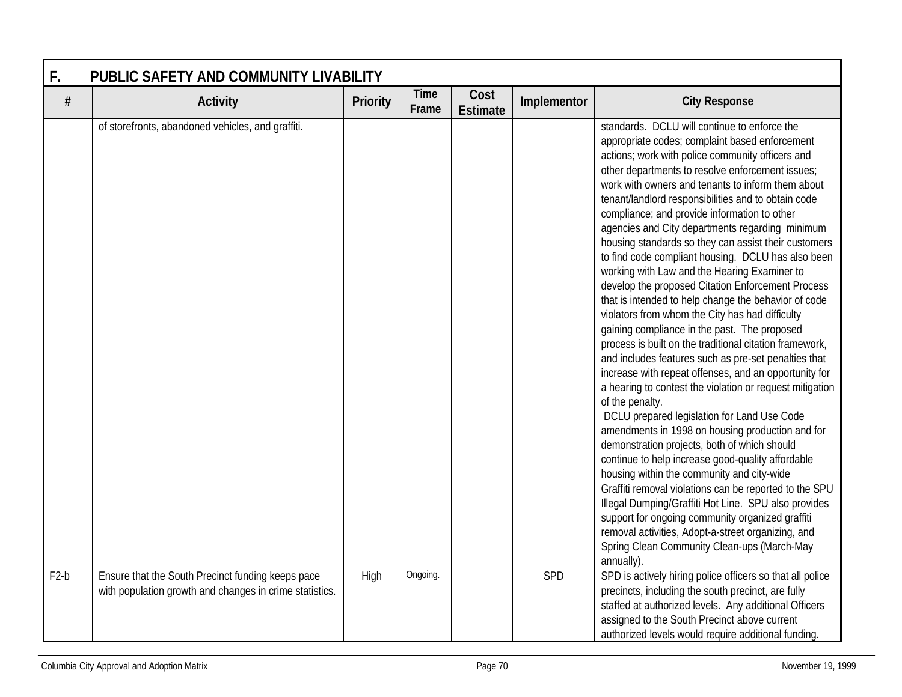| F.     | PUBLIC SAFETY AND COMMUNITY LIVABILITY                                                                       |          |                      |                         |             |                                                                                                                                                                                                                                                                                                                                                                                                                                                                                                                                                                                                                                                                                                                                                                                                                                                                                                                                                                                                                                                                                                                                                                                                                                                                                                                                                                                                                                                                                                                                                                                                               |  |  |  |
|--------|--------------------------------------------------------------------------------------------------------------|----------|----------------------|-------------------------|-------------|---------------------------------------------------------------------------------------------------------------------------------------------------------------------------------------------------------------------------------------------------------------------------------------------------------------------------------------------------------------------------------------------------------------------------------------------------------------------------------------------------------------------------------------------------------------------------------------------------------------------------------------------------------------------------------------------------------------------------------------------------------------------------------------------------------------------------------------------------------------------------------------------------------------------------------------------------------------------------------------------------------------------------------------------------------------------------------------------------------------------------------------------------------------------------------------------------------------------------------------------------------------------------------------------------------------------------------------------------------------------------------------------------------------------------------------------------------------------------------------------------------------------------------------------------------------------------------------------------------------|--|--|--|
| $\#$   | <b>Activity</b>                                                                                              | Priority | <b>Time</b><br>Frame | Cost<br><b>Estimate</b> | Implementor | <b>City Response</b>                                                                                                                                                                                                                                                                                                                                                                                                                                                                                                                                                                                                                                                                                                                                                                                                                                                                                                                                                                                                                                                                                                                                                                                                                                                                                                                                                                                                                                                                                                                                                                                          |  |  |  |
|        | of storefronts, abandoned vehicles, and graffiti.                                                            |          |                      |                         |             | standards. DCLU will continue to enforce the<br>appropriate codes; complaint based enforcement<br>actions; work with police community officers and<br>other departments to resolve enforcement issues;<br>work with owners and tenants to inform them about<br>tenant/landlord responsibilities and to obtain code<br>compliance; and provide information to other<br>agencies and City departments regarding minimum<br>housing standards so they can assist their customers<br>to find code compliant housing. DCLU has also been<br>working with Law and the Hearing Examiner to<br>develop the proposed Citation Enforcement Process<br>that is intended to help change the behavior of code<br>violators from whom the City has had difficulty<br>gaining compliance in the past. The proposed<br>process is built on the traditional citation framework,<br>and includes features such as pre-set penalties that<br>increase with repeat offenses, and an opportunity for<br>a hearing to contest the violation or request mitigation<br>of the penalty.<br>DCLU prepared legislation for Land Use Code<br>amendments in 1998 on housing production and for<br>demonstration projects, both of which should<br>continue to help increase good-quality affordable<br>housing within the community and city-wide<br>Graffiti removal violations can be reported to the SPU<br>Illegal Dumping/Graffiti Hot Line. SPU also provides<br>support for ongoing community organized graffiti<br>removal activities, Adopt-a-street organizing, and<br>Spring Clean Community Clean-ups (March-May<br>annually). |  |  |  |
| $F2-b$ | Ensure that the South Precinct funding keeps pace<br>with population growth and changes in crime statistics. | High     | Ongoing.             |                         | SPD         | SPD is actively hiring police officers so that all police<br>precincts, including the south precinct, are fully<br>staffed at authorized levels. Any additional Officers<br>assigned to the South Precinct above current<br>authorized levels would require additional funding.                                                                                                                                                                                                                                                                                                                                                                                                                                                                                                                                                                                                                                                                                                                                                                                                                                                                                                                                                                                                                                                                                                                                                                                                                                                                                                                               |  |  |  |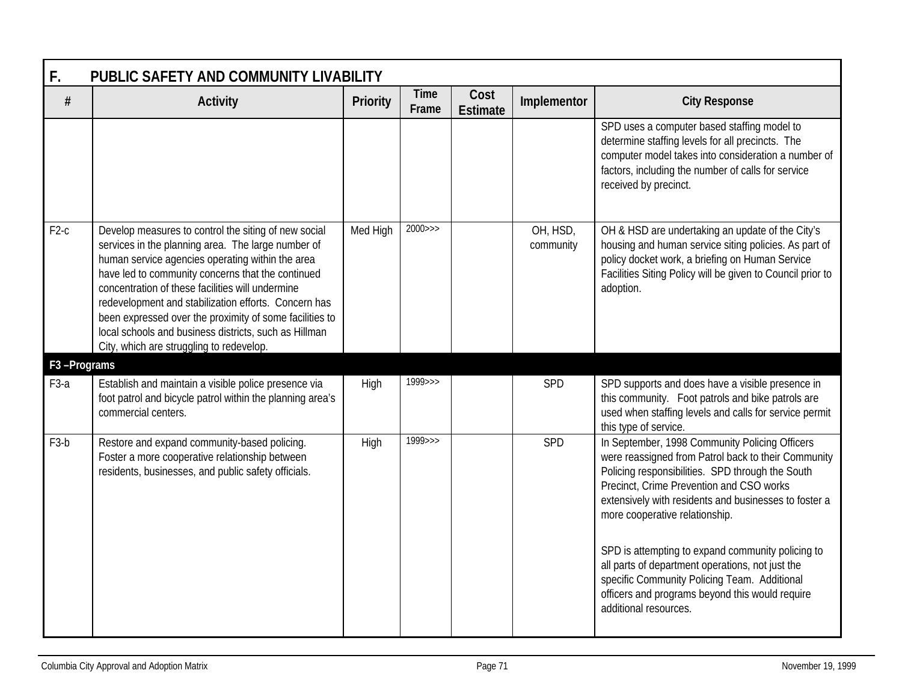| F.                       | PUBLIC SAFETY AND COMMUNITY LIVABILITY                                                                                                                                                                                                                                                                                                                                                                                                                                                          |          |                      |                         |                       |                                                                                                                                                                                                                                                                                                                                                                                                           |  |  |  |  |
|--------------------------|-------------------------------------------------------------------------------------------------------------------------------------------------------------------------------------------------------------------------------------------------------------------------------------------------------------------------------------------------------------------------------------------------------------------------------------------------------------------------------------------------|----------|----------------------|-------------------------|-----------------------|-----------------------------------------------------------------------------------------------------------------------------------------------------------------------------------------------------------------------------------------------------------------------------------------------------------------------------------------------------------------------------------------------------------|--|--|--|--|
| #                        | <b>Activity</b>                                                                                                                                                                                                                                                                                                                                                                                                                                                                                 | Priority | <b>Time</b><br>Frame | Cost<br><b>Estimate</b> | Implementor           | <b>City Response</b>                                                                                                                                                                                                                                                                                                                                                                                      |  |  |  |  |
|                          |                                                                                                                                                                                                                                                                                                                                                                                                                                                                                                 |          |                      |                         |                       | SPD uses a computer based staffing model to<br>determine staffing levels for all precincts. The<br>computer model takes into consideration a number of<br>factors, including the number of calls for service<br>received by precinct.                                                                                                                                                                     |  |  |  |  |
| $F2-c$                   | Develop measures to control the siting of new social<br>services in the planning area. The large number of<br>human service agencies operating within the area<br>have led to community concerns that the continued<br>concentration of these facilities will undermine<br>redevelopment and stabilization efforts. Concern has<br>been expressed over the proximity of some facilities to<br>local schools and business districts, such as Hillman<br>City, which are struggling to redevelop. | Med High | $2000 \rightarrow$   |                         | OH, HSD,<br>community | OH & HSD are undertaking an update of the City's<br>housing and human service siting policies. As part of<br>policy docket work, a briefing on Human Service<br>Facilities Siting Policy will be given to Council prior to<br>adoption.                                                                                                                                                                   |  |  |  |  |
| F <sub>3</sub> -Programs |                                                                                                                                                                                                                                                                                                                                                                                                                                                                                                 |          |                      |                         |                       |                                                                                                                                                                                                                                                                                                                                                                                                           |  |  |  |  |
| F <sub>3</sub> -a        | Establish and maintain a visible police presence via<br>foot patrol and bicycle patrol within the planning area's<br>commercial centers.                                                                                                                                                                                                                                                                                                                                                        | High     | $1999 \rightarrow$   |                         | SPD                   | SPD supports and does have a visible presence in<br>this community. Foot patrols and bike patrols are<br>used when staffing levels and calls for service permit<br>this type of service.                                                                                                                                                                                                                  |  |  |  |  |
| F <sub>3</sub> -b        | Restore and expand community-based policing.<br>Foster a more cooperative relationship between<br>residents, businesses, and public safety officials.                                                                                                                                                                                                                                                                                                                                           | High     | $1999 \rightarrow$   |                         | SPD                   | In September, 1998 Community Policing Officers<br>were reassigned from Patrol back to their Community<br>Policing responsibilities. SPD through the South<br>Precinct, Crime Prevention and CSO works<br>extensively with residents and businesses to foster a<br>more cooperative relationship.<br>SPD is attempting to expand community policing to<br>all parts of department operations, not just the |  |  |  |  |
|                          |                                                                                                                                                                                                                                                                                                                                                                                                                                                                                                 |          |                      |                         |                       | specific Community Policing Team. Additional<br>officers and programs beyond this would require<br>additional resources.                                                                                                                                                                                                                                                                                  |  |  |  |  |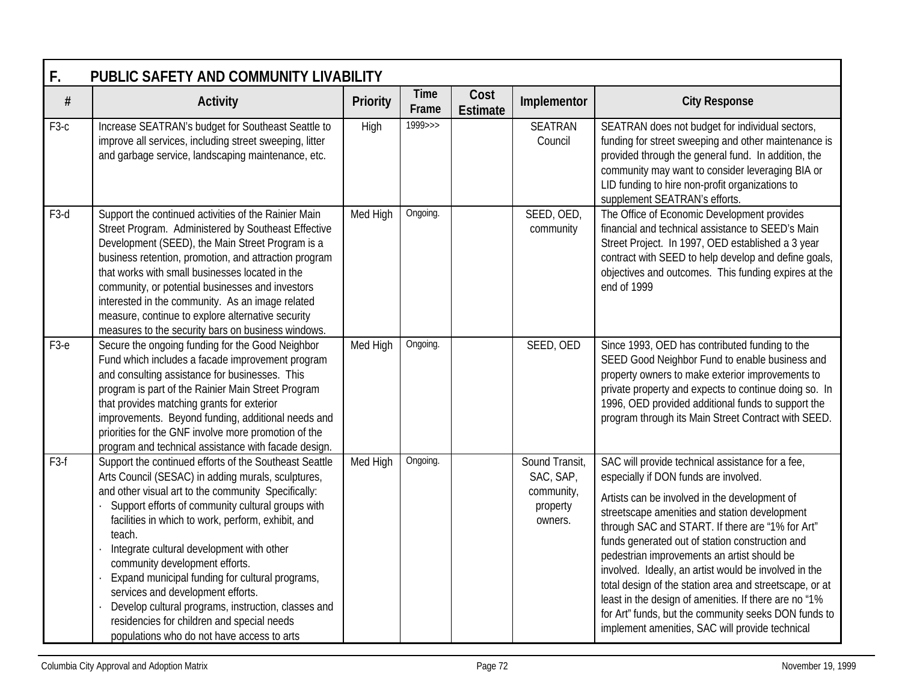| F.                | PUBLIC SAFETY AND COMMUNITY LIVABILITY                                                                                                                                                                                                                                                                                                                                                                                                                                                                                                                                                                             |                 |                      |                         |                                                                  |                                                                                                                                                                                                                                                                                                                                                                                                                                                                                                                                                                                                                                           |  |  |  |  |
|-------------------|--------------------------------------------------------------------------------------------------------------------------------------------------------------------------------------------------------------------------------------------------------------------------------------------------------------------------------------------------------------------------------------------------------------------------------------------------------------------------------------------------------------------------------------------------------------------------------------------------------------------|-----------------|----------------------|-------------------------|------------------------------------------------------------------|-------------------------------------------------------------------------------------------------------------------------------------------------------------------------------------------------------------------------------------------------------------------------------------------------------------------------------------------------------------------------------------------------------------------------------------------------------------------------------------------------------------------------------------------------------------------------------------------------------------------------------------------|--|--|--|--|
| $\#$              | <b>Activity</b>                                                                                                                                                                                                                                                                                                                                                                                                                                                                                                                                                                                                    | <b>Priority</b> | <b>Time</b><br>Frame | Cost<br><b>Estimate</b> | Implementor                                                      | <b>City Response</b>                                                                                                                                                                                                                                                                                                                                                                                                                                                                                                                                                                                                                      |  |  |  |  |
| F <sub>3-c</sub>  | Increase SEATRAN's budget for Southeast Seattle to<br>improve all services, including street sweeping, litter<br>and garbage service, landscaping maintenance, etc.                                                                                                                                                                                                                                                                                                                                                                                                                                                | High            | $1999 \rightarrow$   |                         | <b>SEATRAN</b><br>Council                                        | SEATRAN does not budget for individual sectors,<br>funding for street sweeping and other maintenance is<br>provided through the general fund. In addition, the<br>community may want to consider leveraging BIA or<br>LID funding to hire non-profit organizations to<br>supplement SEATRAN's efforts.                                                                                                                                                                                                                                                                                                                                    |  |  |  |  |
| F <sub>3</sub> -d | Support the continued activities of the Rainier Main<br>Street Program. Administered by Southeast Effective<br>Development (SEED), the Main Street Program is a<br>business retention, promotion, and attraction program<br>that works with small businesses located in the<br>community, or potential businesses and investors<br>interested in the community. As an image related<br>measure, continue to explore alternative security<br>measures to the security bars on business windows.                                                                                                                     | Med High        | Ongoing.             |                         | SEED, OED,<br>community                                          | The Office of Economic Development provides<br>financial and technical assistance to SEED's Main<br>Street Project. In 1997, OED established a 3 year<br>contract with SEED to help develop and define goals,<br>objectives and outcomes. This funding expires at the<br>end of 1999                                                                                                                                                                                                                                                                                                                                                      |  |  |  |  |
| $F3-e$            | Secure the ongoing funding for the Good Neighbor<br>Fund which includes a facade improvement program<br>and consulting assistance for businesses. This<br>program is part of the Rainier Main Street Program<br>that provides matching grants for exterior<br>improvements. Beyond funding, additional needs and<br>priorities for the GNF involve more promotion of the<br>program and technical assistance with facade design.                                                                                                                                                                                   | Med High        | Ongoing.             |                         | SEED, OED                                                        | Since 1993, OED has contributed funding to the<br>SEED Good Neighbor Fund to enable business and<br>property owners to make exterior improvements to<br>private property and expects to continue doing so. In<br>1996, OED provided additional funds to support the<br>program through its Main Street Contract with SEED.                                                                                                                                                                                                                                                                                                                |  |  |  |  |
| F <sub>3-f</sub>  | Support the continued efforts of the Southeast Seattle<br>Arts Council (SESAC) in adding murals, sculptures,<br>and other visual art to the community Specifically:<br>Support efforts of community cultural groups with<br>facilities in which to work, perform, exhibit, and<br>teach.<br>Integrate cultural development with other<br>community development efforts.<br>Expand municipal funding for cultural programs,<br>services and development efforts.<br>Develop cultural programs, instruction, classes and<br>residencies for children and special needs<br>populations who do not have access to arts | Med High        | Ongoing.             |                         | Sound Transit,<br>SAC, SAP,<br>community,<br>property<br>owners. | SAC will provide technical assistance for a fee,<br>especially if DON funds are involved.<br>Artists can be involved in the development of<br>streetscape amenities and station development<br>through SAC and START. If there are "1% for Art"<br>funds generated out of station construction and<br>pedestrian improvements an artist should be<br>involved. Ideally, an artist would be involved in the<br>total design of the station area and streetscape, or at<br>least in the design of amenities. If there are no "1%<br>for Art" funds, but the community seeks DON funds to<br>implement amenities, SAC will provide technical |  |  |  |  |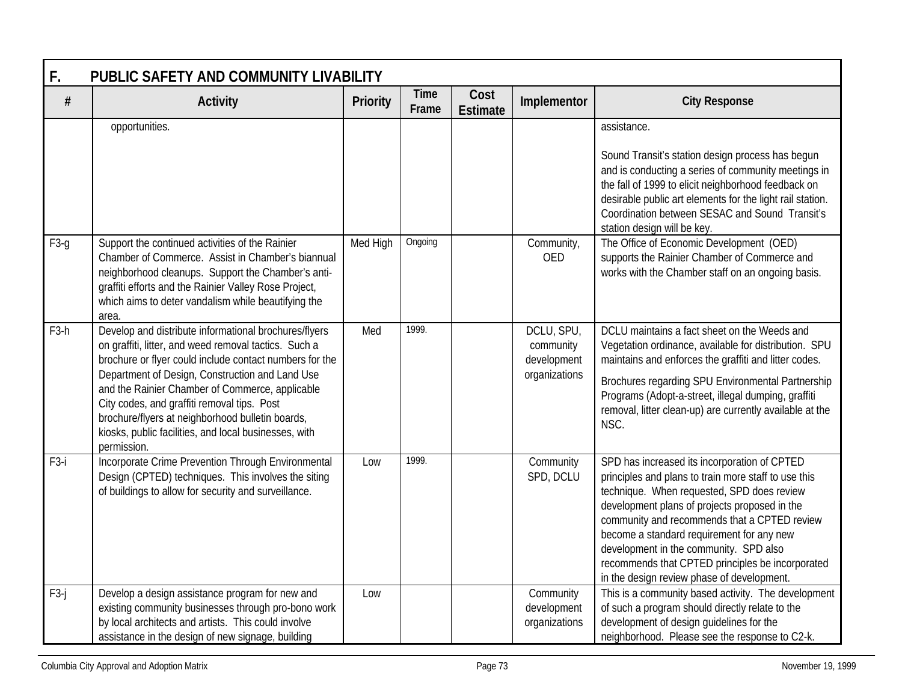| F.<br>PUBLIC SAFETY AND COMMUNITY LIVABILITY |                                                                                                                                                                                                                                                                                                                                                                                                                                                            |          |                      |                         |                                                         |                                                                                                                                                                                                                                                                                                                                                                                                                                              |  |  |  |  |
|----------------------------------------------|------------------------------------------------------------------------------------------------------------------------------------------------------------------------------------------------------------------------------------------------------------------------------------------------------------------------------------------------------------------------------------------------------------------------------------------------------------|----------|----------------------|-------------------------|---------------------------------------------------------|----------------------------------------------------------------------------------------------------------------------------------------------------------------------------------------------------------------------------------------------------------------------------------------------------------------------------------------------------------------------------------------------------------------------------------------------|--|--|--|--|
| $\#$                                         | <b>Activity</b>                                                                                                                                                                                                                                                                                                                                                                                                                                            | Priority | <b>Time</b><br>Frame | Cost<br><b>Estimate</b> | Implementor                                             | <b>City Response</b>                                                                                                                                                                                                                                                                                                                                                                                                                         |  |  |  |  |
|                                              | opportunities.                                                                                                                                                                                                                                                                                                                                                                                                                                             |          |                      |                         |                                                         | assistance.<br>Sound Transit's station design process has begun<br>and is conducting a series of community meetings in<br>the fall of 1999 to elicit neighborhood feedback on<br>desirable public art elements for the light rail station.<br>Coordination between SESAC and Sound Transit's<br>station design will be key.                                                                                                                  |  |  |  |  |
| $F3-g$                                       | Support the continued activities of the Rainier<br>Chamber of Commerce. Assist in Chamber's biannual<br>neighborhood cleanups. Support the Chamber's anti-<br>graffiti efforts and the Rainier Valley Rose Project,<br>which aims to deter vandalism while beautifying the<br>area.                                                                                                                                                                        | Med High | Ongoing              |                         | Community,<br><b>OED</b>                                | The Office of Economic Development (OED)<br>supports the Rainier Chamber of Commerce and<br>works with the Chamber staff on an ongoing basis.                                                                                                                                                                                                                                                                                                |  |  |  |  |
| F <sub>3</sub> -h                            | Develop and distribute informational brochures/flyers<br>on graffiti, litter, and weed removal tactics. Such a<br>brochure or flyer could include contact numbers for the<br>Department of Design, Construction and Land Use<br>and the Rainier Chamber of Commerce, applicable<br>City codes, and graffiti removal tips. Post<br>brochure/flyers at neighborhood bulletin boards,<br>kiosks, public facilities, and local businesses, with<br>permission. | Med      | 1999.                |                         | DCLU, SPU,<br>community<br>development<br>organizations | DCLU maintains a fact sheet on the Weeds and<br>Vegetation ordinance, available for distribution. SPU<br>maintains and enforces the graffiti and litter codes.<br>Brochures regarding SPU Environmental Partnership<br>Programs (Adopt-a-street, illegal dumping, graffiti<br>removal, litter clean-up) are currently available at the<br>NSC.                                                                                               |  |  |  |  |
| F <sub>3</sub> -i                            | Incorporate Crime Prevention Through Environmental<br>Design (CPTED) techniques. This involves the siting<br>of buildings to allow for security and surveillance.                                                                                                                                                                                                                                                                                          | Low      | 1999.                |                         | Community<br>SPD, DCLU                                  | SPD has increased its incorporation of CPTED<br>principles and plans to train more staff to use this<br>technique. When requested, SPD does review<br>development plans of projects proposed in the<br>community and recommends that a CPTED review<br>become a standard requirement for any new<br>development in the community. SPD also<br>recommends that CPTED principles be incorporated<br>in the design review phase of development. |  |  |  |  |
| $F3-j$                                       | Develop a design assistance program for new and<br>existing community businesses through pro-bono work<br>by local architects and artists. This could involve<br>assistance in the design of new signage, building                                                                                                                                                                                                                                         | Low      |                      |                         | Community<br>development<br>organizations               | This is a community based activity. The development<br>of such a program should directly relate to the<br>development of design guidelines for the<br>neighborhood. Please see the response to C2-k.                                                                                                                                                                                                                                         |  |  |  |  |